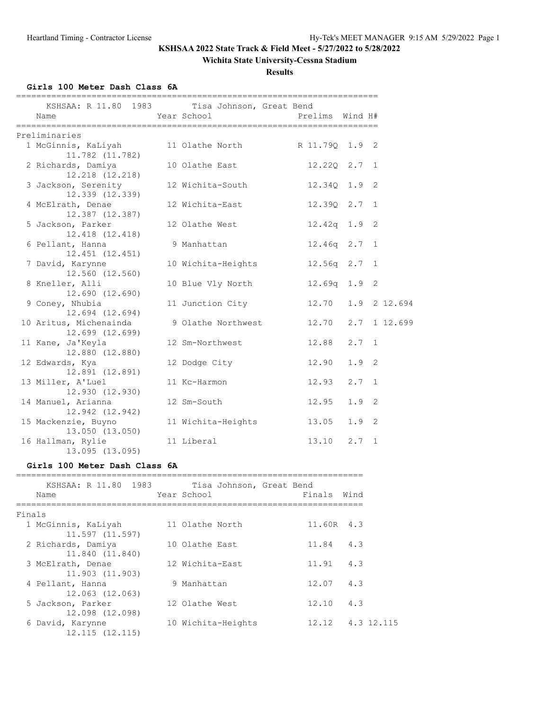## **Wichita State University-Cessna Stadium**

**Results**

**Girls 100 Meter Dash Class 6A**

| Name                                      | KSHSAA: R 11.80 1983 Tisa Johnson, Great Bend<br>Year School | Prelims Wind H#    |               |              |
|-------------------------------------------|--------------------------------------------------------------|--------------------|---------------|--------------|
| Preliminaries                             |                                                              |                    |               |              |
| 1 McGinnis, KaLiyah<br>11.782 (11.782)    | 11 Olathe North R 11.790 1.9 2                               |                    |               |              |
| 2 Richards, Damiya<br>12.218 (12.218)     | 10 Olathe East                                               | 12.220 2.7 1       |               |              |
| 3 Jackson, Serenity<br>12.339 (12.339)    | 12 Wichita-South                                             | 12.34Q 1.9 2       |               |              |
| 4 McElrath, Denae<br>12.387 (12.387)      | 12 Wichita-East                                              | 12.390 2.7 1       |               |              |
| 5 Jackson, Parker<br>12.418 (12.418)      | 12 Olathe West                                               | $12.42q$ 1.9       |               | 2            |
| 6 Pellant, Hanna<br>12.451 (12.451)       | 9 Manhattan                                                  | $12.46q$ $2.7$     |               | 1            |
| 7 David, Karynne<br>12.560 (12.560)       | 10 Wichita-Heights                                           | $12.56q$ $2.7$     |               | 1            |
| 8 Kneller, Alli<br>12.690 (12.690)        | 10 Blue Vly North                                            | 12.69q 1.9         |               | 2            |
| 9 Coney, Nhubia<br>$12.694$ $(12.694)$    | 11 Junction City                                             | 12.70 1.9 2 12.694 |               |              |
| 10 Aritus, Michenainda<br>12.699 (12.699) | 9 Olathe Northwest                                           | 12.70 2.7 1 12.699 |               |              |
| 11 Kane, Ja'Keyla<br>12.880 (12.880)      | 12 Sm-Northwest                                              | 12.88              | $2.7 \quad 1$ |              |
| 12 Edwards, Kya<br>12.891 (12.891)        | 12 Dodge City                                                | 12.90              | 1.9           | 2            |
| 13 Miller, A'Luel<br>12.930 (12.930)      | 11 Kc-Harmon                                                 | 12.93              | 2.7           | $\mathbf{1}$ |
| 14 Manuel, Arianna<br>12.942 (12.942)     | 12 Sm-South                                                  | 12.95              | 1.9           | 2            |
| 15 Mackenzie, Buyno<br>13.050 (13.050)    | 11 Wichita-Heights                                           | 13.05              | $1.9$ 2       |              |
| 16 Hallman, Rylie<br>13.095 (13.095)      | 11 Liberal                                                   | 13.10              | 2.7           | 1            |

### **Girls 100 Meter Dash Class 6A**

| KSHSAA: R 11.80 1983<br>Name           | Tisa Johnson, Great Bend<br>Year School | Finals           | Wind |
|----------------------------------------|-----------------------------------------|------------------|------|
| Finals                                 |                                         |                  |      |
| 1 McGinnis, KaLiyah<br>11,597 (11,597) | 11 Olathe North                         | 11.60R 4.3       |      |
| 2 Richards, Damiya<br>11.840 (11.840)  | 10 Olathe East                          | 11.84            | 4.3  |
| 3 McElrath, Denae<br>11.903 (11.903)   | 12 Wichita-East                         | 11.91            | 4.3  |
| 4 Pellant, Hanna<br>12.063 (12.063)    | 9 Manhattan                             | 12.07            | 4.3  |
| 5 Jackson, Parker<br>12,098 (12,098)   | 12 Olathe West                          | 12.10            | 4.3  |
| 6 David, Karynne<br>12.115(12.115)     | 10 Wichita-Heights                      | 12.12 4.3 12.115 |      |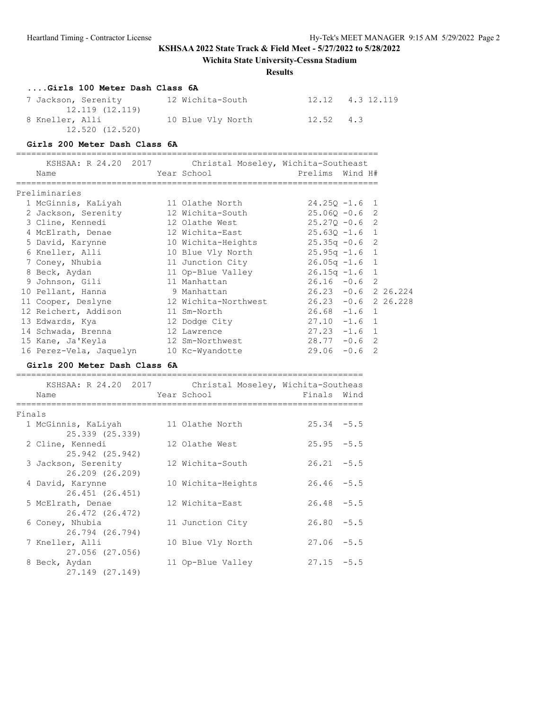# **Wichita State University-Cessna Stadium**

## **Results**

|        | Girls 100 Meter Dash Class 6A                                        |                                                    |                                         |                       |  |
|--------|----------------------------------------------------------------------|----------------------------------------------------|-----------------------------------------|-----------------------|--|
|        | 7 Jackson, Serenity<br>12.119 (12.119)                               | 12 Wichita-South                                   | 12.12 4.3 12.119                        |                       |  |
|        | 8 Kneller, Alli<br>12.520 (12.520)                                   | 10 Blue Vly North                                  | 12.52 4.3                               |                       |  |
|        | Girls 200 Meter Dash Class 6A<br>=================================== |                                                    |                                         |                       |  |
|        | KSHSAA: R 24.20 2017<br>Name                                         | Christal Moseley, Wichita-Southeast<br>Year School | Prelims Wind H#<br>;=================== |                       |  |
|        | Preliminaries                                                        |                                                    |                                         |                       |  |
|        | 1 McGinnis, KaLiyah                                                  | 11 Olathe North                                    | $24.25Q - 1.6$                          | 1                     |  |
|        | 2 Jackson, Serenity                                                  | 12 Wichita-South                                   | $25.06Q - 0.6$                          | 2                     |  |
|        | 3 Cline, Kennedi                                                     | 12 Olathe West                                     | 25.27Q -0.6                             | 2                     |  |
|        | 4 McElrath, Denae                                                    | 12 Wichita-East                                    | $25.63Q - 1.6$ 1                        |                       |  |
|        | 5 David, Karynne                                                     | 10 Wichita-Heights                                 | $25.35q -0.6$                           | 2                     |  |
|        | 6 Kneller, Alli                                                      | 10 Blue Vly North 25.95q -1.6 1                    |                                         |                       |  |
|        | 7 Coney, Nhubia                                                      | 11 Junction City 26.05q -1.6                       |                                         | 1                     |  |
|        | 8 Beck, Aydan                                                        | 11 Op-Blue Valley                                  | $26.15q - 1.6$                          | 1                     |  |
|        | 9 Johnson, Gili                                                      | 11 Manhattan                                       | $26.16 - 0.6$                           | 2                     |  |
|        | 10 Pellant, Hanna                                                    | 9 Manhattan                                        |                                         | $26.23 -0.6$ 2 26.224 |  |
|        | 11 Cooper, Deslyne                                                   | 12 Wichita-Northwest                               | $26.23 -0.6$ 2 26.228                   |                       |  |
|        | 12 Reichert, Addison                                                 | 11 Sm-North                                        | $26.68 - 1.6$ 1                         |                       |  |
|        | 13 Edwards, Kya                                                      | 12 Dodge City                                      | $27.10 - 1.6$                           | 1                     |  |
|        | 14 Schwada, Brenna                                                   | 12 Lawrence                                        | $27.23 -1.6$ 1                          |                       |  |
|        | 15 Kane, Ja'Keyla                                                    | 12 Sm-Northwest                                    | $28.77 - 0.6$ 2                         |                       |  |
|        | 16 Perez-Vela, Jaquelyn                                              | 10 Kc-Wyandotte                                    | $29.06 - 0.6$                           | 2                     |  |
|        | Girls 200 Meter Dash Class 6A                                        |                                                    |                                         |                       |  |
|        | KSHSAA: R 24.20 2017 Christal Moseley, Wichita-Southeas              |                                                    |                                         |                       |  |
|        | Name                                                                 | Year School                                        | Finals Wind                             |                       |  |
|        |                                                                      |                                                    |                                         |                       |  |
| Finals | 1 McGinnis, KaLiyah                                                  | 11 Olathe North                                    | $25.34 - 5.5$                           |                       |  |
|        | 25.339 (25.339)                                                      |                                                    |                                         |                       |  |
|        | 2 Cline, Kennedi<br>25.942 (25.942)                                  | 12 Olathe West                                     | $25.95 - 5.5$                           |                       |  |
|        | 3 Jackson, Serenity<br>26.209 (26.209)                               | 12 Wichita-South                                   | $26.21 - 5.5$                           |                       |  |
|        | 4 David, Karynne<br>26.451 (26.451)                                  | 10 Wichita-Heights                                 | $26.46 - 5.5$                           |                       |  |
|        | 5 McElrath, Denae<br>26.472 (26.472)                                 | 12 Wichita-East                                    | $26.48 - 5.5$                           |                       |  |
|        | 6 Coney, Nhubia<br>26.794 (26.794)                                   | 11 Junction City                                   | $26.80 - 5.5$                           |                       |  |
|        | 7 Kneller, Alli<br>27.056 (27.056)                                   | 10 Blue Vly North                                  | $27.06 - 5.5$                           |                       |  |
|        | 8 Beck, Aydan<br>27.149 (27.149)                                     | 11 Op-Blue Valley                                  | $27.15 - 5.5$                           |                       |  |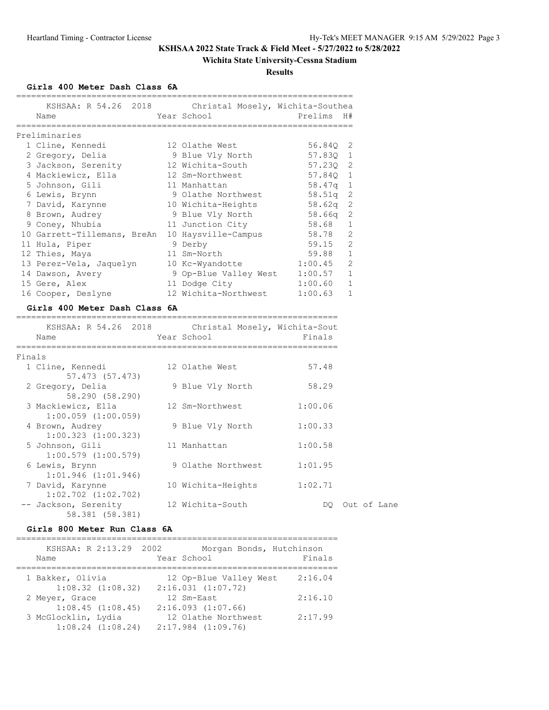## **Wichita State University-Cessna Stadium**

**Results**

**Girls 400 Meter Dash Class 6A**

| KSHSAA: R 54.26 2018 Christal Mosely, Wichita-Southea<br>Name | Year School           | Prelims    | H#             |
|---------------------------------------------------------------|-----------------------|------------|----------------|
| Preliminaries                                                 |                       |            |                |
| 1 Cline, Kennedi                                              | 12 Olathe West        | 56.840 2   |                |
| 2 Gregory, Delia                                              | 9 Blue Vly North      | 57.830 1   |                |
| 3 Jackson, Serenity                                           | 12 Wichita-South      | 57.23Q 2   |                |
| 4 Mackiewicz, Ella                                            | 12 Sm-Northwest       | 57.84Q 1   |                |
| 5 Johnson, Gili                                               | 11 Manhattan          | 58.47q     | $\mathbf{1}$   |
| 6 Lewis, Brynn                                                | 9 Olathe Northwest    | $58.51q$ 2 |                |
| 7 David, Karynne                                              | 10 Wichita-Heights    | 58.62q     | -2             |
| 8 Brown, Audrey                                               | 9 Blue Vly North      | 58.66a     | 2              |
| 9 Coney, Nhubia                                               | 11 Junction City      | 58.68      | $\mathbf{1}$   |
| 10 Garrett-Tillemans, BreAn                                   | 10 Haysville-Campus   | 58.78      | $\overline{2}$ |
| 11 Hula, Piper                                                | 9 Derby               | 59.15      | $\overline{2}$ |
| 12 Thies, Maya                                                | 11 Sm-North           | 59.88      | $\mathbf{1}$   |
| 13 Perez-Vela, Jaquelyn                                       | 10 Kc-Wyandotte       | 1:00.45    | $\overline{2}$ |
| 14 Dawson, Avery                                              | 9 Op-Blue Valley West | 1:00.57    | $\mathbf{1}$   |
| 15 Gere, Alex                                                 | 11 Dodge City         | 1:00.60    | $\mathbf{1}$   |
| 16 Cooper, Deslyne                                            | 12 Wichita-Northwest  | 1:00.63    | $\mathbf{1}$   |
| Girls 400 Meter Dash Class 6A                                 |                       |            |                |

|        | KSHSAA: R 54.26 2018<br>Name                  | Christal Mosely, Wichita-Sout<br>Year School | Finals  |             |
|--------|-----------------------------------------------|----------------------------------------------|---------|-------------|
| Finals |                                               |                                              |         |             |
|        | 1 Cline, Kennedi<br>57.473 (57.473)           | 12 Olathe West                               | 57.48   |             |
|        | 2 Gregory, Delia<br>58.290 (58.290)           | 9 Blue Vly North                             | 58.29   |             |
|        | 3 Mackiewicz, Ella<br>$1:00.059$ $(1:00.059)$ | 12 Sm-Northwest                              | 1:00.06 |             |
|        | 4 Brown, Audrey<br>$1:00.323$ $(1:00.323)$    | 9 Blue Vly North                             | 1:00.33 |             |
|        | 5 Johnson, Gili<br>$1:00.579$ $(1:00.579)$    | 11 Manhattan                                 | 1:00.58 |             |
|        | 6 Lewis, Brynn<br>$1:01.946$ $(1:01.946)$     | 9 Olathe Northwest                           | 1:01.95 |             |
|        | 7 David, Karynne<br>$1:02.702$ $(1:02.702)$   | 10 Wichita-Heights                           | 1:02.71 |             |
|        | -- Jackson, Serenity<br>58.381 (58.381)       | 12 Wichita-South                             | DO -    | Out of Lane |

#### **Girls 800 Meter Run Class 6A**

| KSHSAA: R 2:13.29 2002<br>Name               | Morgan Bonds, Hutchinson<br>Year School       | Finals  |
|----------------------------------------------|-----------------------------------------------|---------|
| 1 Bakker, Olivia                             | 12 Op-Blue Valley West                        | 2:16.04 |
| $1:08.32$ $(1:08.32)$<br>2 Meyer, Grace      | $2:16.031$ $(1:07.72)$<br>12 Sm-East          | 2:16.10 |
| $1:08.45$ $(1:08.45)$                        | $2:16.093$ $(1:07.66)$                        |         |
| 3 McGlocklin, Lydia<br>$1:08.24$ $(1:08.24)$ | 12 Olathe Northwest<br>$2:17.984$ $(1:09.76)$ | 2:17.99 |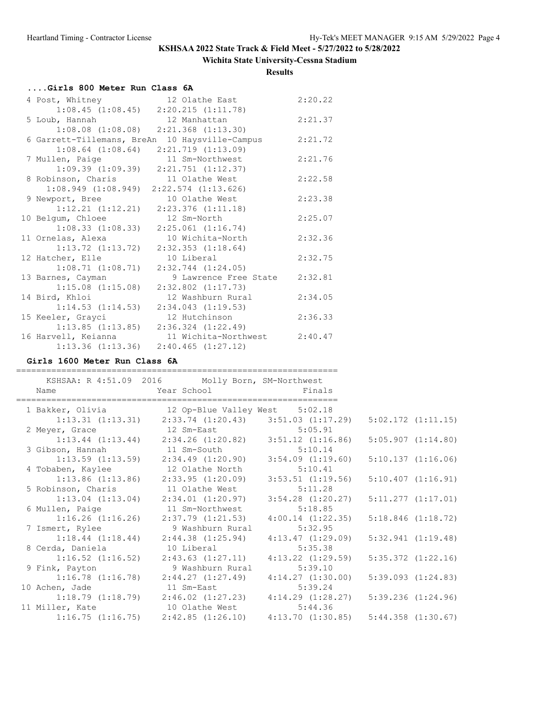# **Wichita State University-Cessna Stadium**

**Results**

| Girls 800 Meter Run Class 6A |                                              |         |
|------------------------------|----------------------------------------------|---------|
| 4 Post, Whitney              | 12 Olathe East                               | 2:20.22 |
|                              | $1:08.45$ $(1:08.45)$ $2:20.215$ $(1:11.78)$ |         |
| 5 Loub, Hannah               | 12 Manhattan                                 | 2:21.37 |
|                              | $1:08.08$ $(1:08.08)$ $2:21.368$ $(1:13.30)$ |         |
| 6 Garrett-Tillemans, BreAn   | 10 Haysville-Campus                          | 2:21.72 |
| $1:08.64$ $(1:08.64)$        | $2:21.719$ $(1:13.09)$                       |         |
| 7 Mullen, Paige              | 11 Sm-Northwest                              | 2:21.76 |
|                              | $1:09.39$ $(1:09.39)$ $2:21.751$ $(1:12.37)$ |         |
| 8 Robinson, Charis           | 11 Olathe West                               | 2:22.58 |
| $1:08.949$ $(1:08.949)$      | $2:22.574$ $(1:13.626)$                      |         |
| 9 Newport, Bree              | 10 Olathe West                               | 2:23.38 |
| $1:12.21$ $(1:12.21)$        | $2:23.376$ $(1:11.18)$                       |         |
| 10 Belgum, Chloee            | 12 Sm-North                                  | 2:25.07 |
| 1:08.33(1:08.33)             | $2:25.061$ $(1:16.74)$                       |         |
| 11 Ornelas, Alexa            | 10 Wichita-North                             | 2:32.36 |
| $1:13.72$ $(1:13.72)$        | $2:32.353$ $(1:18.64)$                       |         |
| 12 Hatcher, Elle             | 10 Liberal                                   | 2:32.75 |
| 1:08.71(1:08.71)             | $2:32.744$ $(1:24.05)$                       |         |
| 13 Barnes, Cayman            | 9 Lawrence Free State                        | 2:32.81 |
| $1:15.08$ $(1:15.08)$        | $2:32.802$ $(1:17.73)$                       |         |
| 14 Bird, Khloi               | 12 Washburn Rural                            | 2:34.05 |
| 1:14.53(1:14.53)             | $2:34.043$ $(1:19.53)$                       |         |
| 15 Keeler, Grayci            | 12 Hutchinson                                | 2:36.33 |
| $1:13.85$ $(1:13.85)$        | $2:36.324$ $(1:22.49)$                       |         |
| 16 Harvell, Keianna          | 11 Wichita-Northwest                         | 2:40.47 |
| $1:13.36$ $(1:13.36)$        | 2:40.465(1:27.12)                            |         |

# **Girls 1600 Meter Run Class 6A**

| Name                  | KSHSAA: R 4:51.09 2016 Molly Born, SM-Northwest<br>Year School Finals                      |                       |                        |
|-----------------------|--------------------------------------------------------------------------------------------|-----------------------|------------------------|
|                       | 1 Bakker, Olivia 12 Op-Blue Valley West 5:02.18                                            |                       |                        |
|                       | $1:13.31$ $(1:13.31)$ $2:33.74$ $(1:20.43)$ $3:51.03$ $(1:17.29)$                          |                       | $5:02.172$ $(1:11.15)$ |
|                       |                                                                                            |                       |                        |
|                       | 2 Meyer, Grace 12 Sm-East 5:05.91<br>1:13.44 (1:13.44) 2:34.26 (1:20.82) 3:51.12 (1:16.86) |                       | $5:05.907$ $(1:14.80)$ |
|                       | 3 Gibson, Hannah 11 Sm-South                                                               | 5:10.14               |                        |
|                       | $1:13.59$ $(1:13.59)$ $2:34.49$ $(1:20.90)$ $3:54.09$ $(1:19.60)$                          |                       | 5:10.137(1:16.06)      |
|                       | 4 Tobaben, Kaylee 12 Olathe North 5:10.41                                                  |                       |                        |
|                       | $1:13.86$ (1:13.86) $2:33.95$ (1:20.09) $3:53.51$ (1:19.56) $5:10.407$ (1:16.91)           |                       |                        |
|                       | 5 Robinson, Charis 11 Olathe West 5:11.28                                                  |                       |                        |
|                       | $1:13.04$ $(1:13.04)$ $2:34.01$ $(1:20.97)$ $3:54.28$ $(1:20.27)$                          |                       | $5:11.277$ $(1:17.01)$ |
|                       | 6 Mullen, Paige $11 \text{ Sm-Northwest}$ 5:18.85                                          |                       |                        |
|                       | $1:16.26$ $(1:16.26)$ $2:37.79$ $(1:21.53)$                                                | $4:00.14$ $(1:22.35)$ | $5:18.846$ $(1:18.72)$ |
|                       | 7 Ismert, Rylee 3 Washburn Rural 5:32.95                                                   |                       |                        |
|                       | $1:18.44$ $(1:18.44)$ $2:44.38$ $(1:25.94)$                                                | 4:13.47(1:29.09)      | 5:32.941 (1:19.48)     |
|                       | 8 Cerda, Daniela (10 Liberal 10 5:35.38)                                                   |                       |                        |
| $1:16.52$ $(1:16.52)$ | $2:43.63$ $(1:27.11)$                                                                      | $4:13.22$ $(1:29.59)$ | $5:35.372$ $(1:22.16)$ |
| 9 Fink, Payton        | 9 Washburn Rural                                                                           | 5:39.10               |                        |
|                       | $1:16.78$ $(1:16.78)$ $2:44.27$ $(1:27.49)$                                                | $4:14.27$ $(1:30.00)$ | $5:39.093$ $(1:24.83)$ |
|                       | 10 Achen, Jade 11 Sm-East 5:39.24                                                          |                       |                        |
|                       | $1:18.79$ (1:18.79) $2:46.02$ (1:27.23) $4:14.29$ (1:28.27)                                |                       | $5:39.236$ $(1:24.96)$ |
|                       | 11 Miller, Kate 10 Olathe West 5:44.36                                                     |                       |                        |
|                       | $1:16.75$ $(1:16.75)$ $2:42.85$ $(1:26.10)$ $4:13.70$ $(1:30.85)$ $5:44.358$ $(1:30.67)$   |                       |                        |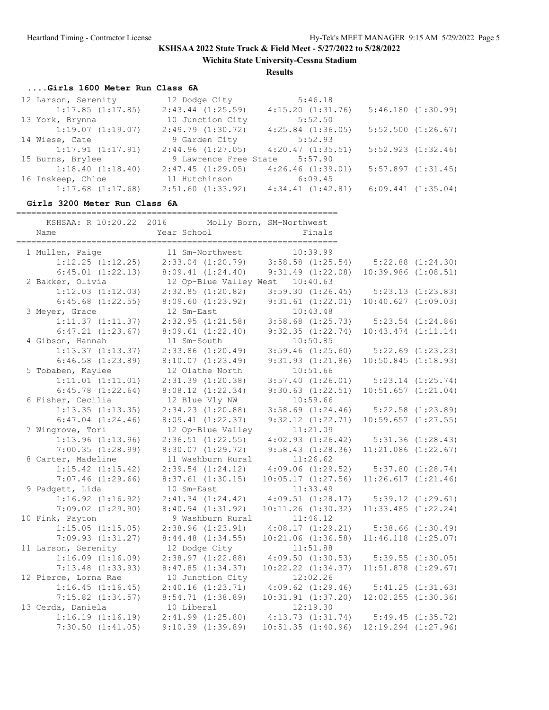**Wichita State University-Cessna Stadium**

**Results**

# **....Girls 1600 Meter Run Class 6A**

| 12 Larson, Serenity   | 12 Dodge City         | 5:46.18                       |                        |
|-----------------------|-----------------------|-------------------------------|------------------------|
| $1:17.85$ $(1:17.85)$ | $2:43.44$ $(1:25.59)$ | 4:15.20(1:31.76)              | 5:46.180(1:30.99)      |
| 13 York, Brynna       | 10 Junction City      | 5:52.50                       |                        |
| 1:19.07(1:19.07)      | 2:49.79(1:30.72)      | $4:25.84$ $(1:36.05)$         | $5:52.500$ $(1:26.67)$ |
| 14 Wiese, Cate        | 9 Garden City         | 5:52.93                       |                        |
| 1:17.91(1:17.91)      | $2:44.96$ $(1:27.05)$ | 4:20.47(1:35.51)              | $5:52.923$ $(1:32.46)$ |
| 15 Burns, Brylee      |                       | 9 Lawrence Free State 5:57.90 |                        |
| 1:18.40(1:18.40)      | 2:47.45(1:29.05)      | $4:26.46$ $(1:39.01)$         | 5:57.897(1:31.45)      |
| 16 Inskeep, Chloe     | 11 Hutchinson         | 6:09.45                       |                        |
| $1:17.68$ $(1:17.68)$ | $2:51.60$ $(1:33.92)$ | 4:34.41(1:42.81)              | $6:09.441$ $(1:35.04)$ |

#### **Girls 3200 Meter Run Class 6A**

| Name                  | KSHSAA: R 10:20.22 2016 Molly Born, SM-Northwest<br>Year School   | Finals                                         |                         |                       |
|-----------------------|-------------------------------------------------------------------|------------------------------------------------|-------------------------|-----------------------|
| 1 Mullen, Paige       | 11 Sm-Northwest                                                   | 10:39.99                                       |                         |                       |
| $1:12.25$ $(1:12.25)$ | $2:33.04$ $(1:20.79)$ $3:58.58$ $(1:25.54)$                       |                                                | $5:22.88$ $(1:24.30)$   |                       |
| $6:45.01$ $(1:22.13)$ | $8:09.41$ $(1:24.40)$ $9:31.49$ $(1:22.08)$                       |                                                | $10:39.986$ $(1:08.51)$ |                       |
| 2 Bakker, Olivia      | 12 Op-Blue Valley West 10:40.63                                   |                                                |                         |                       |
| $1:12.03$ $(1:12.03)$ | $2:32.85$ $(1:20.82)$ $3:59.30$ $(1:26.45)$                       |                                                |                         | $5:23.13$ $(1:23.83)$ |
| $6:45.68$ $(1:22.55)$ | $8:09.60$ $(1:23.92)$ $9:31.61$ $(1:22.01)$                       |                                                | 10:40.627(1:09.03)      |                       |
| 3 Meyer, Grace        | 12 Sm-East                                                        | 10:43.48                                       |                         |                       |
| $1:11.37$ $(1:11.37)$ | $2:32.95$ $(1:21.58)$                                             | $3:58.68$ $(1:25.73)$                          |                         | $5:23.54$ $(1:24.86)$ |
| $6:47.21$ $(1:23.67)$ | $8:09.61$ $(1:22.40)$                                             | 9:32.35(1:22.74)                               | $10:43.474$ $(1:11.14)$ |                       |
| 4 Gibson, Hannah      | 11 Sm-South                                                       | 10:50.85                                       |                         |                       |
| $1:13.37$ $(1:13.37)$ | $2:33.86$ $(1:20.49)$                                             | $3:59.46$ $(1:25.60)$ $5:22.69$ $(1:23.23)$    |                         |                       |
| $6:46.58$ $(1:23.89)$ | 8:10.07(1:23.49)                                                  | 9:31.93(1:21.86)                               | $10:50.845$ $(1:18.93)$ |                       |
| 5 Tobaben, Kaylee     | 12 Olathe North                                                   | 10:51.66                                       |                         |                       |
| 1:11.01 (1:11.01)     | $2:31.39$ $(1:20.38)$                                             | $3:57.40$ $(1:26.01)$ $5:23.14$ $(1:25.74)$    |                         |                       |
| $6:45.78$ $(1:22.64)$ | $8:08.12$ $(1:22.34)$                                             | $9:30.63$ $(1:22.51)$                          | $10:51.657$ $(1:21.04)$ |                       |
| 6 Fisher, Cecilia     | 12 Blue Vly NW                                                    | 10:59.66                                       |                         |                       |
| $1:13.35$ $(1:13.35)$ | $2:34.23$ $(1:20.88)$                                             | $3:58.69$ $(1:24.46)$                          |                         | $5:22.58$ $(1:23.89)$ |
| $6:47.04$ $(1:24.46)$ | 8:09.41(1:22.37)                                                  | $9:32.12$ $(1:22.71)$                          | $10:59.657$ $(1:27.55)$ |                       |
| 7 Wingrove, Tori      | 12 Op-Blue Valley                                                 | 11:21.09                                       |                         |                       |
| $1:13.96$ $(1:13.96)$ | $2:36.51$ $(1:22.55)$                                             | $4:02.93$ $(1:26.42)$                          |                         | $5:31.36$ $(1:28.43)$ |
| 7:00.35(1:28.99)      | 8:30.07(1:29.72)                                                  | 9:58.43(1:28.36)                               | $11:21.086$ $(1:22.67)$ |                       |
| 8 Carter, Madeline    | 11 Washburn Rural                                                 | 11:26.62                                       |                         |                       |
| $1:15.42$ $(1:15.42)$ | $2:39.54$ $(1:24.12)$ $4:09.06$ $(1:29.52)$ $5:37.80$ $(1:28.74)$ |                                                |                         |                       |
| $7:07.46$ $(1:29.66)$ | $8:37.61$ $(1:30.15)$                                             | $10:05.17$ $(1:27.56)$ $11:26.617$ $(1:21.46)$ |                         |                       |
| 9 Padgett, Lida       | 10 Sm-East                                                        | 11:33.49                                       |                         |                       |
| $1:16.92$ $(1:16.92)$ | $2:41.34$ $(1:24.42)$                                             | $4:09.51$ $(1:28.17)$ $5:39.12$ $(1:29.61)$    |                         |                       |
| $7:09.02$ $(1:29.90)$ | 8:40.94(1:31.92)                                                  | 10:11.26(1:30.32)                              | $11:33.485$ $(1:22.24)$ |                       |
| 10 Fink, Payton       | 9 Washburn Rural                                                  | 11:46.12                                       |                         |                       |
| $1:15.05$ $(1:15.05)$ | $2:38.96$ $(1:23.91)$                                             | $4:08.17$ $(1:29.21)$ $5:38.66$ $(1:30.49)$    |                         |                       |
| $7:09.93$ $(1:31.27)$ | $8:44.48$ $(1:34.55)$                                             | $10:21.06$ $(1:36.58)$                         | $11:46.118$ $(1:25.07)$ |                       |
| 11 Larson, Serenity   | 12 Dodge City                                                     | 11:51.88                                       |                         |                       |
| $1:16.09$ $(1:16.09)$ | 2:38.97(1:22.88)                                                  | 4:09.50(1:30.53)                               |                         | $5:39.55$ $(1:30.05)$ |
| $7:13.48$ $(1:33.93)$ | 8:47.85(1:34.37)                                                  | $10:22.22$ $(1:34.37)$                         | $11:51.878$ $(1:29.67)$ |                       |
| 12 Pierce, Lorna Rae  | 10 Junction City                                                  | 12:02.26                                       |                         |                       |
| 1:16.45(1:16.45)      | 2:40.16(1:23.71)                                                  | $4:09.62$ $(1:29.46)$                          |                         | 5:41.25(1:31.63)      |
| $7:15.82$ $(1:34.57)$ | 8:54.71(1:38.89)                                                  | 10:31.91(1:37.20)                              | $12:02.255$ $(1:30.36)$ |                       |
| 13 Cerda, Daniela     | 10 Liberal                                                        | 12:19.30                                       |                         |                       |
| 1:16.19(1:16.19)      | $2:41.99$ $(1:25.80)$ $4:13.73$ $(1:31.74)$ $5:49.45$ $(1:35.72)$ |                                                |                         |                       |
| $7:30.50$ $(1:41.05)$ | 9:10.39(1:39.89)                                                  | $10:51.35$ $(1:40.96)$ $12:19.294$ $(1:27.96)$ |                         |                       |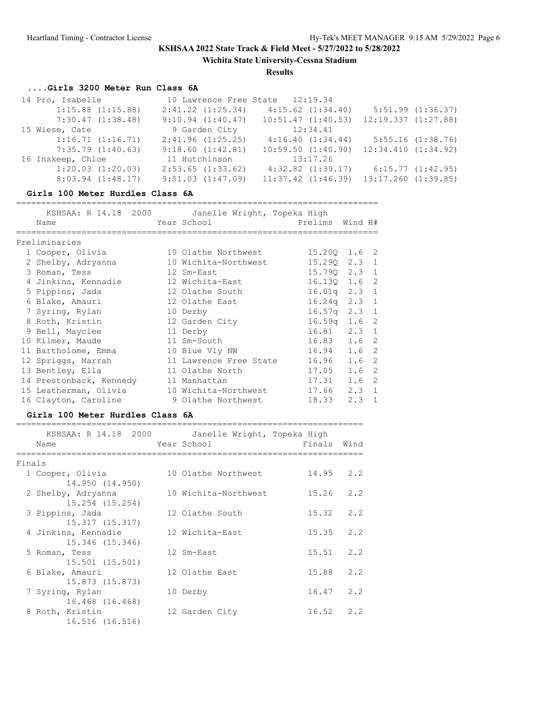**Wichita State University-Cessna Stadium**

**Results**

### **....Girls 3200 Meter Run Class 6A**

| 14 Pro, Isabelle      |                       | 10 Lawrence Free State 12:19.34 |                         |
|-----------------------|-----------------------|---------------------------------|-------------------------|
| $1:15.88$ $(1:15.88)$ | $2:41.22$ $(1:25.34)$ | $4:15.62$ $(1:34.40)$           | 5:51.99(1:36.37)        |
| 7:30.47(1:38.48)      | $9:10.94$ $(1:40.47)$ | 10:51.47(1:40.53)               | 12:19.337(1:27.88)      |
| 15 Wiese, Cate        | 9 Garden City         | 12:34.41                        |                         |
| 1:16.71(1:16.71)      | $2:41.96$ $(1:25.25)$ | 4:16.40(1:34.44)                | 5:55.16(1:38.76)        |
| 7:35.79(1:40.63)      | 9:18.60(1:42.81)      | $10:59.50$ $(1:40.90)$          | $12:34.410$ $(1:34.92)$ |
| 16 Inskeep, Chloe     | 11 Hutchinson         | 13:17.26                        |                         |
| $1:20.03$ $(1:20.03)$ | $2:53.65$ $(1:33.62)$ | $4:32.82$ $(1:39.17)$           | 6:15.77(1:42.95)        |
| $8:03.94$ $(1:48.17)$ | $9:51.03$ $(1:47.09)$ | $11:37.42$ $(1:46.39)$          | $13:17.260$ $(1:39.85)$ |

#### **Girls 100 Meter Hurdles Class 6A**

| Name                    | KSHSAA: R 14.18 2000 Janelle Wright, Topeka High<br>Year School | Prelims Wind H# |                  |                |
|-------------------------|-----------------------------------------------------------------|-----------------|------------------|----------------|
| Preliminaries           |                                                                 |                 |                  |                |
| 1 Cooper, Olivia        | 10 Olathe Northwest                                             | 15.200 1.6 2    |                  |                |
| 2 Shelby, Adryanna      | 10 Wichita-Northwest                                            | 15.290 2.3 1    |                  |                |
| 3 Roman, Tess           | 12 Sm-East                                                      | 15.790 2.3 1    |                  |                |
| 4 Jinkins, Kennadie     | 12 Wichita-East                                                 | 16.130          | 1.6              | 2              |
| 5 Pippins, Jada         | 12 Olathe South                                                 | 16.01q          | 2.3              | 1              |
| 6 Blake, Amauri         | 12 Olathe East                                                  | 16.24q          | 2.3              | 1              |
| 7 Syring, Rylan         | 10 Derby                                                        | 16.57a          | $2.3 \quad 1$    |                |
| 8 Roth, Kristin         | 12 Garden City                                                  | 16.59a          | 1.6 <sub>2</sub> |                |
| 9 Bell, Mayciee         | 11 Derby                                                        | 16.81           | $2.3 \quad 1$    |                |
| 10 Kilmer, Maude        | 11 Sm-South                                                     | 16.83           | 1.6 <sub>2</sub> |                |
| 11 Bartholome, Emma     | 10 Blue Vly NW                                                  | 16.94           | 1.6              | -2             |
| 12 Spriggs, Marrah      | 11 Lawrence Free State                                          | 16.96           | 1.6              | -2             |
| 13 Bentley, Ella        | 11 Olathe North                                                 | 17.05           | $1.6-2$          |                |
| 14 Prestonback, Kennedy | 11 Manhattan                                                    | 17.31           | 1.6              | 2              |
| 15 Leatherman, Olivia   | 10 Wichita-Northwest                                            | 17.66           | 2.3              | $\overline{1}$ |
| 16 Clayton, Caroline    | 9 Olathe Northwest                                              | 18.33           | 2.3              | 1              |

### **Girls 100 Meter Hurdles Class 6A**

|        | KSHSAA: R 14.18 2000<br>Name           | Janelle Wright, Topeka High<br>Year School | Finals Wind |     |
|--------|----------------------------------------|--------------------------------------------|-------------|-----|
| Finals |                                        |                                            |             |     |
|        | 1 Cooper, Olivia<br>14.950 (14.950)    | 10 Olathe Northwest                        | 14.95       | 2.2 |
|        | 2 Shelby, Adryanna<br>15.254 (15.254)  | 10 Wichita-Northwest                       | 15.26       | 2.2 |
|        | 3 Pippins, Jada<br>15.317 (15.317)     | 12 Olathe South                            | 15.32       | 2.2 |
|        | 4 Jinkins, Kennadie<br>15.346 (15.346) | 12 Wichita-East                            | 15.35       | 2.2 |
|        | 5 Roman, Tess<br>15.501 (15.501)       | 12 Sm-East                                 | 15.51       | 2.2 |
|        | 6 Blake, Amauri<br>15.873 (15.873)     | 12 Olathe East                             | 15.88       | 2.2 |
|        | 7 Syring, Rylan<br>16.468 (16.468)     | 10 Derby                                   | 16.47       | 2.2 |
|        | 8 Roth, Kristin<br>16.516 (16.516)     | 12 Garden City                             | 16.52       | 2.2 |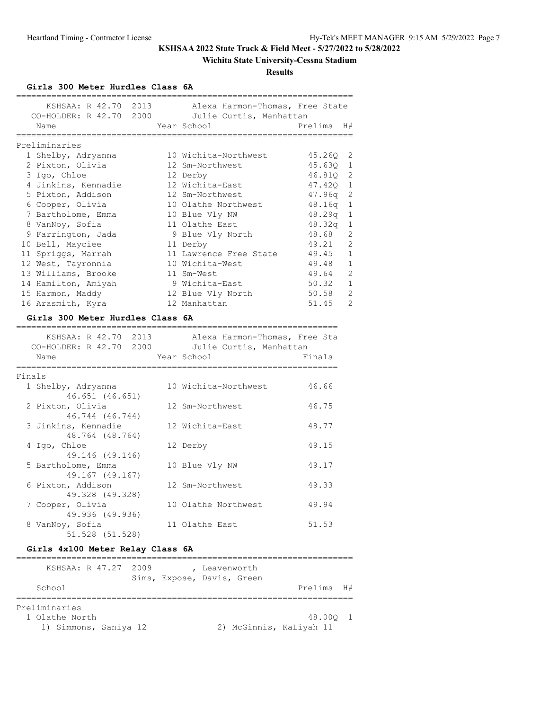## **Wichita State University-Cessna Stadium**

### **Results**

**Girls 300 Meter Hurdles Class 6A**

|                                                 | KSHSAA: R 42.70 2013 Alexa Harmon-Thomas, Free State |         |                |
|-------------------------------------------------|------------------------------------------------------|---------|----------------|
| CO-HOLDER: R 42.70 2000 Julie Curtis, Manhattan |                                                      |         |                |
| Name<br>=================                       | Year School<br>______________________                | Prelims | H#             |
| Preliminaries                                   |                                                      |         |                |
| 1 Shelby, Adryanna                              | 10 Wichita-Northwest                                 | 45.260  | 2              |
| 2 Pixton, Olivia                                | 12 Sm-Northwest                                      | 45.63Q  | 1              |
| 3 Igo, Chloe                                    | 12 Derby                                             | 46.81Q  | 2              |
| 4 Jinkins, Kennadie                             | 12 Wichita-East                                      | 47.420  | $\mathbf{1}$   |
| 5 Pixton, Addison                               | 12 Sm-Northwest                                      | 47.96a  | $\overline{c}$ |
| 6 Cooper, Olivia                                | 10 Olathe Northwest                                  | 48.16q  | 1              |
| 7 Bartholome, Emma                              | 10 Blue Vly NW                                       | 48.29q  | $\mathbf{1}$   |
| 8 VanNoy, Sofia                                 | 11 Olathe East                                       | 48.32q  | $\mathbf{1}$   |
| 9 Farrington, Jada                              | 9 Blue Vly North                                     | 48.68   | $\overline{c}$ |
| 10 Bell, Mayciee                                | 11 Derby                                             | 49.21   | $\overline{c}$ |
| 11 Spriggs, Marrah                              | 11 Lawrence Free State                               | 49.45   | $\mathbf{1}$   |
| 12 West, Tayronnia                              | 10 Wichita-West                                      | 49.48   | 1              |
| 13 Williams, Brooke                             | 11 Sm-West                                           | 49.64   | $\overline{c}$ |
| 14 Hamilton, Amiyah                             | 9 Wichita-East                                       | 50.32   | $\mathbf{1}$   |
| 15 Harmon, Maddy                                | 12 Blue Vly North                                    | 50.58   | $\overline{c}$ |
| 16 Arasmith, Kyra                               | 12 Manhattan                                         | 51.45   | $\overline{2}$ |
| Girls 300 Meter Hurdles Class 6A                | ============================                         |         |                |
| KSHSAA: R 42.70 2013                            | Alexa Harmon-Thomas, Free Sta                        |         |                |
| CO-HOLDER: R 42.70 2000                         | Julie Curtis, Manhattan                              |         |                |
| Name                                            | Year School                                          | Finals  |                |
| =======================                         |                                                      |         |                |
| Finals                                          |                                                      |         |                |
| 1 Shelby, Adryanna                              | 10 Wichita-Northwest                                 | 46.66   |                |
| 46.651 (46.651)                                 |                                                      |         |                |
| 2 Pixton, Olivia                                | 12 Sm-Northwest                                      | 46.75   |                |
| 46.744 (46.744)                                 |                                                      |         |                |
| 3 Jinkins, Kennadie                             | 12 Wichita-East                                      | 48.77   |                |
| 48.764 (48.764)                                 |                                                      |         |                |
| 4 Igo, Chloe                                    | 12 Derby                                             | 49.15   |                |
| 49.146 (49.146)                                 |                                                      |         |                |
| 5 Bartholome, Emma                              | 10 Blue Vly NW                                       | 49.17   |                |
| 49.167 (49.167)                                 |                                                      |         |                |
| 6 Pixton, Addison                               | 12 Sm-Northwest                                      | 49.33   |                |
| 49.328 (49.328)                                 |                                                      |         |                |
| 7 Cooper, Olivia                                | 10 Olathe Northwest                                  | 49.94   |                |
| 49.936 (49.936)                                 |                                                      |         |                |
| 8 VanNoy, Sofia                                 | 11 Olathe East                                       | 51.53   |                |
| 51.528 (51.528)                                 |                                                      |         |                |
| Girls 4x100 Meter Relay Class 6A                |                                                      |         |                |
|                                                 |                                                      |         |                |

|                |  | KSHSAA: R 47.27 2009 | Sims, Expose, Davis, Green | , Leavenworth |  |            |  |
|----------------|--|----------------------|----------------------------|---------------|--|------------|--|
| School         |  |                      |                            |               |  | Prelims H# |  |
| Preliminaries  |  |                      |                            |               |  |            |  |
| 1 Olathe North |  |                      |                            |               |  | 48.000 1   |  |

1) Simmons, Saniya 12 2) McGinnis, KaLiyah 11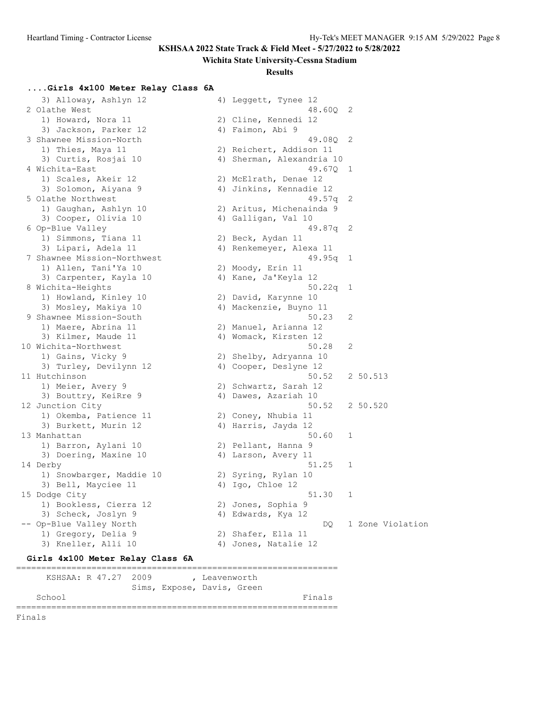#### **Wichita State University-Cessna Stadium**

#### **Results**

#### **....Girls 4x100 Meter Relay Class 6A**

3) Alloway, Ashlyn 12 4) Leggett, Tynee 12 2 Olathe West 48.60Q 2 1) Howard, Nora 11 2) Cline, Kennedi 12 3) Jackson, Parker 12 (4) Faimon, Abi 9 3 Shawnee Mission-North 49.08Q 2 1) Thies, Maya 11 2) Reichert, Addison 11 3) Curtis, Rosjai 10 4) Sherman, Alexandria 10 4 Wichita-East 49.67Q 1 1) Scales, Akeir 12 2) McElrath, Denae 12 3) Solomon, Aiyana 9 4) Jinkins, Kennadie 12 5 Olathe Northwest 49.57q 2 1) Gaughan, Ashlyn 10 2) Aritus, Michenainda 9 3) Cooper, Olivia 10 4) Galligan, Val 10 6 Op-Blue Valley 49.87q 2 1) Simmons, Tiana 11 2) Beck, Aydan 11 3) Lipari, Adela 11 4) Renkemeyer, Alexa 11 7 Shawnee Mission-Northwest 49.95q 1 1) Allen, Tani'Ya 10 2) Moody, Erin 11 3) Carpenter, Kayla 10 4) Kane, Ja'Keyla 12 8 Wichita-Heights 50.22q 1 1) Howland, Kinley 10 12) David, Karynne 10 3) Mosley, Makiya 10 4) Mackenzie, Buyno 11 9 Shawnee Mission-South 50.23 2 1) Maere, Abrina 11 2) Manuel, Arianna 12 3) Kilmer, Maude 11 4) Womack, Kirsten 12 10 Wichita-Northwest 50.28 2 1) Gains, Vicky 9 2) Shelby, Adryanna 10 3) Turley, Devilynn 12 4) Cooper, Deslyne 12 11 Hutchinson 50.52 2 50.513 1) Meier, Avery 9 2) Schwartz, Sarah 12 3) Bouttry, KeiRre 9 4) Dawes, Azariah 10 12 Junction City 50.52 2 50.520 1) Okemba, Patience 11 2) Coney, Nhubia 11 3) Burkett, Murin 12 4) Harris, Jayda 12 13 Manhattan 50.60 1 1) Barron, Aylani 10 2) Pellant, Hanna 9 3) Doering, Maxine 10 4) Larson, Avery 11 14 Derby 51.25 1 1) Snowbarger, Maddie 10 2) Syring, Rylan 10 3) Bell, Mayciee 11 4) Igo, Chloe 12 15 Dodge City 51.30 1 1) Bookless, Cierra 12 2) Jones, Sophia 9 3) Scheck, Joslyn 9 4) Edwards, Kya 12 -- Op-Blue Valley North DQ 1 Zone Violation 1) Gregory, Delia 9 2) Shafer, Ella 11 3) Kneller, Alli 10  $\hskip10mm$  4) Jones, Natalie 12

### **Girls 4x100 Meter Relay Class 6A**

================================================================ KSHSAA: R 47.27 2009 , Leavenworth Sims, Expose, Davis, Green School Finals ================================================================ Finals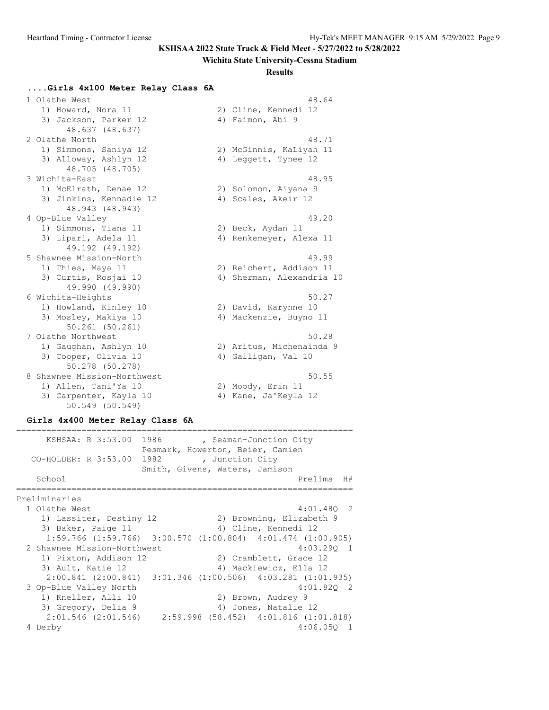#### **Wichita State University-Cessna Stadium**

#### **Results**

#### **....Girls 4x100 Meter Relay Class 6A**

1 Olathe West 48.64 1) Howard, Nora 11 2) Cline, Kennedi 12 3) Jackson, Parker 12 (4) Faimon, Abi 9 48.637 (48.637) 2 Olathe North 48.71 1) Simmons, Saniya 12 2) McGinnis, KaLiyah 11 3) Alloway, Ashlyn 12 4) Leggett, Tynee 12 48.705 (48.705) 3 Wichita-East 48.95 1) McElrath, Denae 12 2) Solomon, Aiyana 9 3) Jinkins, Kennadie 12 (4) Scales, Akeir 12 48.943 (48.943) 4 Op-Blue Valley 49.20 1) Simmons, Tiana 11 2) Beck, Aydan 11 3) Lipari, Adela 11 4) Renkemeyer, Alexa 11 49.192 (49.192) 5 Shawnee Mission-North 49.99 1) Thies, Maya 11 2) Reichert, Addison 11 3) Curtis, Rosjai 10 4) Sherman, Alexandria 10 49.990 (49.990) 6 Wichita-Heights 50.27 1) Howland, Kinley 10 2) David, Karynne 10 3) Mosley, Makiya 10 4) Mackenzie, Buyno 11 50.261 (50.261) 7 Olathe Northwest 50.28 1) Gaughan, Ashlyn 10 2) Aritus, Michenainda 9 3) Cooper, Olivia 10 4) Galligan, Val 10 50.278 (50.278) 8 Shawnee Mission-Northwest 50.55 1) Allen, Tani'Ya 10 2) Moody, Erin 11 3) Carpenter, Kayla 10 4) Kane, Ja'Keyla 12 50.549 (50.549)

#### **Girls 4x400 Meter Relay Class 6A**

KSHSAA: R 3:53.00 1986 , Seaman-Junction City Pesmark, Howerton, Beier, Camien CO-HOLDER: R 3:53.00 1982 , Junction City Smith, Givens, Waters, Jamison School Prelims H# =================================================================== Preliminaries 1 Olathe West 4:01.48Q 2 1) Lassiter, Destiny 12 2) Browning, Elizabeth 9 3) Baker, Paige 11 4) Cline, Kennedi 12 1:59.766 (1:59.766) 3:00.570 (1:00.804) 4:01.474 (1:00.905) 2 Shawnee Mission-Northwest 4:03.29Q 1 1) Pixton, Addison 12 2) Cramblett, Grace 12 3) Ault, Katie 12 4) Mackiewicz, Ella 12 2:00.841 (2:00.841) 3:01.346 (1:00.506) 4:03.281 (1:01.935) 3 Op-Blue Valley North 1) Kneller, Alli 10 2) Brown, Audrey 9 3) Gregory, Delia 9 19 12 4) Jones, Natalie 12 2:01.546 (2:01.546) 2:59.998 (58.452) 4:01.816 (1:01.818) 4 Derby 4:06.05Q 1

===================================================================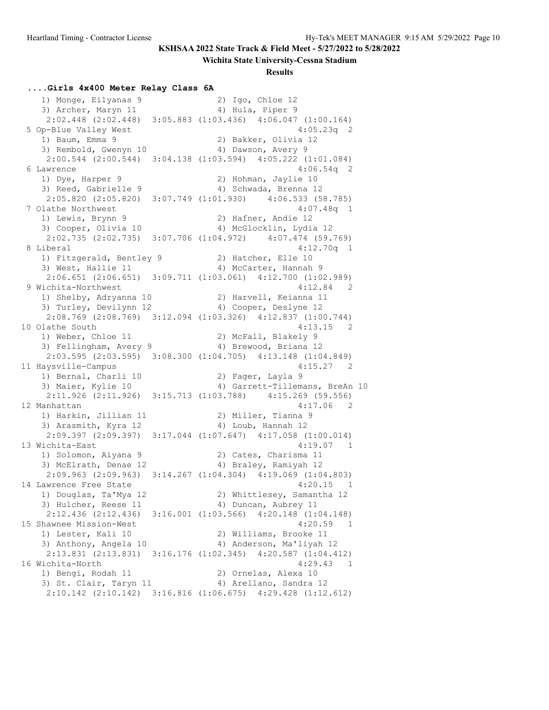#### **Wichita State University-Cessna Stadium**

#### **Results**

#### **....Girls 4x400 Meter Relay Class 6A**

1) Monge, Eilyanas 9 2) Igo, Chloe 12 3) Archer, Maryn 11 (4) Hula, Piper 9 2:02.448 (2:02.448) 3:05.883 (1:03.436) 4:06.047 (1:00.164) 5 Op-Blue Valley West 4:05.23q 2 1) Baum, Emma 9 2) Bakker, Olivia 12 3) Rembold, Gwenyn 10 1940 Bawson, Avery 9 2:00.544 (2:00.544) 3:04.138 (1:03.594) 4:05.222 (1:01.084) 6 Lawrence 4:06.54q 2<br>1) Dye, Harper 9 2) Hohman, Jaylie 10 1) Dye, Harper 9 2) Hohman, Jaylie 10 3) Reed, Gabrielle 9 4) Schwada, Brenna 12 2:05.820 (2:05.820) 3:07.749 (1:01.930) 4:06.533 (58.785) 7 Olathe Northwest 4:07.48q 1 1) Lewis, Brynn 9 2) Hafner, Andie 12 3) Cooper, Olivia 10 4) McGlocklin, Lydia 12 2:02.735 (2:02.735) 3:07.706 (1:04.972) 4:07.474 (59.769) 8 Liberal 4:12.70q 1 1) Fitzgerald, Bentley 9 2) Hatcher, Elle 10 3) West, Hallie 11 4) McCarter, Hannah 9 2:06.651 (2:06.651) 3:09.711 (1:03.061) 4:12.700 (1:02.989) 9 Wichita-Northwest 4:12.84 2 1) Shelby, Adryanna 10 2) Harvell, Keianna 11 3) Turley, Devilynn 12 4) Cooper, Deslyne 12 2:08.769 (2:08.769) 3:12.094 (1:03.326) 4:12.837 (1:00.744) 10 Olathe South 4:13.15 2 1) Weber, Chloe 11 2) McFall, Blakely 9 3) Fellingham, Avery 9 4) Brewood, Briana 12 2:03.595 (2:03.595) 3:08.300 (1:04.705) 4:13.148 (1:04.849) 11 Haysville-Campus 4:15.27 2 1) Bernal, Charli 10 2) Fager, Layla 9 3) Maier, Kylie 10 4) Garrett-Tillemans, BreAn 10 2:11.926 (2:11.926) 3:15.713 (1:03.788) 4:15.269 (59.556) 12 Manhattan 4:17.06 2 1) Harkin, Jillian 11 2) Miller, Tianna 9 3) Arasmith, Kyra 12 4) Loub, Hannah 12 2:09.397 (2:09.397) 3:17.044 (1:07.647) 4:17.058 (1:00.014) 13 Wichita-East 4:19.07 1 1) Solomon, Aiyana 9 2) Cates, Charisma 11 3) McElrath, Denae 12 4) Braley, Ramiyah 12 2:09.963 (2:09.963) 3:14.267 (1:04.304) 4:19.069 (1:04.803) 14 Lawrence Free State 2015 1 1) Douglas, Ta'Mya 12 2) Whittlesey, Samantha 12 3) Hulcher, Reese 11 (4) Duncan, Aubrey 11 2:12.436 (2:12.436) 3:16.001 (1:03.566) 4:20.148 (1:04.148) 15 Shawnee Mission-West 4:20.59 1<br>1) Lester, Kali 10 2) Williams, Brooke 11 1) Lester, Kali 10 2) Williams, Brooke 11 3) Anthony, Angela 10 4) Anderson, Ma'liyah 12 2:13.831 (2:13.831) 3:16.176 (1:02.345) 4:20.587 (1:04.412) 16 Wichita-North 4:29.43 1 1) Bengi, Rodah 11 2) Ornelas, Alexa 10 3) St. Clair, Taryn 11 4) Arellano, Sandra 12 2:10.142 (2:10.142) 3:16.816 (1:06.675) 4:29.428 (1:12.612)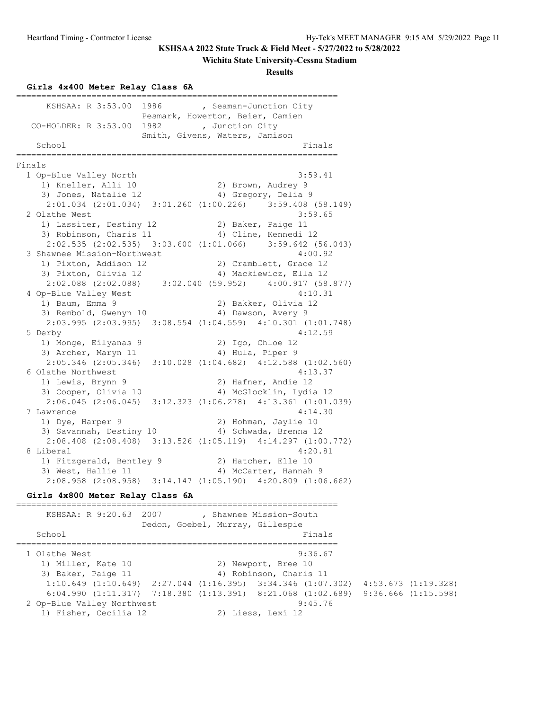#### **Wichita State University-Cessna Stadium**

#### **Results**

**Girls 4x400 Meter Relay Class 6A**

================================================================ KSHSAA: R 3:53.00 1986 , Seaman-Junction City Pesmark, Howerton, Beier, Camien CO-HOLDER: R 3:53.00 1982 , Junction City Smith, Givens, Waters, Jamison School Finals ================================================================ Finals 1 Op-Blue Valley North 3:59.41 1) Kneller, Alli 10 2) Brown, Audrey 9 3) Jones, Natalie 12 (4) Gregory, Delia 9 2:01.034 (2:01.034) 3:01.260 (1:00.226) 3:59.408 (58.149) 2 Olathe West 3:59.65 1) Lassiter, Destiny 12 (2) Baker, Paige 11 3) Robinson, Charis 11 (4) Cline, Kennedi 12 2:02.535 (2:02.535) 3:03.600 (1:01.066) 3:59.642 (56.043) 3 Shawnee Mission-Northwest 4:00.92 1) Pixton, Addison 12 2) Cramblett, Grace 12 3) Pixton, Olivia 12 4) Mackiewicz, Ella 12 2:02.088 (2:02.088) 3:02.040 (59.952) 4:00.917 (58.877) 4 Op-Blue Valley West 4:10.31 1) Baum, Emma 9 2) Bakker, Olivia 12 3) Rembold, Gwenyn 10 1940 Bawson, Avery 9 2:03.995 (2:03.995) 3:08.554 (1:04.559) 4:10.301 (1:01.748) 5 Derby 4:12.59 1) Monge, Eilyanas 9 2) Igo, Chloe 12 3) Archer, Maryn 11 (4) Hula, Piper 9 2:05.346 (2:05.346) 3:10.028 (1:04.682) 4:12.588 (1:02.560) 6 Olathe Northwest 4:13.37<br>1) Lewis, Brynn 9 (2) Hafner, Andie 12 1) Lewis, Brynn 9 2) Hafner, Andie 12 3) Cooper, Olivia 10 4) McGlocklin, Lydia 12 2:06.045 (2:06.045) 3:12.323 (1:06.278) 4:13.361 (1:01.039) 7 Lawrence 4:14.30<br>1) Dye, Harper 9 (2) Hohman, Jaylie 10 1) Dye, Harper 9 2) Hohman, Jaylie 10 3) Savannah, Destiny 10 4) Schwada, Brenna 12 2:08.408 (2:08.408) 3:13.526 (1:05.119) 4:14.297 (1:00.772) 8 Liberal 4:20.81 1) Fitzgerald, Bentley 9 2) Hatcher, Elle 10 3) West, Hallie 11 4) McCarter, Hannah 9 2:08.958 (2:08.958) 3:14.147 (1:05.190) 4:20.809 (1:06.662) **Girls 4x800 Meter Relay Class 6A**

### ================================================================ KSHSAA: R 9:20.63 2007 , Shawnee Mission-South Dedon, Goebel, Murray, Gillespie School Finals (1999) and the set of the set of the set of the set of the set of the set of the set of the set of the set of the set of the set of the set of the set of the set of the set of the set of the set of the set of ================================================================ 1 Olathe West 9:36.67 1) Miller, Kate 10 2) Newport, Bree 10 3) Baker, Paige 11 4) Robinson, Charis 11 1:10.649 (1:10.649) 2:27.044 (1:16.395) 3:34.346 (1:07.302) 4:53.673 (1:19.328) 6:04.990 (1:11.317) 7:18.380 (1:13.391) 8:21.068 (1:02.689) 9:36.666 (1:15.598) 2 Op-Blue Valley Northwest 9:45.76 1) Fisher, Cecilia 12 2) Liess, Lexi 12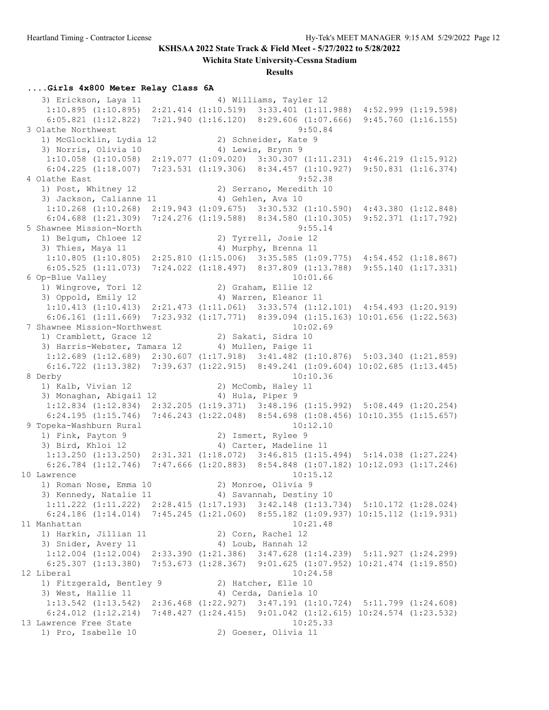**Wichita State University-Cessna Stadium**

**Results**

#### **....Girls 4x800 Meter Relay Class 6A**

 3) Erickson, Laya 11 4) Williams, Tayler 12 1:10.895 (1:10.895) 2:21.414 (1:10.519) 3:33.401 (1:11.988) 4:52.999 (1:19.598) 6:05.821 (1:12.822) 7:21.940 (1:16.120) 8:29.606 (1:07.666) 9:45.760 (1:16.155) 3 Olathe Northwest 9:50.84 1) McGlocklin, Lydia 12 (2) Schneider, Kate 9 3) Norris, Olivia 10 4) Lewis, Brynn 9 1:10.058 (1:10.058) 2:19.077 (1:09.020) 3:30.307 (1:11.231) 4:46.219 (1:15.912) 6:04.225 (1:18.007) 7:23.531 (1:19.306) 8:34.457 (1:10.927) 9:50.831 (1:16.374) 4 Olathe East 9:52.38 1) Post, Whitney 12 2) Serrano, Meredith 10 3) Jackson, Calianne 11 (4) Gehlen, Ava 10 1:10.268 (1:10.268) 2:19.943 (1:09.675) 3:30.532 (1:10.590) 4:43.380 (1:12.848) 6:04.688 (1:21.309) 7:24.276 (1:19.588) 8:34.580 (1:10.305) 9:52.371 (1:17.792) 5 Shawnee Mission-North 9:55.14 1) Belgum, Chloee 12 2) Tyrrell, Josie 12<br>1) Belgum, Chloee 12 2) Tyrrell, Josie 12 3) Thies, Maya 11 4) Murphy, Brenna 11 1:10.805 (1:10.805) 2:25.810 (1:15.006) 3:35.585 (1:09.775) 4:54.452 (1:18.867) 6:05.525 (1:11.073) 7:24.022 (1:18.497) 8:37.809 (1:13.788) 9:55.140 (1:17.331) 6 Op-Blue Valley 10:01.66 1) Wingrove, Tori 12 2) Graham, Ellie 12 3) Oppold, Emily 12 4) Warren, Eleanor 11 1:10.413 (1:10.413) 2:21.473 (1:11.061) 3:33.574 (1:12.101) 4:54.493 (1:20.919) 6:06.161 (1:11.669) 7:23.932 (1:17.771) 8:39.094 (1:15.163) 10:01.656 (1:22.563) 6:06.161 (1:11.609)  $(2.69$ <br>7 Shawnee Mission-Northwest<br> $(1.11.609)$ 1) Cramblett, Grace 12 2) Sakati, Sidra 10 3) Harris-Webster, Tamara 12 4) Mullen, Paige 11 1:12.689 (1:12.689) 2:30.607 (1:17.918) 3:41.482 (1:10.876) 5:03.340 (1:21.859) 6:16.722 (1:13.382) 7:39.637 (1:22.915) 8:49.241 (1:09.604) 10:02.685 (1:13.445) 8 Derby 10:10.36<br>1) Kalb, Vivian 12 (2) McComb, Haley 11 1) Kalb, Vivian 12 2) McComb, Haley 11 3) Monaghan, Abigail 12  $\hskip10mm$  4) Hula, Piper 9 1:12.834 (1:12.834) 2:32.205 (1:19.371) 3:48.196 (1:15.992) 5:08.449 (1:20.254) 6:24.195 (1:15.746) 7:46.243 (1:22.048) 8:54.698 (1:08.456) 10:10.355 (1:15.657) 9 Topeka-Washburn Rural 10:12.10 1) Fink, Payton 9 2) Ismert, Rylee 9 3) Bird, Khloi 12 4) Carter, Madeline 11 1:13.250 (1:13.250) 2:31.321 (1:18.072) 3:46.815 (1:15.494) 5:14.038 (1:27.224) 6:26.784 (1:12.746) 7:47.666 (1:20.883) 8:54.848 (1:07.182) 10:12.093 (1:17.246) 10 Lawrence 10:15.12 1) Roman Nose, Emma 10 2) Monroe, Olivia 9 3) Kennedy, Natalie 11  $\hskip10mm$  4) Savannah, Destiny 10 1:11.222 (1:11.222) 2:28.415 (1:17.193) 3:42.148 (1:13.734) 5:10.172 (1:28.024) 6:24.186 (1:14.014) 7:45.245 (1:21.060) 8:55.182 (1:09.937) 10:15.112 (1:19.931) 11 Manhattan 10:21.48 1) Harkin, Jillian 11 2) Corn, Rachel 12 3) Snider, Avery 11 4) Loub, Hannah 12 1:12.004 (1:12.004) 2:33.390 (1:21.386) 3:47.628 (1:14.239) 5:11.927 (1:24.299) 6:25.307 (1:13.380) 7:53.673 (1:28.367) 9:01.625 (1:07.952) 10:21.474 (1:19.850) 12 Liberal 10:24.58 1) Fitzgerald, Bentley 9 2) Hatcher, Elle 10 3) West, Hallie 11 (4) Cerda, Daniela 10 1:13.542 (1:13.542) 2:36.468 (1:22.927) 3:47.191 (1:10.724) 5:11.799 (1:24.608) 6:24.012 (1:12.214) 7:48.427 (1:24.415) 9:01.042 (1:12.615) 10:24.574 (1:23.532) 13 Lawrence Free State 10:25.33 1) Pro, Isabelle 10 2) Goeser, Olivia 11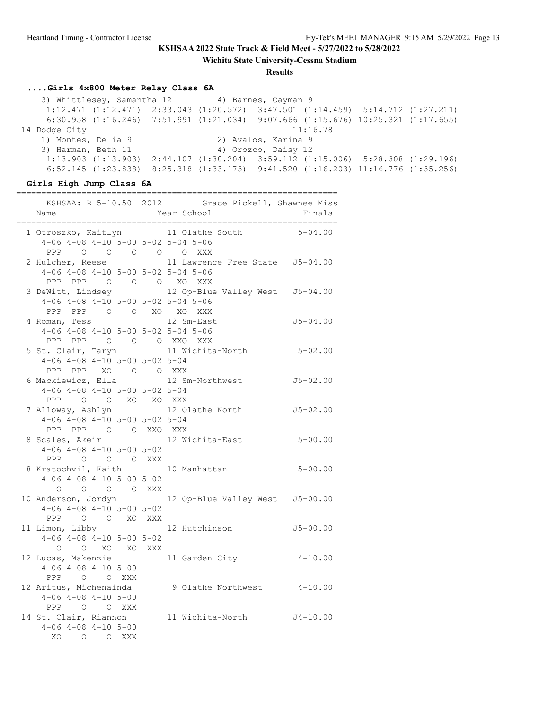**Wichita State University-Cessna Stadium**

#### **Results**

## **....Girls 4x800 Meter Relay Class 6A**

3) Whittlesey, Samantha 12 4) Barnes, Cayman 9 1:12.471 (1:12.471) 2:33.043 (1:20.572) 3:47.501 (1:14.459) 5:14.712 (1:27.211) 6:30.958 (1:16.246) 7:51.991 (1:21.034) 9:07.666 (1:15.676) 10:25.321 (1:17.655) 14 Dodge City 11:16.78 1) Montes, Delia 9 2) Avalos, Karina 9 3) Harman, Beth 11 4) Orozco, Daisy 12 1:13.903 (1:13.903) 2:44.107 (1:30.204) 3:59.112 (1:15.006) 5:28.308 (1:29.196) 6:52.145 (1:23.838) 8:25.318 (1:33.173) 9:41.520 (1:16.203) 11:16.776 (1:35.256)

### **Girls High Jump Class 6A**

|                                                                                                       | KSHSAA: R 5-10.50 2012 Grace Pickell, Shawnee Miss<br>Name<br>Finals Year School Finals |              |
|-------------------------------------------------------------------------------------------------------|-----------------------------------------------------------------------------------------|--------------|
| $4-06$ $4-08$ $4-10$ $5-00$ $5-02$ $5-04$ $5-06$                                                      | 1 Otroszko, Kaitlyn 11 Olathe South 5-04.00                                             |              |
| PPP 0 0 0 0 0 XXX<br>$4-06$ $4-08$ $4-10$ $5-00$ $5-02$ $5-04$ $5-06$                                 | 2 Hulcher, Reese 11 Lawrence Free State J5-04.00                                        |              |
| PPP PPP 0 0 0 XO XXX<br>$4-06$ $4-08$ $4-10$ $5-00$ $5-02$ $5-04$ $5-06$                              | 3 DeWitt, Lindsey 12 Op-Blue Valley West J5-04.00                                       |              |
| PPP PPP 0 0 XO XO XXX<br>4 Roman, Tess 12 Sm-East<br>$4-06$ $4-08$ $4-10$ $5-00$ $5-02$ $5-04$ $5-06$ |                                                                                         | $J5 - 04.00$ |
| PPP PPP 0 0 0 XXO XXX<br>5 St. Clair, Taryn<br>$4-06$ $4-08$ $4-10$ $5-00$ $5-02$ $5-04$              | 11 Wichita-North 5-02.00                                                                |              |
| PPP PPP XO O O XXX<br>6 Mackiewicz, Ella                                                              | 12 Sm-Northwest J5-02.00                                                                |              |
| $4-06$ $4-08$ $4-10$ $5-00$ $5-02$ $5-04$                                                             | PPP 0 0 XO XO XXX<br>7 Alloway, Ashlyn 12 Olathe North 55-02.00                         |              |
| $4-06$ $4-08$ $4-10$ $5-00$ $5-02$ $5-04$<br>PPP PPP 0 0 XXO XXX                                      | 8 Scales, Akeir 12 Wichita-East 5-00.00                                                 |              |
| $4-06$ $4-08$ $4-10$ $5-00$ $5-02$<br>PPP 0 0 0 XXX                                                   | 8 Kratochvil, Faith 10 Manhattan 5-00.00                                                |              |
| $4-06$ $4-08$ $4-10$ $5-00$ $5-02$<br>0 0 0 0 XXX                                                     |                                                                                         |              |
| $4-06$ $4-08$ $4-10$ $5-00$ $5-02$<br>PPP 0 0 XO XXX                                                  | 10 Anderson, Jordyn 12 Op-Blue Valley West J5-00.00                                     |              |
| $4-06$ $4-08$ $4-10$ $5-00$ $5-02$<br>O O XO XO XXX                                                   | 11 Limon, Libby 12 Hutchinson 55-00.00                                                  |              |
|                                                                                                       | 12 Lucas, Makenzie 11 Garden City 4-10.00<br>4-06 4-08 4-10 5-00                        |              |
| PPP 0 0 XXX<br>$4-06$ $4-08$ $4-10$ $5-00$                                                            | 12 Aritus, Michenainda 9 Olathe Northwest 4-10.00                                       |              |
| PPP 0 0 XXX<br>14 St. Clair, Riannon<br>$4-06$ $4-08$ $4-10$ $5-00$<br>XO O O XXX                     | 11 Wichita-North J4-10.00                                                               |              |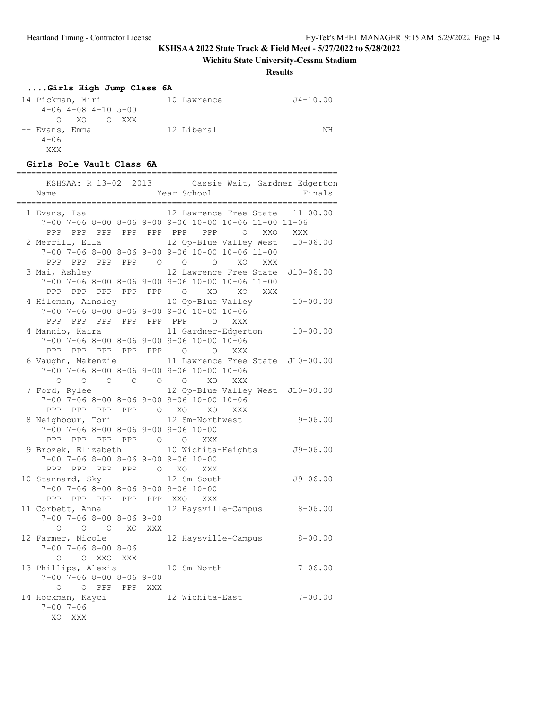# **Wichita State University-Cessna Stadium**

**Results**

# **....Girls High Jump Class 6A**

| 14 Pickman, Miri            | 10 Lawrence | J4-10.00 |
|-----------------------------|-------------|----------|
| $4-06$ $4-08$ $4-10$ $5-00$ |             |          |
| $\Omega$ XO<br>O XXX        |             |          |
| -- Evans, Emma              | 12 Liberal  | NΗ       |
| $4 - 06$                    |             |          |
| XXX                         |             |          |

## **Girls Pole Vault Class 6A**

| Name                                                                                                                               | KSHSAA: R 13-02 2013 Cassie Wait, Gardner Edgerton<br>Year School                                                                 | Finals       |
|------------------------------------------------------------------------------------------------------------------------------------|-----------------------------------------------------------------------------------------------------------------------------------|--------------|
| 1 Evans, Isa                                                                                                                       | 12 Lawrence Free State 11-00.00<br>7-00 7-06 8-00 8-06 9-00 9-06 10-00 10-06 11-00 11-06<br>PPP PPP PPP PPP PPP PPP PPP 0 XXO XXX |              |
| 2 Merrill, Ella                                                                                                                    | 12 Op-Blue Valley West 10-06.00<br>7-00 7-06 8-00 8-06 9-00 9-06 10-00 10-06 11-00<br>PPP PPP PPP PPP 0 0 0 0 XO XXX              |              |
| 3 Mai, Ashley                                                                                                                      | 12 Lawrence Free State J10-06.00<br>7-00 7-06 8-00 8-06 9-00 9-06 10-00 10-06 11-00<br>PPP PPP PPP PPP PPP 0 XO XO XXX            |              |
| 4 Hileman, Ainsley 10 Op-Blue Valley<br>$7-00$ $7-06$ $8-00$ $8-06$ $9-00$ $9-06$ $10-00$ $10-06$<br>PPP PPP PPP PPP PPP PPP O XXX |                                                                                                                                   | $10 - 00.00$ |
| 4 Mannio, Kaira<br>7-00 7-06 8-00 8-06 9-00 9-06 10-00 10-06<br>PPP PPP PPP PPP PPP 0 0 XXX                                        | 11 Gardner-Edgerton 10-00.00                                                                                                      |              |
| 6 Vaughn, Makenzie<br>7-00 7-06 8-00 8-06 9-00 9-06 10-00 10-06                                                                    | 11 Lawrence Free State J10-00.00<br>0 0 0 0 0 0 XO XXX                                                                            |              |
| 7-00 7-06 8-00 8-06 9-00 9-06 10-00 10-06<br>PPP PPP PPP PPP O XO                                                                  | 7 Ford, Rylee 310 12 Op-Blue Valley West J10-00.00<br>XO XXX                                                                      |              |
| 8 Neighbour, Tori<br>$7-00$ $7-06$ $8-00$ $8-06$ $9-00$ $9-06$ $10-00$<br>PPP PPP PPP PPP 0 0 XXX                                  | 12 Sm-Northwest                                                                                                                   | $9 - 06.00$  |
| $7-00$ $7-06$ $8-00$ $8-06$ $9-00$ $9-06$ $10-00$                                                                                  | 9 Brozek, Elizabeth 10 Wichita-Heights J9-06.00                                                                                   |              |
| PPP PPP PPP PPP 0 XO XXX<br>10 Stannard, Sky<br>7-00 7-06 8-00 8-06 9-00 9-06 10-00                                                | 12 Sm-South                                                                                                                       | $J9 - 06.00$ |
| PPP PPP PPP PPP PPP XXO XXX<br>$7-00$ $7-06$ $8-00$ $8-06$ $9-00$                                                                  | 11 Corbett, Anna 12 Haysville-Campus                                                                                              | $8 - 06.00$  |
| O O XO XXX<br>$\circ$<br>12 Farmer, Nicole<br>$7-00$ $7-06$ $8-00$ $8-06$                                                          | 12 Haysville-Campus 8-00.00                                                                                                       |              |
| $\circ$<br>O XXO XXX<br>13 Phillips, Alexis 10 Sm-North<br>$7-00$ $7-06$ $8-00$ $8-06$ $9-00$                                      |                                                                                                                                   | $7 - 06.00$  |
| 0 0 PPP PPP XXX<br>14 Hockman, Kayci<br>$7 - 00$ $7 - 06$<br>XO XXX                                                                | 12 Wichita-East                                                                                                                   | $7 - 00.00$  |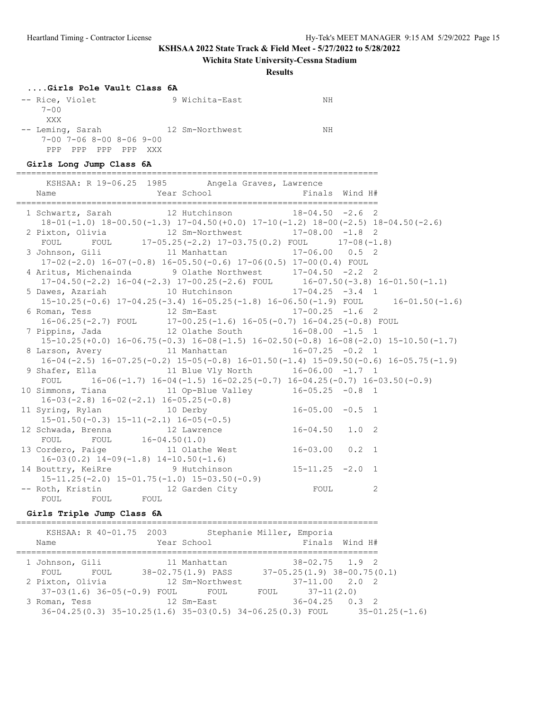**Wichita State University-Cessna Stadium**

**Results**

#### **....Girls Pole Vault Class 6A**

| -- Rice, Violet  |             |                                    |     | 9 Wichita-East  | NΗ |
|------------------|-------------|------------------------------------|-----|-----------------|----|
| $7 - 00$         |             |                                    |     |                 |    |
| XXX              |             |                                    |     |                 |    |
| -- Leming, Sarah |             |                                    |     | 12 Sm-Northwest | ΝH |
|                  |             | $7-00$ $7-06$ $8-00$ $8-06$ $9-00$ |     |                 |    |
| PPP.             | PPP PPP PPP |                                    | XXX |                 |    |

========================================================================

#### **Girls Long Jump Class 6A**

KSHSAA: R 19-06.25 1985 Angela Graves, Lawrence Name  $Year School$  Finals Wind H# ======================================================================== 1 Schwartz, Sarah 12 Hutchinson 18-04.50 -2.6 2 18-01(-1.0) 18-00.50(-1.3) 17-04.50(+0.0) 17-10(-1.2) 18-00(-2.5) 18-04.50(-2.6) 2 Pixton, Olivia 12 Sm-Northwest 17-08.00 -1.8 2 FOUL FOUL 17-05.25(-2.2) 17-03.75(0.2) FOUL 17-08(-1.8) 3 Johnson, Gili 11 Manhattan 17-06.00 0.5 2 17-02(-2.0) 16-07(-0.8) 16-05.50(-0.6) 17-06(0.5) 17-00(0.4) FOUL 4 Aritus, Michenainda 9 Olathe Northwest 17-04.50 -2.2 2 17-04.50(-2.2) 16-04(-2.3) 17-00.25(-2.6) FOUL 16-07.50(-3.8) 16-01.50(-1.1) 5 Dawes, Azariah 10 Hutchinson 17-04.25 -3.4 1 15-10.25(-0.6) 17-04.25(-3.4) 16-05.25(-1.8) 16-06.50(-1.9) FOUL 16-01.50(-1.6) 6 Roman, Tess 12 Sm-East 17-00.25 -1.6 2 16-06.25(-2.7) FOUL 17-00.25(-1.6) 16-05(-0.7) 16-04.25(-0.8) FOUL 7 Pippins, Jada 12 Olathe South 16-08.00 -1.5 1 15-10.25(+0.0) 16-06.75(-0.3) 16-08(-1.5) 16-02.50(-0.8) 16-08(-2.0) 15-10.50(-1.7) 8 Larson, Avery 11 Manhattan 16-07.25 -0.2 1 16-04(-2.5) 16-07.25(-0.2) 15-05(-0.8) 16-01.50(-1.4) 15-09.50(-0.6) 16-05.75(-1.9) 9 Shafer, Ella 11 Blue Vly North 16-06.00 -1.7 1 FOUL  $16-06(-1.7) 16-04(-1.5) 16-02.25(-0.7) 16-04.25(-0.7) 16-03.50(-0.9)$ 10 Simmons, Tiana 11 Op-Blue Valley 16-05.25 -0.8 1<br>16-03(-2.8) 16-02(-2.1) 16-05.25(-0.8) 16-03(-2.8) 16-02(-2.1) 16-05.25(-0.8) 11 Syring, Rylan 10 Derby 16-05.00 -0.5 1 15-01.50(-0.3) 15-11(-2.1) 16-05(-0.5) 12 Schwada, Brenna 12 Lawrence 16-04.50 1.0 2 FOUL FOUL 16-04.50(1.0) FOUL FOUL 16-04.50(1.0)<br>13 Cordero, Paige 11 Olathe West 16-03.00 0.2 1 16-03(0.2) 14-09(-1.8) 14-10.50(-1.6) 14 Bouttry, KeiRre 9 Hutchinson 15-11.25 -2.0 1 15-11.25(-2.0) 15-01.75(-1.0) 15-03.50(-0.9) -- Roth, Kristin 12 Garden City FOUL 2 FOUL FOUL FOUL

### **Girls Triple Jump Class 6A**

| KSHSAA: R 40-01.75 2003<br>Name                                                    | Year School                        | Stephanie Miller, Emporia |                                    | Finals Wind H#                      |
|------------------------------------------------------------------------------------|------------------------------------|---------------------------|------------------------------------|-------------------------------------|
| 1 Johnson, Gili<br>FOUL FOUL                                                       | 11 Manhattan<br>38-02.75(1.9) PASS |                           | $38 - 02.75$ 1.9 2                 | $37 - 05.25(1.9)$ $38 - 00.75(0.1)$ |
| 2 Pixton, Olivia<br>$37-03(1.6)$ $36-05(-0.9)$ FOUL                                | 12 Sm-Northwest<br>FOUL            | FOUL                      | $37-11.00$ 2.0 2<br>$37 - 11(2.0)$ |                                     |
| 3 Roman, Tess<br>$36-04.25(0.3)$ $35-10.25(1.6)$ $35-03(0.5)$ $34-06.25(0.3)$ FOUL | 12 Sm-East                         |                           | $36 - 04.25$ 0.3 2                 | $35 - 01$ , $25(-1, 6)$             |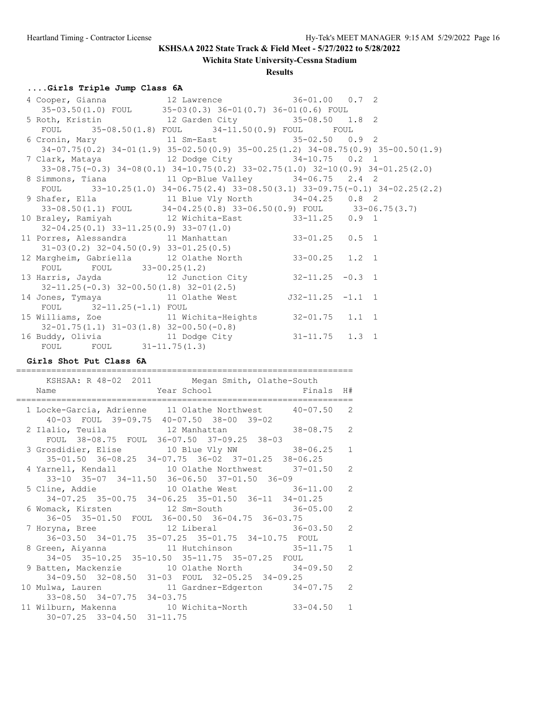**Wichita State University-Cessna Stadium**

### **Results**

# **....Girls Triple Jump Class 6A**

| 4 Cooper, Gianna $12$ Lawrence $36-01.00$ 0.7 2                                                               |                                                                                              |  |  |
|---------------------------------------------------------------------------------------------------------------|----------------------------------------------------------------------------------------------|--|--|
| 35-03.50(1.0) FOUL 35-03(0.3) 36-01(0.7) 36-01(0.6) FOUL                                                      |                                                                                              |  |  |
| 5 Roth, Kristin 12 Garden City 35-08.50 1.8 2                                                                 |                                                                                              |  |  |
|                                                                                                               | FOUL 35-08.50(1.8) FOUL 34-11.50(0.9) FOUL FOUL                                              |  |  |
| 6 Cronin, Mary 11 Sm-East 35-02.50 0.9 2                                                                      |                                                                                              |  |  |
|                                                                                                               | $34-07.75(0.2)$ $34-01(1.9)$ $35-02.50(0.9)$ $35-00.25(1.2)$ $34-08.75(0.9)$ $35-00.50(1.9)$ |  |  |
| 7 Clark, Mataya               12 Dodge City             34-10.75   0.2   1                                    |                                                                                              |  |  |
|                                                                                                               | $33-08.75(-0.3)$ $34-08(0.1)$ $34-10.75(0.2)$ $33-02.75(1.0)$ $32-10(0.9)$ $34-01.25(2.0)$   |  |  |
| 8 Simmons, Tiana 		 11 Op-Blue Valley 		 34-06.75 2.4 2                                                       |                                                                                              |  |  |
| FOUL 33-10.25(1.0) 34-06.75(2.4) 33-08.50(3.1) 33-09.75(-0.1) 34-02.25(2.2)                                   |                                                                                              |  |  |
| 9 Shafer, Ella                 11 Blue Vly North         34-04.25   0.8   2                                   |                                                                                              |  |  |
| $33-08.50(1.1)$ FOUL $34-04.25(0.8)$ $33-06.50(0.9)$ FOUL $33-06.75(3.7)$                                     |                                                                                              |  |  |
| 10 Braley, Ramiyah 12 Wichita-East 33-11.25 0.9 1                                                             |                                                                                              |  |  |
| 32-04.25(0.1) 33-11.25(0.9) 33-07(1.0)<br>11 Porres, Alessandra 11 Manhattan 33-01.25 0.5 1                   |                                                                                              |  |  |
|                                                                                                               |                                                                                              |  |  |
| $31-03(0.2)$ $32-04.50(0.9)$ $33-01.25(0.5)$                                                                  |                                                                                              |  |  |
| 12 Margheim, Gabriella 12 Olathe North 33-00.25 1.2 1                                                         |                                                                                              |  |  |
| FOUL FOUL 33-00.25(1.2)                                                                                       |                                                                                              |  |  |
| 13 Harris, Jayda 12 Junction City 32-11.25 -0.3 1                                                             |                                                                                              |  |  |
| $32-11.25(-0.3)$ $32-00.50(1.8)$ $32-01(2.5)$                                                                 |                                                                                              |  |  |
| 14 Jones, Tymaya $11$ Olathe West $J32-11.25$ -1.1 1                                                          |                                                                                              |  |  |
| FOUL 32-11.25(-1.1) FOUL                                                                                      |                                                                                              |  |  |
| 15 Williams, Zoe 11 Wichita-Heights 32-01.75 1.1 1                                                            |                                                                                              |  |  |
| $32-01.75(1.1)$ $31-03(1.8)$ $32-00.50(-0.8)$                                                                 |                                                                                              |  |  |
| $32$ <sup>-U1.</sup> (U.1.1) $31$ -U3(1.0) $32$ -U0.30(-0.8)<br>16 Buddy, Olivia 11 Dodge City 31-11.75 1.3 1 |                                                                                              |  |  |
| FOUL FOUL 31-11.75(1.3)                                                                                       |                                                                                              |  |  |

## **Girls Shot Put Class 6A**

| KSHSAA: R 48-02 2011 Megan Smith, Olathe-South                                  |              |
|---------------------------------------------------------------------------------|--------------|
| Year School <a> Finals H#<br/>Name</a>                                          |              |
|                                                                                 |              |
| 1 Locke-Garcia, Adrienne 11 Olathe Northwest 40-07.50 2                         |              |
| 40-03 FOUL 39-09.75 40-07.50 38-00 39-02                                        |              |
| 2 Ilalio, Teuila $12$ Manhattan $38-08.75$ 2                                    |              |
| FOUL 38-08.75 FOUL 36-07.50 37-09.25 38-03                                      | $\mathbf{1}$ |
| 3 Grosdidier, Elise 10 Blue Vly NW 38-06.25                                     |              |
| 35-01.50 36-08.25 34-07.75 36-02 37-01.25 38-06.25                              |              |
| 4 Yarnell, Kendall 10 Olathe Northwest 37-01.50 2                               |              |
| 33-10 35-07 34-11.50 36-06.50 37-01.50 36-09                                    |              |
| 5 Cline, Addie 10 Olathe West 36-11.00 2                                        |              |
| 34-07.25 35-00.75 34-06.25 35-01.50 36-11 34-01.25                              |              |
| 6 Womack, Kirsten 12 Sm-South 36-05.00 2                                        |              |
| 36-05 35-01.50 FOUL 36-00.50 36-04.75 36-03.75                                  |              |
| 7 Horyna, Bree 36 and 12 Liberal 36-03.50 2                                     |              |
| 36-03.50 34-01.75 35-07.25 35-01.75 34-10.75 FOUL                               |              |
| 8 Green, Aiyanna               11 Hutchinson                       35-11.75   1 |              |
| 34-05 35-10.25 35-10.50 35-11.75 35-07.25 FOUL                                  |              |
| 9 Batten, Mackenzie $10$ Olathe North 34-09.50 2                                |              |
| 34-09.50 32-08.50 31-03 FOUL 32-05.25 34-09.25                                  |              |
| 10 Mulwa, Lauren 11 Gardner-Edgerton 34-07.75 2                                 |              |
| 33-08.50 34-07.75 34-03.75                                                      |              |
| 11 Wilburn, Makenna 10 Wichita-North 33-04.50 1                                 |              |
| $30 - 07.25$ $33 - 04.50$ $31 - 11.75$                                          |              |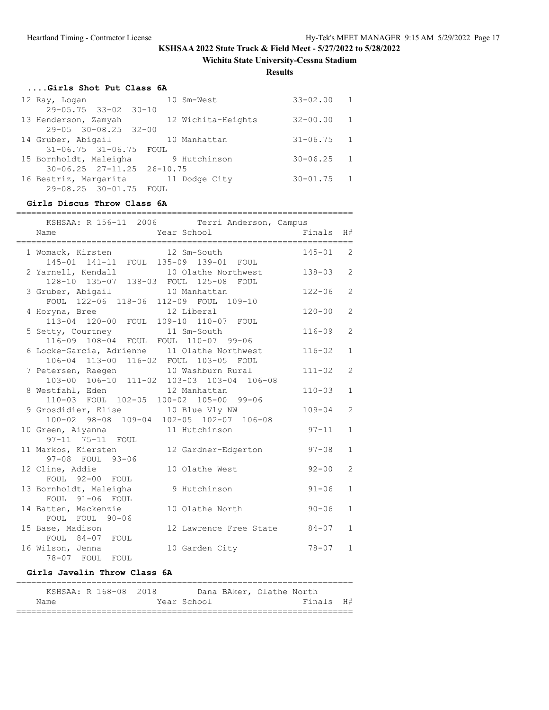## **Wichita State University-Cessna Stadium**

**Results**

## **....Girls Shot Put Class 6A**

| 12 Ray, Logan                          | 10 Sm-West         | $33 - 02.00$ | $\overline{1}$ |
|----------------------------------------|--------------------|--------------|----------------|
| $29 - 05.75$ $33 - 02$ $30 - 10$       |                    |              |                |
| 13 Henderson, Zamyah                   | 12 Wichita-Heights | $32 - 00.00$ | $\overline{1}$ |
| $29 - 05$ $30 - 08.25$ $32 - 00$       |                    |              |                |
| 14 Gruber, Abigail                     | 10 Manhattan       | $31 - 06.75$ | $\overline{1}$ |
| 31-06.75 31-06.75 FOUL                 |                    |              |                |
| 15 Bornholdt, Maleigha                 | 9 Hutchinson       | $30 - 06.25$ | $\overline{1}$ |
| $30 - 06.25$ $27 - 11.25$ $26 - 10.75$ |                    |              |                |
| 16 Beatriz, Margarita                  | 11 Dodge City      | $30 - 01.75$ | $\overline{1}$ |
| 29-08.25 30-01.75 FOUL                 |                    |              |                |

#### **Girls Discus Throw Class 6A**

| ==========<br>KSHSAA: R 156-11 2006 Terri Anderson, Campus                                                        |            |                |
|-------------------------------------------------------------------------------------------------------------------|------------|----------------|
| Year School<br>Name                                                                                               | Finals     | H#             |
| 1 Womack, Kirsten 12 Sm-South<br>145-01 141-11 FOUL 135-09 139-01 FOUL                                            | $145 - 01$ | 2              |
| 2 Yarnell, Kendall 10 Olathe Northwest<br>128-10 135-07 138-03 FOUL 125-08<br>FOUL                                | $138 - 03$ | 2              |
| 3 Gruber, Abigail 10 Manhattan<br>FOUL 122-06 118-06 112-09 FOUL 109-10                                           | $122 - 06$ | $\overline{2}$ |
| 4 Horyna, Bree<br>12 Liberal<br>113-04 120-00 FOUL 109-10 110-07 FOUL                                             | $120 - 00$ | $\overline{2}$ |
| 5 Setty, Courtney 11 Sm-South<br>116-09 108-04 FOUL FOUL 110-07 99-06                                             | $116 - 09$ | $\overline{2}$ |
| 6 Locke-Garcia, Adrienne 11 Olathe Northwest<br>106-04 113-00 116-02 FOUL 103-05 FOUL                             | $116 - 02$ | $\mathbf{1}$   |
| 7 Petersen, Raegen 10 Washburn Rural<br>$103-00 \quad 106-10 \quad 111-02 \quad 103-03 \quad 103-04 \quad 106-08$ | $111 - 02$ | $\overline{2}$ |
| 8 Westfahl, Eden 12 Manhattan<br>110-03 FOUL 102-05 100-02 105-00 99-06                                           | $110 - 03$ | $\mathbf{1}$   |
| 9 Grosdidier, Elise 10 Blue Vly NW<br>100-02 98-08 109-04 102-05 102-07 106-08                                    | $109 - 04$ | 2              |
| 10 Green, Aiyanna 11 Hutchinson<br>97-11 75-11 FOUL                                                               | $97 - 11$  | $\mathbf{1}$   |
| 11 Markos, Kiersten<br>12 Gardner-Edgerton<br>97-08 FOUL 93-06                                                    | $97 - 08$  | $\mathbf{1}$   |
| 12 Cline, Addie<br>10 Olathe West<br>FOUL 92-00 FOUL                                                              | $92 - 00$  | $\overline{2}$ |
| 13 Bornholdt, Maleigha<br>9 Hutchinson<br>FOUL 91-06 FOUL                                                         | $91 - 06$  | $\mathbf{1}$   |
| 14 Batten, Mackenzie<br>10 Olathe North<br>FOUL FOUL 90-06                                                        | $90 - 06$  | $\mathbf{1}$   |
| 15 Base, Madison<br>12 Lawrence Free State<br>$FOUL$ 84-07<br>FOUL                                                | $84 - 07$  | $\mathbf{1}$   |
| 16 Wilson, Jenna<br>10 Garden City<br>78-07 FOUL FOUL                                                             | $78 - 07$  | $\mathbf{1}$   |

## **Girls Javelin Throw Class 6A**

| KSHSAA: R 168-08 2018 |  |             | Dana BAker, Olathe North |           |  |
|-----------------------|--|-------------|--------------------------|-----------|--|
| Name                  |  | Year School |                          | Finals H# |  |
|                       |  |             |                          |           |  |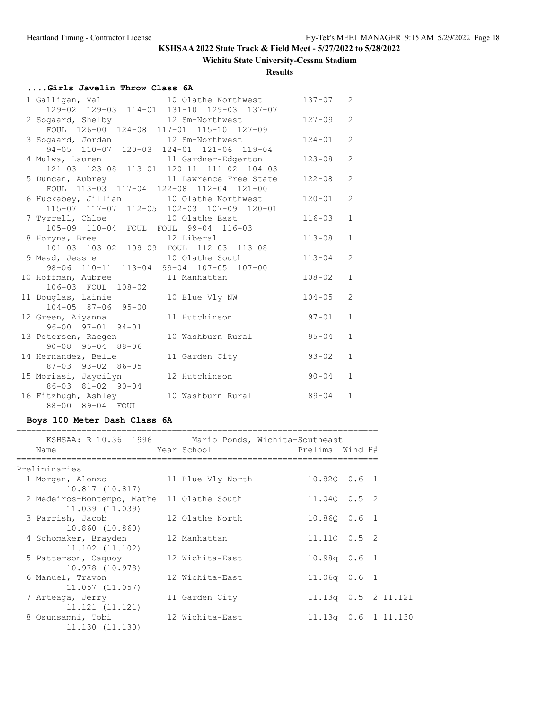## **Wichita State University-Cessna Stadium**

**Results**

# **....Girls Javelin Throw Class 6A**

| 1 Galligan, Val and 10 Olathe Northwest                                                                                   |                | $137 - 07$ | 2              |
|---------------------------------------------------------------------------------------------------------------------------|----------------|------------|----------------|
| 129-02 129-03 114-01 131-10 129-03 137-07<br>2 Sogaard, Shelby 12 Sm-Northwest<br>FOUL 126-00 124-08 117-01 115-10 127-09 |                | $127 - 09$ | $\overline{2}$ |
| 3 Sogaard, Jordan 12 Sm-Northwest<br>94-05 110-07 120-03 124-01 121-06 119-04                                             |                | $124 - 01$ | $\overline{2}$ |
| 4 Mulwa, Lauren 11 Gardner-Edgerton<br>121-03 123-08 113-01 120-11 111-02 104-03                                          |                | $123 - 08$ | 2              |
| 5 Duncan, Aubrey 11 Lawrence Free State<br>FOUL 113-03 117-04 122-08 112-04 121-00                                        |                | $122 - 08$ | 2              |
| 6 Huckabey, Jillian 10 Olathe Northwest<br>115-07 117-07 112-05 102-03 107-09 120-01                                      |                | $120 - 01$ | 2              |
| 7 Tyrrell, Chloe 10 Olathe East<br>105-09 110-04 FOUL FOUL 99-04 116-03                                                   |                | $116 - 03$ | $\mathbf{1}$   |
| 8 Horyna, Bree 12 Liberal<br>101-03 103-02 108-09 FOUL 112-03 113-08                                                      |                | $113 - 08$ | $\mathbf{1}$   |
| 9 Mead, Jessie 10 Olathe South<br>98-06 110-11 113-04 99-04 107-05 107-00                                                 |                | $113 - 04$ | $\overline{2}$ |
| 10 Hoffman, Aubree 11 Manhattan<br>106-03 FOUL 108-02                                                                     |                | $108 - 02$ | $\mathbf{1}$   |
| 11 Douglas, Lainie<br>104-05 87-06 95-00                                                                                  | 10 Blue Vly NW | $104 - 05$ | 2              |
| 12 Green, Aiyanna<br>11 Hutchinson<br>$96 - 00$ $97 - 01$ $94 - 01$                                                       |                | $97 - 01$  | $\mathbf{1}$   |
| 10 Washburn Rural<br>13 Petersen, Raegen<br>$90 - 08$ $95 - 04$ $88 - 06$                                                 |                | $95 - 04$  | $\mathbf{1}$   |
| 14 Hernandez, Belle<br>11 Garden City<br>87-03 93-02 86-05                                                                |                | $93 - 02$  | $\mathbf{1}$   |
| 15 Moriasi, Jaycilyn<br>12 Hutchinson<br>86-03 81-02 90-04                                                                |                | $90 - 04$  | $\mathbf{1}$   |
| 16 Fitzhugh, Ashley<br>10 Washburn Rural<br>88-00 89-04 FOUL                                                              |                | $89 - 04$  | $\mathbf{1}$   |

### **Boys 100 Meter Dash Class 6A**

| KSHSAA: R 10.36 1996 Mario Ponds, Wichita-Southeast           |                   |                        |  |
|---------------------------------------------------------------|-------------------|------------------------|--|
| Name                                                          | Year School       | Prelims Wind H#        |  |
| Preliminaries                                                 |                   |                        |  |
| 1 Morgan, Alonzo<br>10.817 (10.817)                           | 11 Blue Vly North | 10.820 0.6 1           |  |
| 2 Medeiros-Bontempo, Mathe 11 Olathe South<br>11,039 (11,039) |                   | 11.040 0.5 2           |  |
| 3 Parrish, Jacob<br>10.860 (10.860)                           | 12 Olathe North   | 10.860 0.6 1           |  |
| 4 Schomaker, Brayden<br>$11.102$ $(11.102)$                   | 12 Manhattan      | 11.110 0.5 2           |  |
| 5 Patterson, Caquoy<br>10.978 (10.978)                        | 12 Wichita-East   | $10.98q$ 0.6 1         |  |
| 6 Manuel, Travon<br>11.057 (11.057)                           | 12 Wichita-East   | $11.06q$ 0.6 1         |  |
| 7 Arteaga, Jerry<br>11.121 (11.121)                           | 11 Garden City    | 11.13q  0.5  2  11.121 |  |
| 8 Osunsamni, Tobi<br>11.130 (11.130)                          | 12 Wichita-East   | $11.13q$ 0.6 1 11.130  |  |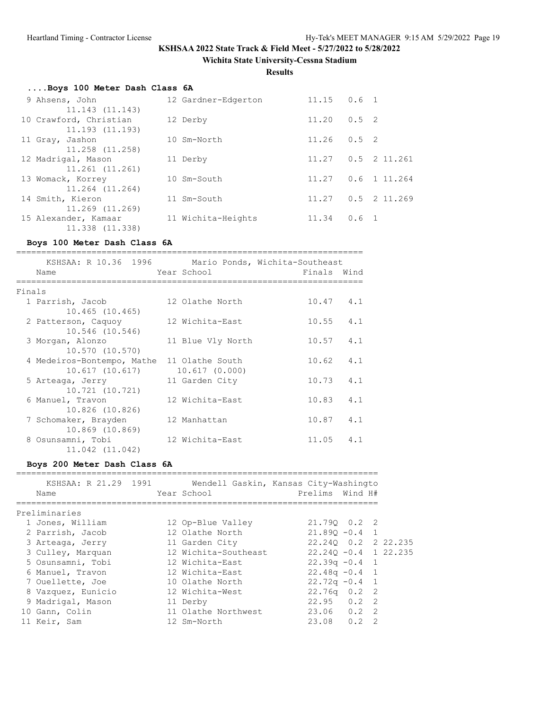**Wichita State University-Cessna Stadium**

**Results**

| Boys 100 Meter Dash Class 6A |                     |               |               |                |
|------------------------------|---------------------|---------------|---------------|----------------|
| 9 Ahsens, John               | 12 Gardner-Edgerton | $11.15$ 0.6 1 |               |                |
| 11.143 (11.143)              |                     |               |               |                |
| 10 Crawford, Christian       | 12 Derby            | 11.20         | $0.5 \quad 2$ |                |
| 11.193(11.193)               |                     |               |               |                |
| 11 Gray, Jashon              | 10 Sm-North         | 11.26         | $0.5 \quad 2$ |                |
| 11.258 (11.258)              |                     |               |               |                |
| 12 Madrigal, Mason           | 11 Derby            | 11.27         |               | $0.5$ 2 11.261 |
| 11.261 (11.261)              |                     |               |               |                |
| 13 Womack, Korrey            | 10 Sm-South         | 11.27         |               | $0.6$ 1 11.264 |
| 11.264 (11.264)              |                     |               |               |                |
| 14 Smith, Kieron             | 11 Sm-South         | 11.27         |               | $0.5$ 2 11.269 |
| 11.269 (11.269)              |                     |               |               |                |
| 15 Alexander, Kamaar         | 11 Wichita-Heights  | 11.34         | $0.6 \quad 1$ |                |
| 11,338 (11,338)              |                     |               |               |                |

## **Boys 100 Meter Dash Class 6A**

|        | KSHSAA: R 10.36 1996 Mario Ponds, Wichita-Southeast |                   |             |     |
|--------|-----------------------------------------------------|-------------------|-------------|-----|
|        | Name                                                | Year School       | Finals Wind |     |
| Finals |                                                     |                   |             |     |
|        | 1 Parrish, Jacob                                    | 12 Olathe North   | 10.47       | 4.1 |
|        | $10.465$ $(10.465)$                                 |                   |             |     |
|        | 2 Patterson, Caquoy                                 | 12 Wichita-East   | 10.55       | 4.1 |
|        | 10.546 (10.546)                                     |                   |             |     |
|        | 3 Morgan, Alonzo                                    | 11 Blue Vly North | 10.57       | 4.1 |
|        | 10.570 (10.570)<br>4 Medeiros-Bontempo, Mathe       | 11 Olathe South   | 10.62       | 4.1 |
|        | 10.617 (10.617)                                     | 10.617 (0.000)    |             |     |
|        | 5 Arteaga, Jerry                                    | 11 Garden City    | 10.73       | 4.1 |
|        | $10.721$ $(10.721)$                                 |                   |             |     |
|        | 6 Manuel, Travon                                    | 12 Wichita-East   | 10.83       | 4.1 |
|        | 10.826 (10.826)                                     |                   |             |     |
|        | 7 Schomaker, Brayden                                | 12 Manhattan      | 10.87       | 4.1 |
|        | 10.869 (10.869)                                     |                   |             |     |
|        | 8 Osunsamni, Tobi                                   | 12 Wichita-East   | 11.05       | 4.1 |
|        | 11.042 (11.042)                                     |                   |             |     |

## **Boys 200 Meter Dash Class 6A**

| KSHSAA: R 21.29 1991<br>Name | Year School          | Wendell Gaskin, Kansas City-Washingto<br>Prelims Wind H# |  |
|------------------------------|----------------------|----------------------------------------------------------|--|
| Preliminaries                |                      |                                                          |  |
| 1 Jones, William             | 12 Op-Blue Valley    | 21.790 0.2 2                                             |  |
| 2 Parrish, Jacob             | 12 Olathe North      | $21.890 - 0.4$ 1                                         |  |
| 3 Arteaga, Jerry             | 11 Garden City       | 22.240 0.2 2 22.235                                      |  |
| 3 Culley, Marquan            | 12 Wichita-Southeast | $22.240 - 0.4$ 1 22.235                                  |  |
| 5 Osunsamni, Tobi            | 12 Wichita-East      | $22.39q - 0.4$ 1                                         |  |
| 6 Manuel, Travon             | 12 Wichita-East      | $22.48q - 0.4$ 1                                         |  |
| 7 Ouellette, Joe             | 10 Olathe North      | $22.72q - 0.4$ 1                                         |  |
| 8 Vazquez, Eunicio           | 12 Wichita-West      | $22.76q$ 0.2 2                                           |  |
| 9 Madrigal, Mason            | 11 Derby             | $22.95 \t 0.2 \t 2$                                      |  |
| 10 Gann, Colin               | 11 Olathe Northwest  | $23.06$ 0.2 2                                            |  |
| 11 Keir, Sam                 | 12 Sm-North          | 23.08<br>0.2<br>$\mathcal{P}$                            |  |
|                              |                      |                                                          |  |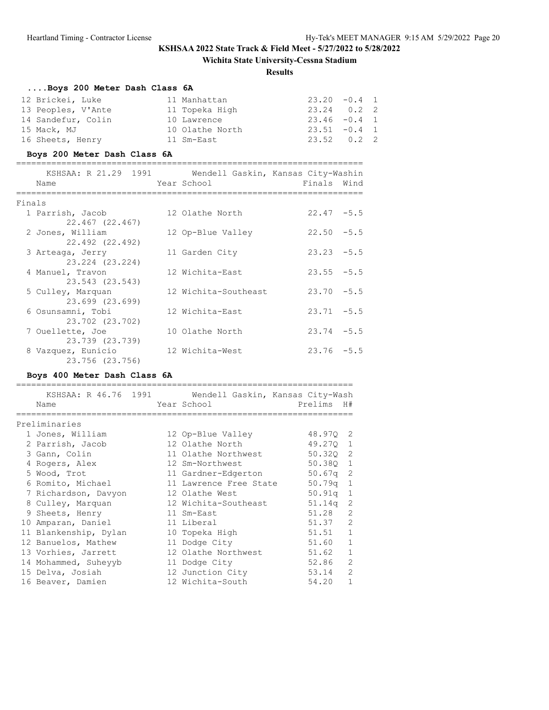## **Wichita State University-Cessna Stadium**

#### **Results**

# **....Boys 200 Meter Dash Class 6A**

| 12 Brickei, Luke   | 11 Manhattan    | $23.20 -0.4$ 1      |  |
|--------------------|-----------------|---------------------|--|
| 13 Peoples, V'Ante | 11 Topeka High  | $23.24$ 0.2 2       |  |
| 14 Sandefur, Colin | 10 Lawrence     | $23.46 - 0.4$ 1     |  |
| 15 Mack, MJ        | 10 Olathe North | $23.51 -0.4$ 1      |  |
| 16 Sheets, Henry   | 11 Sm-East      | $23.52 \t 0.2 \t 2$ |  |

## **Boys 200 Meter Dash Class 6A**

| KSHSAA: R 21.29 1991 Wendell Gaskin, Kansas City-Washin  |                      |               |  |
|----------------------------------------------------------|----------------------|---------------|--|
| Name                                                     | Year School          | Finals Wind   |  |
| Finals                                                   |                      |               |  |
| 1 Parrish, Jacob<br>22.467 (22.467)                      | 12 Olathe North      | $22.47 - 5.5$ |  |
| 2 Jones, William                                         | 12 Op-Blue Valley    | $22.50 - 5.5$ |  |
| 22.492 (22.492)<br>3 Arteaga, Jerry                      | 11 Garden City       | $23.23 - 5.5$ |  |
| 23.224 (23.224)<br>4 Manuel, Travon                      | 12 Wichita-East      | $23.55 - 5.5$ |  |
| 23.543 (23.543)<br>5 Culley, Marquan                     | 12 Wichita-Southeast | $23.70 - 5.5$ |  |
| 23.699 (23.699)<br>6 Osunsamni, Tobi                     | 12 Wichita-East      | $23.71 - 5.5$ |  |
| 23.702 (23.702)<br>7 Ouellette, Joe                      | 10 Olathe North      | $23.74 - 5.5$ |  |
| 23.739 (23.739)<br>8 Vazquez, Eunicio<br>23.756 (23.756) | 12 Wichita-West      | $23.76 - 5.5$ |  |

# **Boys 400 Meter Dash Class 6A**

|                       |  | KSHSAA: R 46.76 1991 Wendell Gaskin, Kansas City-Wash |            |                |
|-----------------------|--|-------------------------------------------------------|------------|----------------|
| Name                  |  | Year School                                           | Prelims    | H#             |
|                       |  |                                                       |            |                |
| Preliminaries         |  |                                                       |            |                |
| 1 Jones, William      |  | 12 Op-Blue Valley                                     | 48.970 2   |                |
| 2 Parrish, Jacob      |  | 12 Olathe North                                       | 49.270 1   |                |
| 3 Gann, Colin         |  | 11 Olathe Northwest                                   | 50.320 2   |                |
| 4 Rogers, Alex        |  | 12 Sm-Northwest                                       | 50.380 1   |                |
| 5 Wood, Trot          |  | 11 Gardner-Edgerton                                   | $50.67q$ 2 |                |
| 6 Romito, Michael     |  | 11 Lawrence Free State                                | 50.79q 1   |                |
| 7 Richardson, Davyon  |  | 12 Olathe West                                        | $50.91q$ 1 |                |
| 8 Culley, Marquan     |  | 12 Wichita-Southeast                                  | $51.14q$ 2 |                |
| 9 Sheets, Henry       |  | 11 Sm-East                                            | 51.28      | $\overline{2}$ |
| 10 Amparan, Daniel    |  | 11 Liberal                                            | 51.37      | 2              |
| 11 Blankenship, Dylan |  | 10 Topeka High                                        | 51.51      | $\mathbf{1}$   |
| 12 Banuelos, Mathew   |  | 11 Dodge City                                         | 51.60      | $\mathbf{1}$   |
| 13 Vorhies, Jarrett   |  | 12 Olathe Northwest                                   | 51.62      | $\mathbf{1}$   |
| 14 Mohammed, Suheyyb  |  | 11 Dodge City                                         | 52.86      | 2              |
| 15 Delva, Josiah      |  | 12 Junction City                                      | 53.14      | $\overline{2}$ |
| 16 Beaver, Damien     |  | 12 Wichita-South                                      | 54.20      | $\mathbf{1}$   |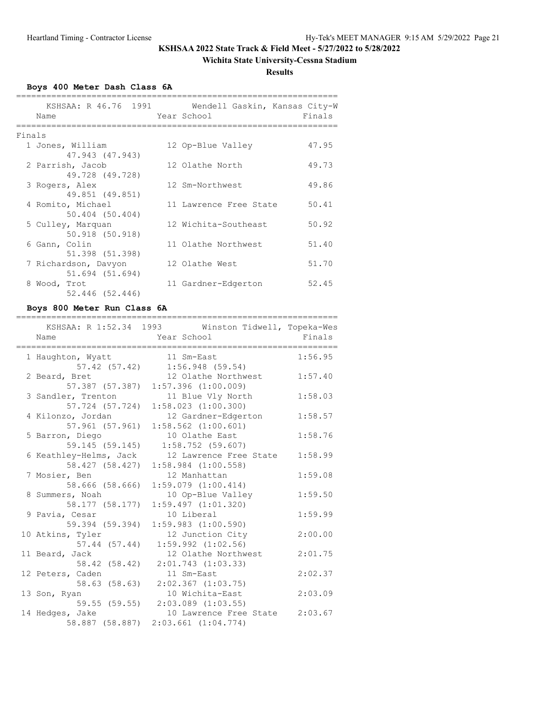## **Wichita State University-Cessna Stadium**

**Results**

**Boys 400 Meter Dash Class 6A**

|        | Name                                 | KSHSAA: R 46.76 1991 Wendell Gaskin, Kansas City-W<br>Year School | Finals |
|--------|--------------------------------------|-------------------------------------------------------------------|--------|
| Finals |                                      |                                                                   |        |
|        | 1 Jones, William                     | 12 Op-Blue Valley                                                 | 47.95  |
|        | 47.943 (47.943)                      |                                                                   |        |
|        | 2 Parrish, Jacob                     | 12 Olathe North                                                   | 49.73  |
|        | 49.728 (49.728)                      |                                                                   |        |
|        | 3 Rogers, Alex                       | 12 Sm-Northwest                                                   | 49.86  |
|        | 49.851 (49.851)                      |                                                                   |        |
|        | 4 Romito, Michael                    | 11 Lawrence Free State                                            | 50.41  |
|        | $50.404$ $(50.404)$                  |                                                                   | 50.92  |
|        | 5 Culley, Marquan<br>50.918 (50.918) | 12 Wichita-Southeast                                              |        |
|        | 6 Gann, Colin                        | 11 Olathe Northwest                                               | 51.40  |
|        | 51.398 (51.398)                      |                                                                   |        |
|        | 7 Richardson, Davyon                 | 12 Olathe West                                                    | 51.70  |
|        | 51.694 (51.694)                      |                                                                   |        |
|        | 8 Wood, Trot                         | 11 Gardner-Edgerton                                               | 52.45  |
|        | 52.446 (52.446)                      |                                                                   |        |

## **Boys 800 Meter Run Class 6A**

|                    | --------------------                                              | ___________________ |
|--------------------|-------------------------------------------------------------------|---------------------|
| Name               | KSHSAA: R 1:52.34 1993 Winston Tidwell, Topeka-Wes<br>Year School | Finals              |
| 1 Haughton, Wyatt  | 11 Sm-East                                                        | 1:56.95             |
|                    | 57.42 (57.42) 1:56.948 (59.54)                                    |                     |
| 2 Beard, Bret      | 12 Olathe Northwest                                               | 1:57.40             |
|                    | 57.387 (57.387) 1:57.396 (1:00.009)                               |                     |
| 3 Sandler, Trenton | 11 Blue Vly North                                                 | 1:58.03             |
|                    | $\overline{57.724}$ (57.724) 1:58.023 (1:00.300)                  |                     |
| 4 Kilonzo, Jordan  | 12 Gardner-Edgerton                                               | 1:58.57             |
| 57.961 (57.961)    | $1:58.562$ $(1:00.601)$                                           |                     |
| 5 Barron, Diego    | 10 Olathe East                                                    | 1:58.76             |
|                    | 59.145 (59.145) 1:58.752 (59.607)                                 |                     |
|                    | 6 Keathley-Helms, Jack 12 Lawrence Free State                     | 1:58.99             |
| 58.427 (58.427)    | $1:58.984$ $(1:00.558)$                                           |                     |
| 7 Mosier, Ben      | 12 Manhattan                                                      | 1:59.08             |
| 58.666 (58.666)    | $1:59.079$ $(1:00.414)$                                           |                     |
| 8 Summers, Noah    | 10 Op-Blue Valley                                                 | 1:59.50             |
| 58.177 (58.177)    | $1:59.497$ $(1:01.320)$                                           |                     |
| 9 Pavia, Cesar     | 10 Liberal                                                        | 1:59.99             |
| 59.394 (59.394)    | $1:59.983$ $(1:00.590)$                                           |                     |
| 10 Atkins, Tyler   | 12 Junction City                                                  | 2:00.00             |
| 57.44 (57.44)      | $1:59.992$ $(1:02.56)$                                            |                     |
| 11 Beard, Jack     | 12 Olathe Northwest                                               | 2:01.75             |
| 58.42 (58.42)      | 2:01.743 (1:03.33)                                                |                     |
| 12 Peters, Caden   | 11 Sm-East                                                        | 2:02.37             |
| 58.63 (58.63)      | $2:02.367$ $(1:03.75)$                                            |                     |
| 13 Son, Ryan       | 10 Wichita-East                                                   | 2:03.09             |
|                    | 59.55 (59.55) 2:03.089 (1:03.55)                                  |                     |
| 14 Hedges, Jake    | 10 Lawrence Free State                                            | 2:03.67             |
| 58.887 (58.887)    | $2:03.661$ $(1:04.774)$                                           |                     |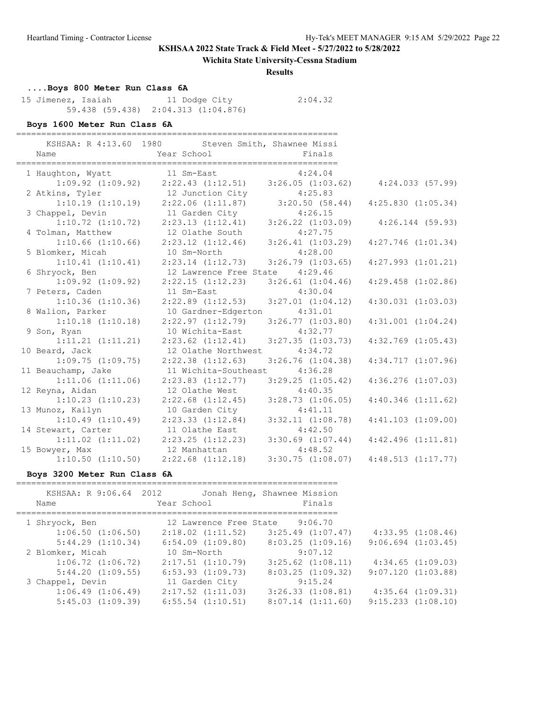**Wichita State University-Cessna Stadium**

#### **Results**

# **....Boys 800 Meter Run Class 6A**

 15 Jimenez, Isaiah 11 Dodge City 2:04.32 59.438 (59.438) 2:04.313 (1:04.876)

### **Boys 1600 Meter Run Class 6A**

| Name                  | KSHSAA: R 4:13.60 1980 Steven Smith, Shawnee Missi<br>Year School         | Finals                |                        |
|-----------------------|---------------------------------------------------------------------------|-----------------------|------------------------|
| 1 Haughton, Wyatt     | 11 Sm-East                                                                | 4:24.04               |                        |
|                       |                                                                           |                       |                        |
| 2 Atkins, Tyler       | 12 Junction City<br>2:22.06 (1:11.87) 3:20.50 (58.44)<br>12 Junction City |                       |                        |
| $1:10.19$ $(1:10.19)$ |                                                                           |                       | $4:25.830$ $(1:05.34)$ |
| 3 Chappel, Devin      | 11 Garden City                                                            | 4:26.15               |                        |
| $1:10.72$ $(1:10.72)$ | $2:23.13$ $(1:12.41)$ $3:26.22$ $(1:03.09)$                               |                       | $4:26.144$ (59.93)     |
| 4 Tolman, Matthew     | 12 Olathe South                                                           | 4:27.75               |                        |
| $1:10.66$ $(1:10.66)$ | $2:23.12$ $(1:12.46)$ $3:26.41$ $(1:03.29)$                               |                       | $4:27.746$ $(1:01.34)$ |
| 5 Blomker, Micah      | 10 Sm-North                                                               | 4:28.00               |                        |
| 1:10.41(1:10.41)      | $2:23.14$ $(1:12.73)$                                                     | 3:26.79(1:03.65)      | $4:27.993$ $(1:01.21)$ |
| 6 Shryock, Ben        | 12 Lawrence Free State 4:29.46                                            |                       |                        |
| $1:09.92$ $(1:09.92)$ | $2:22.15$ $(1:12.23)$ $3:26.61$ $(1:04.46)$                               |                       | $4:29.458$ $(1:02.86)$ |
| 7 Peters, Caden       | 11 Sm-East 4:30.04                                                        |                       |                        |
| $1:10.36$ $(1:10.36)$ | $2:22.89$ $(1:12.53)$ $3:27.01$ $(1:04.12)$                               |                       | $4:30.031$ $(1:03.03)$ |
| 8 Walion, Parker      | 10 Gardner-Edgerton 4:31.01                                               |                       |                        |
| $1:10.18$ $(1:10.18)$ | $2:22.97$ $(1:12.79)$ $3:26.77$ $(1:03.80)$                               |                       | $4:31.001$ $(1:04.24)$ |
| 9 Son, Ryan           | 10 Wichita-East 4:32.77                                                   |                       |                        |
| $1:11.21$ $(1:11.21)$ | $2:23.62$ $(1:12.41)$ $3:27.35$ $(1:03.73)$                               |                       | $4:32.769$ $(1:05.43)$ |
| 10 Beard, Jack        | 12 Olathe Northwest                                                       | 4:34.72               |                        |
| 1:09.75(1:09.75)      | $2:22.38$ $(1:12.63)$                                                     | 3:26.76(1:04.38)      | $4:34.717$ $(1:07.96)$ |
| 11 Beauchamp, Jake    | 11 Wichita-Southeast 4:36.28                                              |                       |                        |
| 1:11.06(1:11.06)      | $2:23.83$ $(1:12.77)$                                                     | $3:29.25$ $(1:05.42)$ | $4:36.276$ $(1:07.03)$ |
| 12 Reyna, Aidan       | 12 Olathe West 4:40.35                                                    |                       |                        |
| $1:10.23$ $(1:10.23)$ | $2:22.68$ $(1:12.45)$                                                     | $3:28.73$ $(1:06.05)$ | $4:40.346$ $(1:11.62)$ |
| 13 Munoz, Kailyn      | 10 Garden City                                                            | 4:41.11               |                        |
| $1:10.49$ $(1:10.49)$ | 2:23.33(1:12.84)                                                          | 3:32.11(1:08.78)      | $4:41.103$ $(1:09.00)$ |
| 14 Stewart, Carter    | 11 Olathe East                                                            | 4:42.50               |                        |
| $1:11.02$ $(1:11.02)$ | $2:23.25$ $(1:12.23)$                                                     | $3:30.69$ $(1:07.44)$ | $4:42.496$ $(1:11.81)$ |
| 15 Bowyer, Max        | 12 Manhattan                                                              | 4:48.52               |                        |
| $1:10.50$ $(1:10.50)$ | $2:22.68$ $(1:12.18)$                                                     | 3:30.75(1:08.07)      | 4:48.513(1:17.77)      |

## **Boys 3200 Meter Run Class 6A**

| KSHSAA: R 9:06.64 2012<br>Jonah Heng, Shawnee Mission<br>Finals<br>Year School<br>Name      |  |
|---------------------------------------------------------------------------------------------|--|
|                                                                                             |  |
| 12 Lawrence Free State 9:06.70<br>1 Shryock, Ben                                            |  |
| $2:18.02$ $(1:11.52)$ $3:25.49$ $(1:07.47)$<br>$1:06.50$ $(1:06.50)$<br>4:33.95(1:08.46)    |  |
| $9:06.694$ $(1:03.45)$<br>5:44.29(1:10.34)<br>$6:54.09$ $(1:09.80)$<br>8:03.25(1:09.16)     |  |
| 9:07.12<br>2 Blomker, Micah<br>10 Sm-North                                                  |  |
| $3:25.62$ $(1:08.11)$<br>$1:06.72$ $(1:06.72)$<br>$2:17.51$ $(1:10.79)$<br>4:34.65(1:09.03) |  |
| $9:07.120$ $(1:03.88)$<br>5:44.20(1:09.55)<br>$6:53.93$ $(1:09.73)$<br>8:03.25(1:09.32)     |  |
| 11 Garden City<br>9:15.24<br>3 Chappel, Devin                                               |  |
| $2:17.52$ $(1:11.03)$<br>$3:26.33$ $(1:08.81)$<br>1:06.49(1:06.49)<br>$4:35.64$ $(1:09.31)$ |  |
| 9:15.233(1:08.10)<br>$5:45.03$ $(1:09.39)$<br>$6:55.54$ $(1:10.51)$<br>8:07.14(1:11.60)     |  |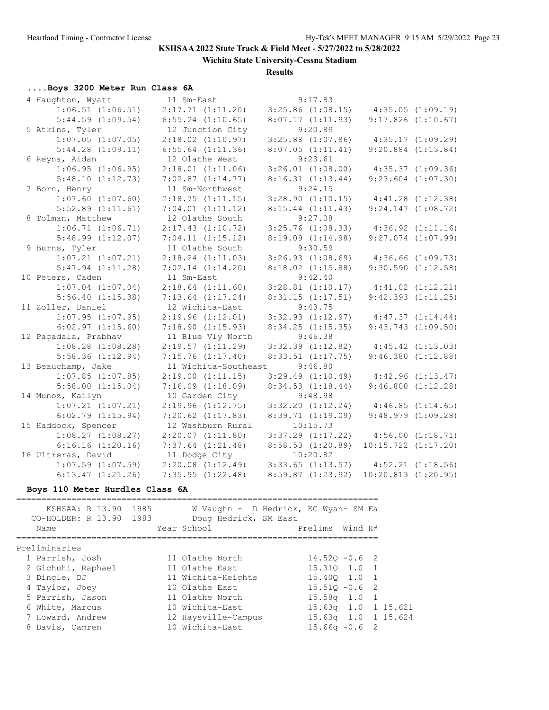**Wichita State University-Cessna Stadium**

**Results**

# **....Boys 3200 Meter Run Class 6A**

| 4 Haughton, Wyatt     | 11 Sm-East            | 9:17.83                                     |                         |                        |
|-----------------------|-----------------------|---------------------------------------------|-------------------------|------------------------|
| $1:06.51$ $(1:06.51)$ | 2:17.71(1:11.20)      | $3:25.86$ $(1:08.15)$                       | 4:35.05(1:09.19)        |                        |
| $5:44.59$ $(1:09.54)$ | $6:55.24$ $(1:10.65)$ | 8:07.17(1:11.93)                            |                         | $9:17.826$ $(1:10.67)$ |
| 5 Atkins, Tyler       | 12 Junction City      | 9:20.89                                     |                         |                        |
| $1:07.05$ $(1:07.05)$ | $2:18.02$ $(1:10.97)$ | $3:25.88$ $(1:07.86)$                       | 4:35.17(1:09.29)        |                        |
| $5:44.28$ $(1:09.11)$ | $6:55.64$ $(1:11.36)$ | 8:07.05(1:11.41)                            |                         | $9:20.884$ $(1:13.84)$ |
| 6 Reyna, Aidan        | 12 Olathe West        | 9:23.61                                     |                         |                        |
| 1:06.95(1:06.95)      | $2:18.01$ $(1:11.06)$ | $3:26.01$ $(1:08.00)$                       | $4:35.37$ $(1:09.36)$   |                        |
| 5:48.10(1:12.73)      | $7:02.87$ $(1:14.77)$ | 8:16.31(1:13.44)                            |                         | $9:23.604$ $(1:07.30)$ |
| 7 Born, Henry         | 11 Sm-Northwest       | 9:24.15                                     |                         |                        |
| $1:07.60$ $(1:07.60)$ | 2:18.75(1:11.15)      | $3:28.90$ $(1:10.15)$                       | $4:41.28$ $(1:12.38)$   |                        |
| $5:52.89$ $(1:11.61)$ | $7:04.01$ $(1:11.12)$ | $8:15.44$ $(1:11.43)$                       |                         | 9:24.147(1:08.72)      |
| 8 Tolman, Matthew     | 12 Olathe South       | 9:27.08                                     |                         |                        |
| 1:06.71(1:06.71)      | $2:17.43$ $(1:10.72)$ | $3:25.76$ $(1:08.33)$                       | 4:36.92(1:11.16)        |                        |
| $5:48.99$ $(1:12.07)$ | 7:04.11(1:15.12)      | 8:19.09(1:14.98)                            |                         | $9:27.074$ $(1:07.99)$ |
| 9 Burns, Tyler        | 11 Olathe South       | 9:30.59                                     |                         |                        |
| $1:07.21$ $(1:07.21)$ | $2:18.24$ $(1:11.03)$ | $3:26.93$ $(1:08.69)$                       | $4:36.66$ $(1:09.73)$   |                        |
| $5:47.94$ $(1:11.28)$ | $7:02.14$ $(1:14.20)$ | $8:18.02$ $(1:15.88)$                       |                         | 9:30.590(1:12.58)      |
| 10 Peters, Caden      | 11 Sm-East            | 9:42.40                                     |                         |                        |
| $1:07.04$ $(1:07.04)$ | $2:18.64$ $(1:11.60)$ | $3:28.81$ $(1:10.17)$                       | $4:41.02$ $(1:12.21)$   |                        |
| 5:56.40(1:15.38)      | $7:13.64$ $(1:17.24)$ | 8:31.15(1:17.51)                            |                         | $9:42.393$ $(1:11.25)$ |
| 11 Zoller, Daniel     | 12 Wichita-East       | 9:43.75                                     |                         |                        |
| $1:07.95$ $(1:07.95)$ | 2:19.96(1:12.01)      | $3:32.93$ $(1:12.97)$                       |                         | 4:47.37(1:14.44)       |
| $6:02.97$ $(1:15.60)$ | 7:18.90(1:15.93)      | $8:34.25$ $(1:15.35)$                       |                         | $9:43.743$ $(1:09.50)$ |
| 12 Pagadala, Prabhav  | 11 Blue Vly North     | 9:46.38                                     |                         |                        |
| $1:08.28$ $(1:08.28)$ | 2:19.57(1:11.29)      | $3:32.39$ $(1:12.82)$                       |                         | 4:45.42(1:13.03)       |
| $5:58.36$ $(1:12.94)$ | $7:15.76$ $(1:17.40)$ | $8:33.51$ $(1:17.75)$                       |                         | 9:46.380(1:12.88)      |
| 13 Beauchamp, Jake    | 11 Wichita-Southeast  | 9:46.80                                     |                         |                        |
| $1:07.85$ $(1:07.85)$ | $2:19.00$ $(1:11.15)$ | $3:29.49$ $(1:10.49)$                       |                         | 4:42.96(1:13.47)       |
| $5:58.00$ $(1:15.04)$ | $7:16.09$ $(1:18.09)$ | 8:34.53(1:18.44)                            |                         | $9:46.800$ $(1:12.28)$ |
| 14 Munoz, Kailyn      | 10 Garden City        | 9:48.98                                     |                         |                        |
| $1:07.21$ $(1:07.21)$ | 2:19.96(1:12.75)      | $3:32.20$ $(1:12.24)$                       | 4:46.85(1:14.65)        |                        |
| $6:02.79$ $(1:15.94)$ | $7:20.62$ $(1:17.83)$ | 8:39.71(1:19.09)                            |                         | $9:48.979$ $(1:09.28)$ |
| 15 Haddock, Spencer   | 12 Washburn Rural     | 10:15.73                                    |                         |                        |
| $1:08.27$ $(1:08.27)$ | $2:20.07$ $(1:11.80)$ | $3:37.29$ $(1:17.22)$ $4:56.00$ $(1:18.71)$ |                         |                        |
| $6:16.16$ $(1:20.16)$ | $7:37.64$ $(1:21.48)$ | 8:58.53(1:20.89)                            | $10:15.722$ $(1:17.20)$ |                        |
| 16 Ultreras, David    | 11 Dodge City         | 10:20.82                                    |                         |                        |
| $1:07.59$ $(1:07.59)$ | $2:20.08$ $(1:12.49)$ | $3:33.65$ $(1:13.57)$ $4:52.21$ $(1:18.56)$ |                         |                        |
| 6:13.47(1:21.26)      | 7:35.95(1:22.48)      | $8:59.87$ $(1:23.92)$                       | $10:20.813$ $(1:20.95)$ |                        |

## **Boys 110 Meter Hurdles Class 6A**

| KSHSAA: R 13.90 1985<br>CO-HOLDER: R 13.90 1983 | Doug Hedrick, SM East | W Vaughn - D Hedrick, KC Wyan- SM Ea |
|-------------------------------------------------|-----------------------|--------------------------------------|
| Name                                            | Year School           | Prelims<br>Wind H#                   |
| Preliminaries                                   |                       |                                      |
| 1 Parrish, Josh                                 | 11 Olathe North       | $14.520 - 0.6$ 2                     |
| 2 Gichuhi, Raphael                              | 11 Olathe East        | 15.310 1.0 1                         |
| 3 Dingle, DJ                                    | 11 Wichita-Heights    | 15.400 1.0 1                         |
| 4 Taylor, Joey                                  | 10 Olathe East        | $15.510 - 0.6$ 2                     |
| 5 Parrish, Jason                                | 11 Olathe North       | $15.58q$ 1.0 1                       |
| 6 White, Marcus                                 | 10 Wichita-East       | 15.63g 1.0 1 15.621                  |
| 7 Howard, Andrew                                | 12 Haysville-Campus   | 15.63q 1.0 1 15.624                  |
| 8 Davis, Camren                                 | 10 Wichita-East       | $15.66q - 0.62$                      |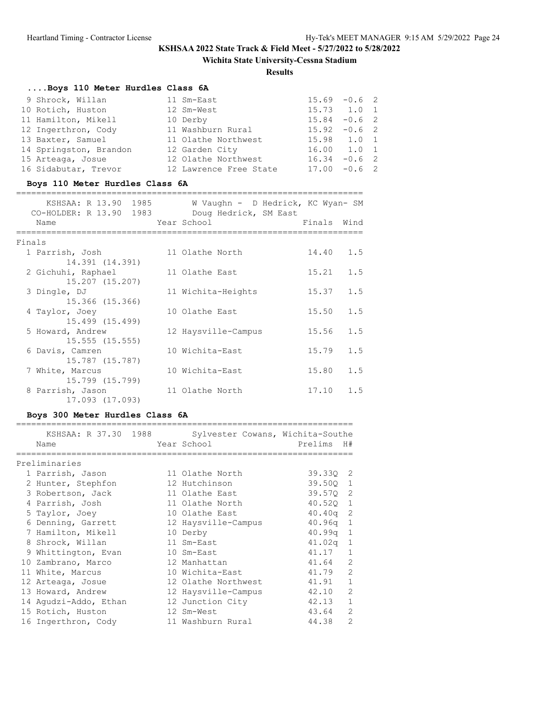**Wichita State University-Cessna Stadium**

#### **Results**

# **....Boys 110 Meter Hurdles Class 6A**

| 9 Shrock, Willan       | 11 Sm-East             | $15.69 - 0.6$ 2     |  |
|------------------------|------------------------|---------------------|--|
| 10 Rotich, Huston      | 12 Sm-West             | $15.73$ $1.0$ 1     |  |
| 11 Hamilton, Mikell    | 10 Derby               | $15.84 - 0.6$ 2     |  |
| 12 Ingerthron, Cody    | 11 Washburn Rural      | $15.92 -0.6$ 2      |  |
| 13 Baxter, Samuel      | 11 Olathe Northwest    | 15.98 1.0 1         |  |
| 14 Springston, Brandon | 12 Garden City         | $16.00 \t 1.0 \t 1$ |  |
| 15 Arteaga, Josue      | 12 Olathe Northwest    | $16.34 - 0.6$ 2     |  |
| 16 Sidabutar, Trevor   | 12 Lawrence Free State | $17.00 - 0.6$ 2     |  |

### **Boys 110 Meter Hurdles Class 6A**

| KSHSAA: R 13.90 1985    | W Vaughn - D Hedrick, KC Wyan- SM |             |     |
|-------------------------|-----------------------------------|-------------|-----|
| CO-HOLDER: R 13.90 1983 | Doug Hedrick, SM East             |             |     |
| Name                    | Year School States School         | Finals Wind |     |
|                         |                                   |             |     |
| Finals                  |                                   |             |     |
| 1 Parrish, Josh         | 11 Olathe North                   | 14.40       | 1.5 |
| 14.391 (14.391)         |                                   |             |     |
| 2 Gichuhi, Raphael      | 11 Olathe East                    | 15.21       | 1.5 |
| 15.207 (15.207)         |                                   |             |     |
| 3 Dingle, DJ            | 11 Wichita-Heights                | 15.37       | 1.5 |
| 15.366 (15.366)         |                                   |             |     |
| 4 Taylor, Joey          | 10 Olathe East                    | 15.50       | 1.5 |
| 15.499 (15.499)         |                                   |             |     |
| 5 Howard, Andrew        | 12 Haysville-Campus               | 15.56       | 1.5 |
| 15.555(15.555)          |                                   |             |     |
| 6 Davis, Camren         | 10 Wichita-East                   | 15.79       | 1.5 |
| 15.787 (15.787)         |                                   |             |     |
|                         | 10 Wichita-East                   | 15.80       | 1.5 |
| 7 White, Marcus         |                                   |             |     |
| 15.799 (15.799)         |                                   |             |     |
| 8 Parrish, Jason        | 11 Olathe North                   | 17.10       | 1.5 |
| 17.093 (17.093)         |                                   |             |     |

## **Boys 300 Meter Hurdles Class 6A**

| Name                  |  | KSHSAA: R 37.30 1988 Sylvester Cowans, Wichita-Southe<br>Year School | Prelims  | H#             |
|-----------------------|--|----------------------------------------------------------------------|----------|----------------|
| Preliminaries         |  |                                                                      |          |                |
| 1 Parrish, Jason      |  | 11 Olathe North                                                      | 39.330 2 |                |
| 2 Hunter, Stephfon    |  | 12 Hutchinson                                                        | 39.500 1 |                |
| 3 Robertson, Jack     |  | 11 Olathe East                                                       | 39.570 2 |                |
| 4 Parrish, Josh       |  | 11 Olathe North                                                      | 40.520 1 |                |
| 5 Taylor, Joey        |  | 10 Olathe East                                                       | 40.40q   | -2             |
| 6 Denning, Garrett    |  | 12 Haysville-Campus                                                  | 40.96q   | $\mathbf{1}$   |
| 7 Hamilton, Mikell    |  | 10 Derby                                                             | 40.99a   | 1              |
| 8 Shrock, Willan      |  | 11 Sm-East                                                           | 41.02q   | 1              |
| 9 Whittington, Evan   |  | 10 Sm-East                                                           | 41.17    | $\mathbf{1}$   |
| 10 Zambrano, Marco    |  | 12 Manhattan                                                         | 41.64    | 2              |
| 11 White, Marcus      |  | 10 Wichita-East                                                      | 41.79    | $\overline{2}$ |
| 12 Arteaga, Josue     |  | 12 Olathe Northwest                                                  | 41.91    | $\mathbf{1}$   |
| 13 Howard, Andrew     |  | 12 Haysville-Campus                                                  | 42.10    | $\overline{2}$ |
| 14 Aqudzi-Addo, Ethan |  | 12 Junction City                                                     | 42.13    | $\mathbf{1}$   |
| 15 Rotich, Huston     |  | 12 Sm-West                                                           | 43.64    | $\overline{2}$ |
| 16 Ingerthron, Cody   |  | 11 Washburn Rural                                                    | 44.38    | $\mathcal{P}$  |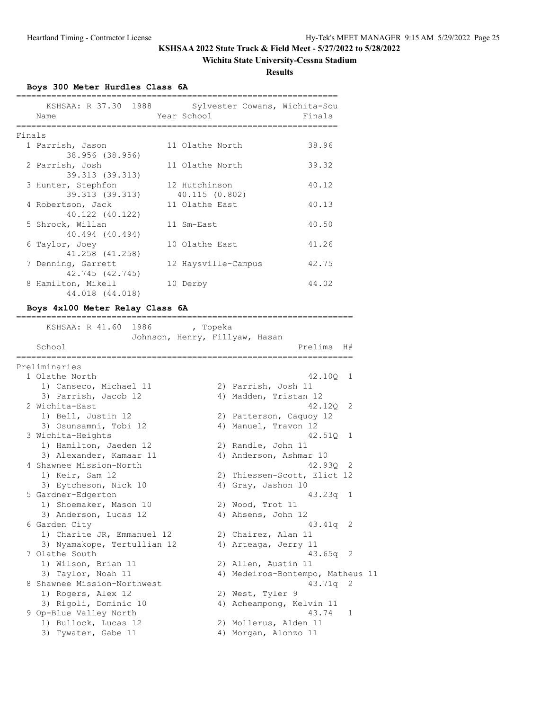## **Wichita State University-Cessna Stadium**

**Results**

**Boys 300 Meter Hurdles Class 6A**

|        | Name               | KSHSAA: R 37.30 1988 Sylvester Cowans, Wichita-Sou<br>Year School | Finals |
|--------|--------------------|-------------------------------------------------------------------|--------|
| Finals |                    |                                                                   |        |
|        | 1 Parrish, Jason   | 11 Olathe North                                                   | 38.96  |
|        | 38.956 (38.956)    |                                                                   |        |
|        | 2 Parrish, Josh    | 11 Olathe North                                                   | 39.32  |
|        | 39.313 (39.313)    |                                                                   |        |
|        | 3 Hunter, Stephfon | 12 Hutchinson                                                     | 40.12  |
|        | 39.313 (39.313)    | 40.115 (0.802)                                                    |        |
|        | 4 Robertson, Jack  | 11 Olathe East                                                    | 40.13  |
|        | 40.122 (40.122)    |                                                                   |        |
|        | 5 Shrock, Willan   | 11 Sm-East                                                        | 40.50  |
|        | 40.494 (40.494)    |                                                                   |        |
|        | 6 Taylor, Joey     | 10 Olathe East                                                    | 41.26  |
|        | 41.258 (41.258)    |                                                                   |        |
|        | 7 Denning, Garrett | 12 Haysville-Campus                                               | 42.75  |
|        | 42.745 (42.745)    |                                                                   |        |
|        | 8 Hamilton, Mikell | 10 Derby                                                          | 44.02  |
|        | 44.018 (44.018)    |                                                                   |        |

## **Boys 4x100 Meter Relay Class 6A**

| --------------------<br>=======<br>KSHSAA: R 41.60 1986 | ==============================<br>, Topeka        |
|---------------------------------------------------------|---------------------------------------------------|
|                                                         | Johnson, Henry, Fillyaw, Hasan                    |
| School<br>======================================        | Prelims<br>H#<br>________________________________ |
| Preliminaries                                           |                                                   |
| 1 Olathe North                                          | 42.10Q<br>$\mathbf{1}$                            |
| 1) Canseco, Michael 11                                  | 2) Parrish, Josh 11                               |
| 3) Parrish, Jacob 12                                    | 4) Madden, Tristan 12                             |
| 2 Wichita-East                                          | 42.120<br>2                                       |
| 1) Bell, Justin 12                                      | 2) Patterson, Caquoy 12                           |
| 3) Osunsamni, Tobi 12                                   | 4) Manuel, Travon 12                              |
| 3 Wichita-Heights                                       | 42.510<br>$\overline{1}$                          |
| 1) Hamilton, Jaeden 12                                  | 2) Randle, John 11                                |
| 3) Alexander, Kamaar 11                                 | 4) Anderson, Ashmar 10                            |
| 4 Shawnee Mission-North                                 | 42.930<br>- 2                                     |
| 1) Keir, Sam 12                                         | 2) Thiessen-Scott, Eliot 12                       |
| 3) Eytcheson, Nick 10                                   | 4) Gray, Jashon 10                                |
| 5 Gardner-Edgerton                                      | $43.23q$ 1                                        |
| 1) Shoemaker, Mason 10                                  | 2) Wood, Trot 11                                  |
| 3) Anderson, Lucas 12                                   | 4) Ahsens, John 12                                |
| 6 Garden City                                           | $43.41q$ 2                                        |
| 1) Charite JR, Emmanuel 12                              | 2) Chairez, Alan 11                               |
| 3) Nyamakope, Tertullian 12                             | 4) Arteaga, Jerry 11                              |
| 7 Olathe South                                          | $43.65q$ 2                                        |
| 1) Wilson, Brian 11                                     | 2) Allen, Austin 11                               |
| 3) Taylor, Noah 11                                      | 4) Medeiros-Bontempo, Matheus 11                  |
| 8 Shawnee Mission-Northwest                             | $43.71q$ 2                                        |
| 1) Rogers, Alex 12                                      | 2) West, Tyler 9                                  |
| 3) Rigoli, Dominic 10                                   | 4) Acheampong, Kelvin 11                          |
| 9 Op-Blue Valley North                                  | 43.74<br>$\mathbf{1}$                             |
| 1) Bullock, Lucas 12                                    | 2) Mollerus, Alden 11                             |
| 3) Tywater, Gabe 11                                     | 4) Morgan, Alonzo 11                              |
|                                                         |                                                   |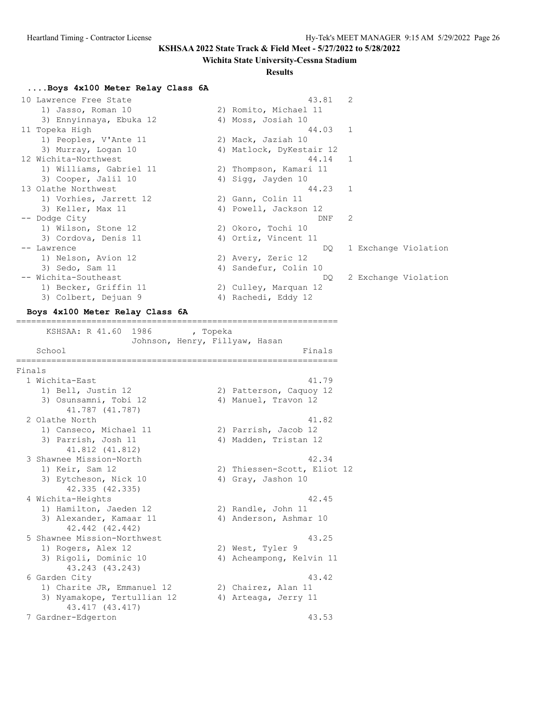#### **Wichita State University-Cessna Stadium**

#### **Results**

#### **....Boys 4x100 Meter Relay Class 6A**

| 10 Lawrence Free State  | 43.81 2                  |                      |
|-------------------------|--------------------------|----------------------|
| 1) Jasso, Roman 10      | 2) Romito, Michael 11    |                      |
| 3) Ennyinnaya, Ebuka 12 | 4) Moss, Josiah 10       |                      |
| 11 Topeka High          | 44.03 1                  |                      |
| 1) Peoples, V'Ante 11   | 2) Mack, Jaziah 10       |                      |
| 3) Murray, Logan 10     | 4) Matlock, DyKestair 12 |                      |
| 12 Wichita-Northwest    | 44.14 1                  |                      |
| 1) Williams, Gabriel 11 | 2) Thompson, Kamari 11   |                      |
| 3) Cooper, Jalil 10     | 4) Sigg, Jayden 10       |                      |
| 13 Olathe Northwest     | 44.23 1                  |                      |
| 1) Vorhies, Jarrett 12  | 2) Gann, Colin 11        |                      |
| 3) Keller, Max 11       | 4) Powell, Jackson 12    |                      |
| -- Dodge City           | DNF                      | -2                   |
| 1) Wilson, Stone 12     | 2) Okoro, Tochi 10       |                      |
| 3) Cordova, Denis 11    | 4) Ortiz, Vincent 11     |                      |
| -- Lawrence             | DO                       | 1 Exchange Violation |
| 1) Nelson, Avion 12     | 2) Avery, Zeric 12       |                      |
| 3) Sedo, Sam 11         | 4) Sandefur, Colin 10    |                      |
| -- Wichita-Southeast    | DQ.                      | 2 Exchange Violation |
| 1) Becker, Griffin 11   | 2) Culley, Marquan 12    |                      |
| 3) Colbert, Dejuan 9    | 4) Rachedi, Eddy 12      |                      |

#### **Boys 4x100 Meter Relay Class 6A**

================================================================

 KSHSAA: R 41.60 1986 , Topeka Johnson, Henry, Fillyaw, Hasan School Finals ================================================================ Finals 1 Wichita-East 41.79 1) Bell, Justin 12 2) Patterson, Caquoy 12 3) Osunsamni, Tobi 12 (and Annuel, Travon 12 41.787 (41.787) 2 Olathe North 41.82 1) Canseco, Michael 11 2) Parrish, Jacob 12 3) Parrish, Josh 11 4) Madden, Tristan 12 41.812 (41.812)<br>3 Shawnee Mission-North 3 Shawnee Mission-North 42.34 1) Keir, Sam 12 2) Thiessen-Scott, Eliot 12 3) Eytcheson, Nick 10 4) Gray, Jashon 10 42.335 (42.335) 4 Wichita-Heights 42.45 1) Hamilton, Jaeden 12 12 2) Randle, John 11 3) Alexander, Kamaar 11 4) Anderson, Ashmar 10 42.442 (42.442) 5 Shawnee Mission-Northwest 43.25 1) Rogers, Alex 12 2) West, Tyler 9 3) Rigoli, Dominic 10 4) Acheampong, Kelvin 11 43.243 (43.243)<br>6 Garden City 6 Garden City 43.42 1) Charite JR, Emmanuel 12 2) Chairez, Alan 11 3) Nyamakope, Tertullian 12  $\hskip10mm$  4) Arteaga, Jerry 11 43.417 (43.417) 7 Gardner-Edgerton 43.53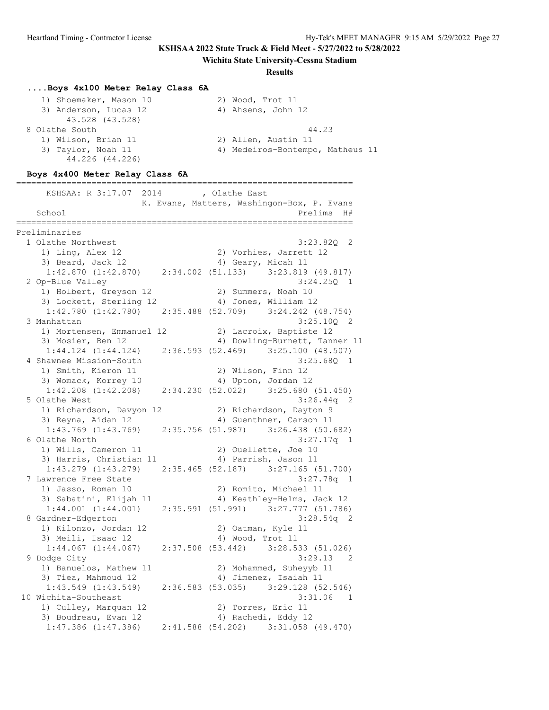#### **Wichita State University-Cessna Stadium**

#### **Results**

#### **....Boys 4x100 Meter Relay Class 6A**

| 1) Shoemaker, Mason 10 | 2) Wood, Trot 11                 |
|------------------------|----------------------------------|
| 3) Anderson, Lucas 12  | 4) Ahsens, John 12               |
| 43.528 (43.528)        |                                  |
| 8 Olathe South         | 44.23                            |
| 1) Wilson, Brian 11    | 2) Allen, Austin 11              |
| 3) Taylor, Noah 11     | 4) Medeiros-Bontempo, Matheus 11 |
| 44.226 (44.226)        |                                  |

#### **Boys 4x400 Meter Relay Class 6A**

=================================================================== KSHSAA: R 3:17.07 2014 , Olathe East K. Evans, Matters, Washingon-Box, P. Evans School Prelims H# =================================================================== Preliminaries 1 Olathe Northwest 3:23.82Q 2 1) Ling, Alex 12 2) Vorhies, Jarrett 12 3) Beard, Jack 12 4) Geary, Micah 11 1:42.870 (1:42.870) 2:34.002 (51.133) 3:23.819 (49.817) 2 Op-Blue Valley 3:24.25Q 1 1) Holbert, Greyson 12 2) Summers, Noah 10 3) Lockett, Sterling 12 (4) Jones, William 12 1:42.780 (1:42.780) 2:35.488 (52.709) 3:24.242 (48.754) 3 Manhattan 3:25.10Q 2 1) Mortensen, Emmanuel 12 2) Lacroix, Baptiste 12 3) Mosier, Ben 12 4) Dowling-Burnett, Tanner 11 1:44.124 (1:44.124) 2:36.593 (52.469) 3:25.100 (48.507) 4 Shawnee Mission-South 3:25.68Q 1 1) Smith, Kieron 11 2) Wilson, Finn 12 3) Womack, Korrey 10 4) Upton, Jordan 12 1:42.208 (1:42.208) 2:34.230 (52.022) 3:25.680 (51.450) 5 Olathe West 3:26.44q 2 1) Richardson, Davyon 12 2) Richardson, Dayton 9 3) Reyna, Aidan 12 4) Guenthner, Carson 11 1:43.769 (1:43.769) 2:35.756 (51.987) 3:26.438 (50.682) 6 Olathe North 3:27.17q 1<br>1) Wills, Cameron 11 2) Ouellette, Joe 10 1) Wills, Cameron 11 2) Ouellette, Joe 10 3) Harris, Christian 11 (4) Parrish, Jason 11 1:43.279 (1:43.279) 2:35.465 (52.187) 3:27.165 (51.700) 7 Lawrence Free State 3:27.78q 1 1) Jasso, Roman 10 2) Romito, Michael 11 3) Sabatini, Elijah 11 4) Keathley-Helms, Jack 12 1:44.001 (1:44.001) 2:35.991 (51.991) 3:27.777 (51.786) 8 Gardner-Edgerton 3:28.54q 2 1) Kilonzo, Jordan 12 2) Oatman, Kyle 11 3) Meili, Isaac 12 4) Wood, Trot 11 1:44.067 (1:44.067) 2:37.508 (53.442) 3:28.533 (51.026) 9 Dodge City 3:29.13 2 1) Banuelos, Mathew 11 2) Mohammed, Suheyyb 11 3) Tiea, Mahmoud 12 4) Jimenez, Isaiah 11 1:43.549 (1:43.549) 2:36.583 (53.035) 3:29.128 (52.546) 10 Wichita-Southeast 3:31.06 1 1) Culley, Marquan 12 2) Torres, Eric 11 3) Boudreau, Evan 12 4) Rachedi, Eddy 12 1:47.386 (1:47.386) 2:41.588 (54.202) 3:31.058 (49.470)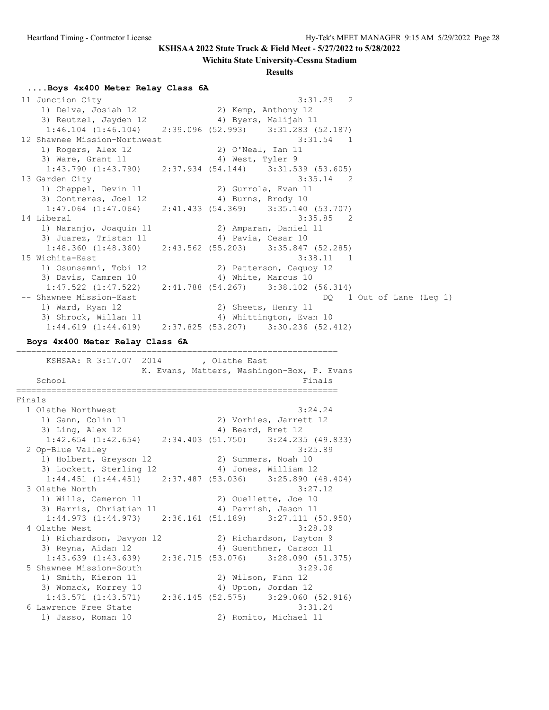#### **Wichita State University-Cessna Stadium**

#### **Results**

#### **....Boys 4x400 Meter Relay Class 6A**

 11 Junction City 3:31.29 2 1) Delva, Josiah 12 2) Kemp, Anthony 12 3) Reutzel, Jayden 12 1988 (4) Byers, Malijah 11 1:46.104 (1:46.104) 2:39.096 (52.993) 3:31.283 (52.187) 12 Shawnee Mission-Northwest 3:31.54 1 1) Rogers, Alex 12 2) O'Neal, Ian 11 3) Ware, Grant 11  $\hskip1cm 4$ ) West, Tyler 9 1:43.790 (1:43.790) 2:37.934 (54.144) 3:31.539 (53.605) 13 Garden City 3:35.14 2<br>1) Chappel, Devin 11 2) Gurrola, Evan 11 1) Chappel, Devin 11 2) Gurrola, Evan 11 3) Contreras, Joel 12 (4) Burns, Brody 10 1:47.064 (1:47.064) 2:41.433 (54.369) 3:35.140 (53.707) 14 Liberal 3:35.85 2 1) Naranjo, Joaquin 11 2) Amparan, Daniel 11 3) Juarez, Tristan 11 (4) Pavia, Cesar 10 1:48.360 (1:48.360) 2:43.562 (55.203) 3:35.847 (52.285) 15 Wichita-East 3:38.11 1 1) Osunsamni, Tobi 12 2) Patterson, Caquoy 12 3) Davis, Camren 10 4) White, Marcus 10 1:47.522 (1:47.522) 2:41.788 (54.267) 3:38.102 (56.314) -- Shawnee Mission-East DQ 1 Out of Lane (Leg 1) 1) Ward, Ryan 12 2) Sheets, Henry 11 3) Shrock, Willan 11 4) Whittington, Evan 10 1:44.619 (1:44.619) 2:37.825 (53.207) 3:30.236 (52.412) **Boys 4x400 Meter Relay Class 6A** ================================================================ KSHSAA: R 3:17.07 2014 , Olathe East K. Evans, Matters, Washingon-Box, P. Evans School Finals ================================================================ Finals 1 Olathe Northwest 3:24.24 1) Gann, Colin 11 2) Vorhies, Jarrett 12 3) Ling, Alex 12 4) Beard, Bret 12 1:42.654 (1:42.654) 2:34.403 (51.750) 3:24.235 (49.833) 2 Op-Blue Valley 3:25.89<br>1) Holbert, Greyson 12 2) Summers, Noah 10 1) Holbert, Greyson 12 2) Summers, Noah 10 3) Lockett, Sterling 12 4) Jones, William 12 1:44.451 (1:44.451) 2:37.487 (53.036) 3:25.890 (48.404) 3 Olathe North 3:27.12<br>1) Wills, Cameron 11 2) Ouellette, Joe 10 1) Wills, Cameron 11 2) Ouellette, Joe 10 3) Harris, Christian 11 (4) Parrish, Jason 11 1:44.973 (1:44.973) 2:36.161 (51.189) 3:27.111 (50.950) 4 Olathe West 3:28.09 1) Richardson, Davyon 12 2) Richardson, Dayton 9 3) Reyna, Aidan 12 4) Guenthner, Carson 11 1:43.639 (1:43.639) 2:36.715 (53.076) 3:28.090 (51.375) 5 Shawnee Mission-South 3:29.06<br>1) Smith, Kieron 11 3:29.06<br>2) Wilson, Finn 12 1) Smith, Kieron 11 3) Womack, Korrey 10 4) Upton, Jordan 12 1:43.571 (1:43.571) 2:36.145 (52.575) 3:29.060 (52.916) 6 Lawrence Free State 3:31.24 1) Jasso, Roman 10 2) Romito, Michael 11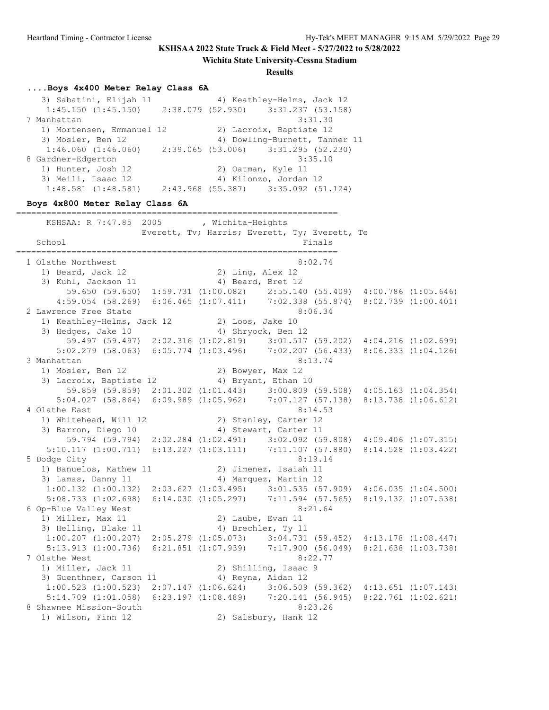**Wichita State University-Cessna Stadium**

#### **Results**

#### **....Boys 4x400 Meter Relay Class 6A**

3) Sabatini, Elijah 11 4) Keathley-Helms, Jack 12 1:45.150 (1:45.150) 2:38.079 (52.930) 3:31.237 (53.158) 7 Manhattan 3:31.30 1) Mortensen, Emmanuel 12 (2) Lacroix, Baptiste 12 3) Mosier, Ben 12 4) Dowling-Burnett, Tanner 11 1:46.060 (1:46.060) 2:39.065 (53.006) 3:31.295 (52.230) 8 Gardner-Edgerton 3:35.10 1) Hunter, Josh 12 2) Oatman, Kyle 11 3) Meili, Isaac 12 4) Kilonzo, Jordan 12 1:48.581 (1:48.581) 2:43.968 (55.387) 3:35.092 (51.124) **Boys 4x800 Meter Relay Class 6A** ================================================================ KSHSAA: R 7:47.85 2005 , Wichita-Heights Everett, Tv; Harris; Everett, Ty; Everett, Te School Finals ================================================================ 1 Olathe Northwest 8:02.74 1) Beard, Jack 12 2) Ling, Alex 12 3) Kuhl, Jackson 11 4) Beard, Bret 12 59.650 (59.650) 1:59.731 (1:00.082) 2:55.140 (55.409) 4:00.786 (1:05.646) 4:59.054 (58.269) 6:06.465 (1:07.411) 7:02.338 (55.874) 8:02.739 (1:00.401) 2 Lawrence Free State 8:06.34 1) Keathley-Helms, Jack 12  $\hskip10mm 2)$  Loos, Jake 10 3) Hedges, Jake 10 4) Shryock, Ben 12 59.497 (59.497) 2:02.316 (1:02.819) 3:01.517 (59.202) 4:04.216 (1:02.699) 5:02.279 (58.063) 6:05.774 (1:03.496) 7:02.207 (56.433) 8:06.333 (1:04.126) 3 Manhattan 8:13.74 1) Mosier, Ben 12 2) Bowyer, Max 12 3) Lacroix, Baptiste 12 4) Bryant, Ethan 10 59.859 (59.859) 2:01.302 (1:01.443) 3:00.809 (59.508) 4:05.163 (1:04.354) 5:04.027 (58.864) 6:09.989 (1:05.962) 7:07.127 (57.138) 8:13.738 (1:06.612) 4 Olathe East 8:14.53 1) Whitehead, Will 12 2) Stanley, Carter 12 3) Barron, Diego 10 4) Stewart, Carter 11 59.794 (59.794) 2:02.284 (1:02.491) 3:02.092 (59.808) 4:09.406 (1:07.315) 5:10.117 (1:00.711) 6:13.227 (1:03.111) 7:11.107 (57.880) 8:14.528 (1:03.422) 5 Dodge City 8:19.14 1) Banuelos, Mathew 11 2) Jimenez, Isaiah 11 3) Lamas, Danny 11 4) Marquez, Martin 12 1:00.132 (1:00.132) 2:03.627 (1:03.495) 3:01.535 (57.909) 4:06.035 (1:04.500) 5:08.733 (1:02.698) 6:14.030 (1:05.297) 7:11.594 (57.565) 8:19.132 (1:07.538) 6 Op-Blue Valley West 8:21.64 1) Miller, Max 11 2) Laube, Evan 11 3) Helling, Blake 11 (4) Brechler, Ty 11 1:00.207 (1:00.207) 2:05.279 (1:05.073) 3:04.731 (59.452) 4:13.178 (1:08.447) 5:13.913 (1:00.736) 6:21.851 (1:07.939) 7:17.900 (56.049) 8:21.638 (1:03.738) 7 Olathe West 8:22.77 1) Miller, Jack 11 2) Shilling, Isaac 9 3) Guenthner, Carson 11 (4) Reyna, Aidan 12 1:00.523 (1:00.523) 2:07.147 (1:06.624) 3:06.509 (59.362) 4:13.651 (1:07.143) 5:14.709 (1:01.058) 6:23.197 (1:08.489) 7:20.141 (56.945) 8:22.761 (1:02.621) 8 Shawnee Mission-South 8:23.26 1) Wilson, Finn 12 2) Salsbury, Hank 12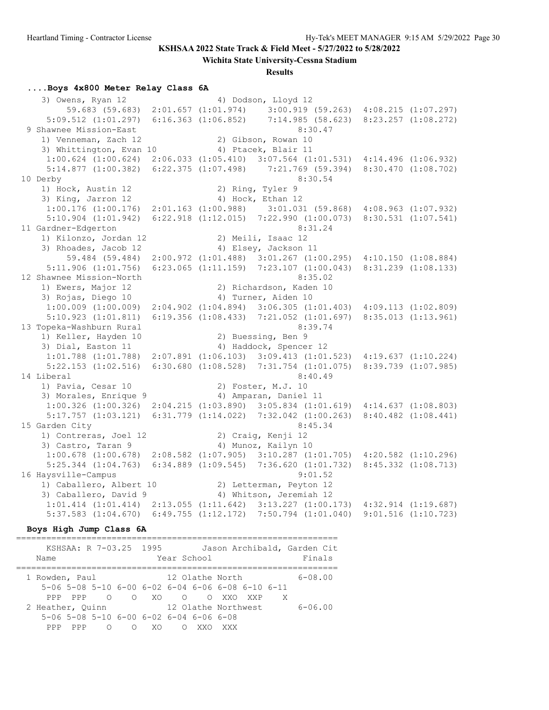**Wichita State University-Cessna Stadium**

#### **Results**

#### **....Boys 4x800 Meter Relay Class 6A**

3) Owens, Ryan 12 4) Dodson, Lloyd 12 59.683 (59.683) 2:01.657 (1:01.974) 3:00.919 (59.263) 4:08.215 (1:07.297) 5:09.512 (1:01.297) 6:16.363 (1:06.852) 7:14.985 (58.623) 8:23.257 (1:08.272) 9 Shawnee Mission-East 8:30.47 1) Venneman, Zach 12 (2) Gibson, Rowan 10 3) Whittington, Evan 10 (4) Ptacek, Blair 11 1:00.624 (1:00.624) 2:06.033 (1:05.410) 3:07.564 (1:01.531) 4:14.496 (1:06.932) 5:14.877 (1:00.382) 6:22.375 (1:07.498) 7:21.769 (59.394) 8:30.470 (1:08.702) 10 Derby 8:30.54<br>1) Hock, Austin 12 (2) Ring, Tyler 9 1) Hock, Austin 12 2) Ring, Tyler 9 3) King, Jarron 12 4) Hock, Ethan 12 1:00.176 (1:00.176) 2:01.163 (1:00.988) 3:01.031 (59.868) 4:08.963 (1:07.932) 5:10.904 (1:01.942) 6:22.918 (1:12.015) 7:22.990 (1:00.073) 8:30.531 (1:07.541) 11 Gardner-Edgerton 8:31.24 1) Kilonzo, Jordan 12 (2014) 20 Meili, Isaac 12 3) Rhoades, Jacob 12 4) Elsey, Jackson 11 59.484 (59.484) 2:00.972 (1:01.488) 3:01.267 (1:00.295) 4:10.150 (1:08.884) 5:11.906 (1:01.756) 6:23.065 (1:11.159) 7:23.107 (1:00.043) 8:31.239 (1:08.133) 12 Shawnee Mission-North 8:35.02 1) Ewers, Major 12 2) Richardson, Kaden 10 3) Rojas, Diego 10 (4) Turner, Aiden 10 1:00.009 (1:00.009) 2:04.902 (1:04.894) 3:06.305 (1:01.403) 4:09.113 (1:02.809) 5:10.923 (1:01.811) 6:19.356 (1:08.433) 7:21.052 (1:01.697) 8:35.013 (1:13.961) 13 Topeka-Washburn Rural 8:39.74 1) Keller, Hayden 10 2) Buessing, Ben 9 3) Dial, Easton 11 4) Haddock, Spencer 12 1:01.788 (1:01.788) 2:07.891 (1:06.103) 3:09.413 (1:01.523) 4:19.637 (1:10.224) 5:22.153 (1:02.516) 6:30.680 (1:08.528) 7:31.754 (1:01.075) 8:39.739 (1:07.985) 14 Liberal 8:40.49 1) Pavia, Cesar 10 2) Foster, M.J. 10 3) Morales, Enrique 9 4) Amparan, Daniel 11 1:00.326 (1:00.326) 2:04.215 (1:03.890) 3:05.834 (1:01.619) 4:14.637 (1:08.803) 5:17.757 (1:03.121) 6:31.779 (1:14.022) 7:32.042 (1:00.263) 8:40.482 (1:08.441) 15 Garden City 8:45.34 1) Contreras, Joel 12 2) Craig, Kenji 12 3) Castro, Taran 9 1988 (4) Munoz, Kailyn 1:00.678 (1:00.678) 2:08.582 (1:07.905) 3:10.287 (1:01.705) 4:20.582 (1:10.296) 5:25.344 (1:04.763) 6:34.889 (1:09.545) 7:36.620 (1:01.732) 8:45.332 (1:08.713) 16 Haysville-Campus 9:01.52 1) Caballero, Albert 10 2) Letterman, Peyton 12 3) Caballero, David 9 4) Whitson, Jeremiah 12 1:01.414 (1:01.414) 2:13.055 (1:11.642) 3:13.227 (1:00.173) 4:32.914 (1:19.687) 5:37.583 (1:04.670) 6:49.755 (1:12.172) 7:50.794 (1:01.040) 9:01.516 (1:10.723)

================================================================

#### **Boys High Jump Class 6A**

| Name                    |         |        | KSHSAA: R 7-03.25 1995                                            |      | Year School |                                   |              | Jason Archibald, Garden Cit<br>Finals |
|-------------------------|---------|--------|-------------------------------------------------------------------|------|-------------|-----------------------------------|--------------|---------------------------------------|
| 1 Rowden, Paul          | PPP PPP | $\cap$ | 5-06 5-08 5-10 6-00 6-02 6-04 6-06 6-08 6-10 6-11<br>OXOO OXXOXXP |      |             | 12 Olathe North                   | $\mathsf{X}$ | $6 - 08.00$                           |
| 2 Heather, Quinn<br>PPP | PPP     | ∩      | $5-06$ $5-08$ $5-10$ $6-00$ $6-02$ $6-04$ $6-06$ $6-08$           | O XO | $\bigcirc$  | 12 Olathe Northwest<br><b>XXX</b> |              | $6 - 06.00$                           |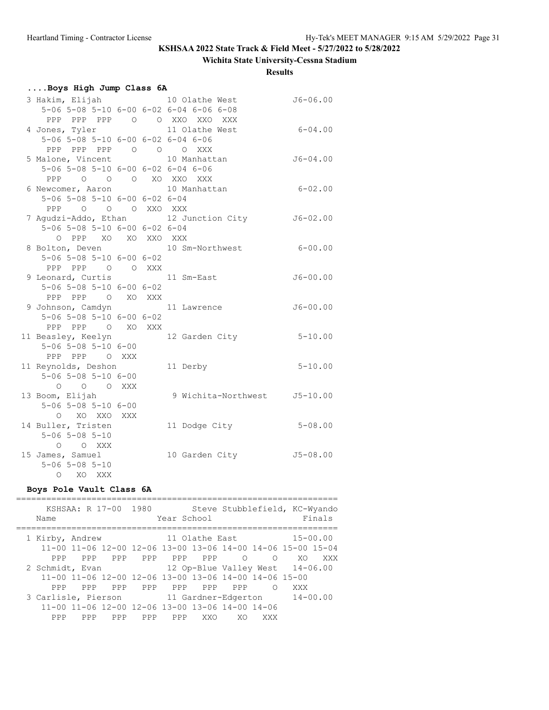# **Wichita State University-Cessna Stadium**

**Results**

# **....Boys High Jump Class 6A**

| 3 Hakim, Elijah 10 Olathe West               |  |                                         | J6-06.00     |
|----------------------------------------------|--|-----------------------------------------|--------------|
|                                              |  | 5-06 5-08 5-10 6-00 6-02 6-04 6-06 6-08 |              |
|                                              |  | PPP PPP PPP 0 0 XXO XXO XXX             |              |
| 4 Jones, Tyler 11 Olathe West                |  |                                         | $6 - 04.00$  |
| 5-06 5-08 5-10 6-00 6-02 6-04 6-06           |  |                                         |              |
| PPP PPP PPP 0 0 0 XXX                        |  |                                         |              |
| 5 Malone, Vincent 10 Manhattan               |  |                                         | $J6 - 04.00$ |
| 5-06 5-08 5-10 6-00 6-02 6-04 6-06           |  |                                         |              |
| PPP 0 0 0 XO XXO XXX                         |  |                                         |              |
| 6 Newcomer, Aaron 10 Manhattan               |  |                                         | $6 - 02.00$  |
| $5-06$ $5-08$ $5-10$ $6-00$ $6-02$ $6-04$    |  |                                         |              |
| PPP 0 0 0 XXO XXX                            |  |                                         |              |
|                                              |  | 7 Agudzi-Addo, Ethan 12 Junction City   | $J6 - 02.00$ |
| 5-06 5-08 5-10 6-00 6-02 6-04                |  |                                         |              |
| O PPP XO XO XXO XXX                          |  |                                         |              |
|                                              |  | 8 Bolton, Deven 10 Sm-Northwest 6-00.00 |              |
| $5 - 06$ $5 - 08$ $5 - 10$ $6 - 00$ $6 - 02$ |  |                                         |              |
| PPP PPP 0 0 XXX                              |  |                                         |              |
|                                              |  | 9 Leonard, Curtis 11 Sm-East            | $J6 - 00.00$ |
| $5 - 06$ $5 - 08$ $5 - 10$ $6 - 00$ $6 - 02$ |  |                                         |              |
| PPP PPP O XO XXX                             |  |                                         |              |
| 9 Johnson, Camdyn 11 Lawrence                |  |                                         | $J6 - 00.00$ |
| $5 - 06$ $5 - 08$ $5 - 10$ $6 - 00$ $6 - 02$ |  |                                         |              |
| PPP PPP 0 XO XXX                             |  |                                         |              |
| 11 Beasley, Keelyn                           |  | 12 Garden City 5-10.00                  |              |
| $5 - 06$ $5 - 08$ $5 - 10$ $6 - 00$          |  |                                         |              |
| PPP PPP 0 XXX                                |  |                                         |              |
| 11 Reynolds, Deshon                          |  | 11 Derby                                | $5 - 10.00$  |
| 5-06 5-08 5-10 6-00                          |  |                                         |              |
| O O O XXX                                    |  |                                         |              |
| 13 Boom, Elijah                              |  | 9 Wichita-Northwest J5-10.00            |              |
| 5-06 5-08 5-10 6-00                          |  |                                         |              |
| O XO XXO XXX                                 |  |                                         |              |
| 14 Buller, Tristen                           |  | 11 Dodge City                           | $5 - 08.00$  |
| $5 - 06$ $5 - 08$ $5 - 10$                   |  |                                         |              |
| O O XXX                                      |  |                                         |              |
| 15 James, Samuel                             |  | 10 Garden City                          | $J5 - 08.00$ |
| $5 - 06$ $5 - 08$ $5 - 10$                   |  |                                         |              |
| O XO XXX                                     |  |                                         |              |

# **Boys Pole Vault Class 6A**

| Name                                             |     |     | KSHSAA: R 17-00 1980                                                                      | Year School |         |                |            | Steve Stubblefield, KC-Wyando                               | Finals |
|--------------------------------------------------|-----|-----|-------------------------------------------------------------------------------------------|-------------|---------|----------------|------------|-------------------------------------------------------------|--------|
| 1 Kirby, Andrew                                  |     |     |                                                                                           |             |         |                |            | 11 Olathe East 15-00.00                                     |        |
|                                                  |     |     |                                                                                           |             |         |                |            | 11-00 11-06 12-00 12-06 13-00 13-06 14-00 14-06 15-00 15-04 |        |
| <b>PPP</b>                                       | PPP |     | PPP PPP PPP PPP                                                                           |             |         | $\overline{O}$ | $\circ$    | XO.                                                         | XXX    |
| 2 Schmidt, Evan                                  |     |     |                                                                                           |             |         |                |            | 12 Op-Blue Valley West 14-06.00                             |        |
|                                                  |     |     | $11 - 00$ $11 - 06$ $12 - 00$ $12 - 06$ $13 - 00$ $13 - 06$ $14 - 00$ $14 - 06$ $15 - 00$ |             |         |                |            |                                                             |        |
| PPP.                                             | PPP | PPP | PPP                                                                                       |             | PPP PPP | PPP            | $\bigcirc$ | XXX                                                         |        |
| 3 Carlisle, Pierson 11 Gardner-Edgerton 14-00.00 |     |     |                                                                                           |             |         |                |            |                                                             |        |
|                                                  |     |     | $11 - 00$ $11 - 06$ $12 - 00$ $12 - 06$ $13 - 00$ $13 - 06$ $14 - 00$ $14 - 06$           |             |         |                |            |                                                             |        |
| PPP.                                             | PPP |     | PPP PPP PPP                                                                               |             | XX O    | XO.            | XXX        |                                                             |        |
|                                                  |     |     |                                                                                           |             |         |                |            |                                                             |        |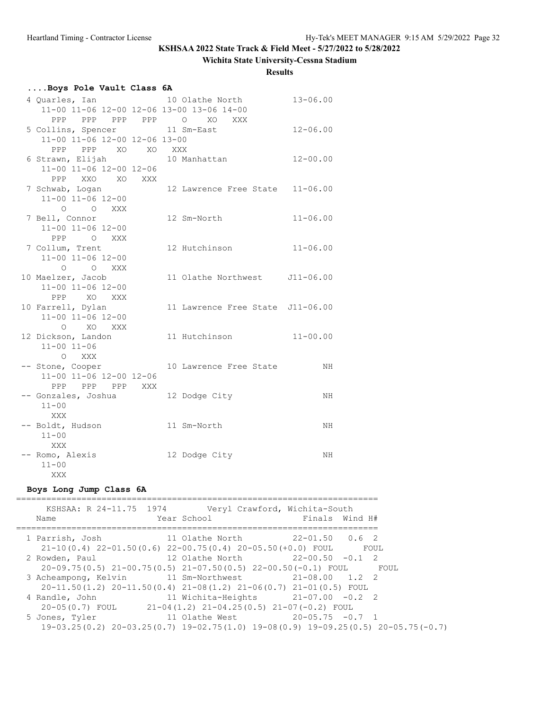## **Wichita State University-Cessna Stadium**

### **Results**

| Boys Pole Vault Class 6A        |                                           |              |
|---------------------------------|-------------------------------------------|--------------|
| 4 Quarles, Ian                  | 10 Olathe North                           | $13 - 06.00$ |
|                                 | 11-00 11-06 12-00 12-06 13-00 13-06 14-00 |              |
| PPP PPP PPP PPP O               | XO<br>XXX                                 |              |
| 5 Collins, Spencer 11 Sm-East   |                                           | $12 - 06.00$ |
| 11-00 11-06 12-00 12-06 13-00   |                                           |              |
| PPP PPP XO XO XXX               |                                           |              |
| 6 Strawn, Elijah                | 10 Manhattan                              | $12 - 00.00$ |
| 11-00 11-06 12-00 12-06         |                                           |              |
| PPP XXO XO XXX                  |                                           |              |
| 7 Schwab, Logan                 | 12 Lawrence Free State                    | $11 - 06.00$ |
| 11-00 11-06 12-00               |                                           |              |
| O O XXX                         |                                           |              |
| 7 Bell, Connor                  | 12 Sm-North                               | $11 - 06.00$ |
| $11 - 00$ $11 - 06$ $12 - 00$   |                                           |              |
| PPP O XXX                       |                                           |              |
| 7 Collum, Trent                 | 12 Hutchinson                             | $11 - 06.00$ |
| 11-00 11-06 12-00               |                                           |              |
| O O XXX                         |                                           |              |
| 10 Maelzer, Jacob               | 11 Olathe Northwest J11-06.00             |              |
| 11-00 11-06 12-00<br>PPP XO XXX |                                           |              |
| 10 Farrell, Dylan               |                                           |              |
| 11-00 11-06 12-00               | 11 Lawrence Free State J11-06.00          |              |
| O XO XXX                        |                                           |              |
| 12 Dickson, Landon              | 11 Hutchinson                             | $11 - 00.00$ |
| $11 - 00$ $11 - 06$             |                                           |              |
| O XXX                           |                                           |              |
| -- Stone, Cooper                | 10 Lawrence Free State                    | NH           |
| 11-00 11-06 12-00 12-06         |                                           |              |
| PPP PPP PPP XXX                 |                                           |              |
| -- Gonzales, Joshua             | 12 Dodge City                             | NH           |
| $11 - 00$                       |                                           |              |
| XXX                             |                                           |              |
| -- Boldt, Hudson                | 11 Sm-North                               | ΝH           |
| $11 - 00$                       |                                           |              |
| XXX                             |                                           |              |
| -- Romo, Alexis                 | 12 Dodge City                             | NH           |
| $11 - 00$                       |                                           |              |
| XXX                             |                                           |              |

### **Boys Long Jump Class 6A**

| KSHSAA: R 24-11.75 1974<br>Name                                                                                 | Year School     | Veryl Crawford, Wichita-South<br>Finals Wind H# |      |
|-----------------------------------------------------------------------------------------------------------------|-----------------|-------------------------------------------------|------|
| 1 Parrish, Josh<br>$21-10(0.4)$ $22-01.50(0.6)$ $22-00.75(0.4)$ $20-05.50(+0.0)$ FOUL                           | 11 Olathe North | $22 - 01.50$ 0.6 2                              | FOUL |
| 2 Rowden, Paul<br>$20-09.75(0.5)$ $21-00.75(0.5)$ $21-07.50(0.5)$ $22-00.50(-0.1)$ FOUL                         |                 | 12 Olathe North 22-00.50 -0.1 2                 | FOUL |
| 3 Acheampong, Kelvin<br>$20-11.50(1.2)$ $20-11.50(0.4)$ $21-08(1.2)$ $21-06(0.7)$ $21-01(0.5)$ FOUL             |                 | 11 Sm-Northwest 21-08.00 1.2 2                  |      |
| 4 Randle, John<br>$20-05(0.7)$ FOUL $21-04(1.2)$ $21-04.25(0.5)$ $21-07(-0.2)$ FOUL                             |                 | 11 Wichita-Heights $21-07.00 -0.2$ 2            |      |
| 5 Jones, Tyler<br>$19-03.25(0.2)$ $20-03.25(0.7)$ $19-02.75(1.0)$ $19-08(0.9)$ $19-09.25(0.5)$ $20-05.75(-0.7)$ | 11 Olathe West  | $20 - 05.75 - 0.7$ 1                            |      |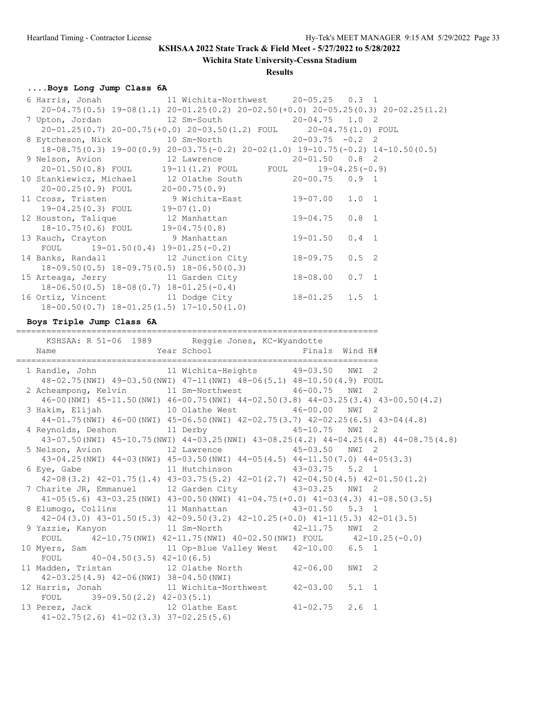**Wichita State University-Cessna Stadium**

### **Results**

# **....Boys Long Jump Class 6A**

| 6 Harris, Jonah 11 Wichita-Northwest 20-05.25 0.3 1                              |                                                                                       |                    |  |
|----------------------------------------------------------------------------------|---------------------------------------------------------------------------------------|--------------------|--|
|                                                                                  | $20-04.75(0.5)$ 19-08(1.1) 20-01.25(0.2) 20-02.50(+0.0) 20-05.25(0.3) 20-02.25(1.2)   |                    |  |
| 7 Upton, Jordan               12 Sm-South                 20-04.75   1.0   2     |                                                                                       |                    |  |
|                                                                                  | 20-01.25(0.7) 20-00.75(+0.0) 20-03.50(1.2) FOUL 20-04.75(1.0) FOUL                    |                    |  |
| 8 Eytcheson, Nick 10 Sm-North 20-03.75 -0.2 2                                    |                                                                                       |                    |  |
|                                                                                  | 18-08.75 (0.3) 19-00 (0.9) 20-03.75 (-0.2) 20-02 (1.0) 19-10.75 (-0.2) 14-10.50 (0.5) |                    |  |
| 9 Nelson, Avion 12 Lawrence 20-01.50 0.8 2                                       |                                                                                       |                    |  |
|                                                                                  | $20-01.50(0.8)$ FOUL $19-11(1.2)$ FOUL FOUL $19-04.25(-0.9)$                          |                    |  |
| 10 Stankiewicz, Michael 12 Olathe South 20-00.75 0.9 1                           |                                                                                       |                    |  |
| $20-00.25(0.9)$ FOUL $20-00.75(0.9)$                                             |                                                                                       |                    |  |
| 11 Cross, Tristen 9 Wichita-East 19-07.00 1.0 1<br>19-04.25(0.3) FOUL 19-07(1.0) |                                                                                       |                    |  |
|                                                                                  |                                                                                       |                    |  |
| 12 Houston, Talique 12 Manhattan 19-04.75 0.8 1                                  |                                                                                       |                    |  |
| $18-10.75(0.6)$ FOUL $19-04.75(0.8)$                                             |                                                                                       |                    |  |
| 13 Rauch, Crayton 9 Manhattan 19-01.50 0.4 1                                     |                                                                                       |                    |  |
| FOUL $19-01.50(0.4) 19-01.25(-0.2)$                                              |                                                                                       |                    |  |
| 14 Banks, Randall 12 Junction City                                               |                                                                                       | $18 - 09.75$ 0.5 2 |  |
| $18-09.50(0.5)$ $18-09.75(0.5)$ $18-06.50(0.3)$                                  |                                                                                       |                    |  |
| 15 Arteaga, Jerry 11 Garden City                                                 |                                                                                       | $18 - 08.00$ 0.7 1 |  |
| $18-06.50(0.5)$ $18-08(0.7)$ $18-01.25(-0.4)$                                    |                                                                                       |                    |  |
| 16 Ortiz, Vincent 11 Dodge City 18-01.25 1.5 1                                   |                                                                                       |                    |  |
| $18-00.50(0.7)$ $18-01.25(1.5)$ $17-10.50(1.0)$                                  |                                                                                       |                    |  |

**Boys Triple Jump Class 6A**

========================================================================

| KSHSAA: R 51-06 1989 Reggie Jones, KC-Wyandotte                                            |  |               |
|--------------------------------------------------------------------------------------------|--|---------------|
|                                                                                            |  |               |
| 1 Randle, John 11 Wichita-Heights 49-03.50 NWI 2                                           |  |               |
| 48-02.75 (NWI) 49-03.50 (NWI) 47-11 (NWI) 48-06 (5.1) 48-10.50 (4.9) FOUL                  |  |               |
| 2 Acheampong, Kelvin 11 Sm-Northwest 46-00.75 NWI 2                                        |  |               |
| 46-00 (NWI) 45-11.50 (NWI) 46-00.75 (NWI) 44-02.50 (3.8) 44-03.25 (3.4) 43-00.50 (4.2)     |  |               |
| 3 Hakim, Elijah $10$ Olathe West $46-00.00$ NWI 2                                          |  |               |
| 44-01.75 (NWI) 46-00 (NWI) 45-06.50 (NWI) 42-02.75 (3.7) 42-02.25 (6.5) 43-04 (4.8)        |  |               |
| 4 Reynolds, Deshon 11 Derby 15 10.75 NWI 2                                                 |  |               |
| 43-07.50 (NWI) 45-10.75 (NWI) 44-03.25 (NWI) 43-08.25 (4.2) 44-04.25 (4.8) 44-08.75 (4.8)  |  |               |
| 5 Nelson, Avion 12 Lawrence 45-03.50 NWI 2                                                 |  |               |
| 43-04.25 (NWI) 44-03 (NWI) 45-03.50 (NWI) 44-05 (4.5) 44-11.50 (7.0) 44-05 (3.3)           |  |               |
| 6 Eye, Gabe                       11 Hutchinson               43-03.75     5.2   1         |  |               |
| $42-08(3.2)$ $42-01.75(1.4)$ $43-03.75(5.2)$ $42-01(2.7)$ $42-04.50(4.5)$ $42-01.50(1.2)$  |  |               |
| 7 Charite JR, Emmanuel 12 Garden City 43-03.25 NWI 2                                       |  |               |
| $41-05(5.6)$ $43-03.25(NWT)$ $43-00.50(NWT)$ $41-04.75(+0.0)$ $41-03(4.3)$ $41-08.50(3.5)$ |  |               |
| 8 Elumogo, Collins 11 Manhattan 43-01.50 5.3 1                                             |  |               |
| $42-04(3.0)$ $43-01.50(5.3)$ $42-09.50(3.2)$ $42-10.25(+0.0)$ $41-11(5.3)$ $42-01(3.5)$    |  |               |
| 9 Yazzie, Kanyon 11 Sm-North 12-11.75 NWI 2                                                |  |               |
| FOUL 42-10.75 (NWI) 42-11.75 (NWI) 40-02.50 (NWI) FOUL 42-10.25 (-0.0)                     |  |               |
| 10 Myers, Sam Music and Music 11 Op-Blue Valley West 42-10.00 6.5 1                        |  |               |
| FOUL $40-04.50(3.5)$ $42-10(6.5)$                                                          |  |               |
| 11 Madden, Tristan 12 Olathe North 42-06.00                                                |  | NWI 2         |
| $42-03.25(4.9)$ $42-06(NWI)$ $38-04.50(NWI)$                                               |  |               |
| 12 Harris, Jonah 11 Wichita-Northwest 42-03.00                                             |  | $5.1 \quad 1$ |
| FOUL 39-09.50 $(2.2)$ 42-03 $(5.1)$                                                        |  |               |
| 13 Perez, Jack 12 Olathe East 41-02.75 2.6 1                                               |  |               |
| $41-02.75(2.6)$ $41-02(3.3)$ $37-02.25(5.6)$                                               |  |               |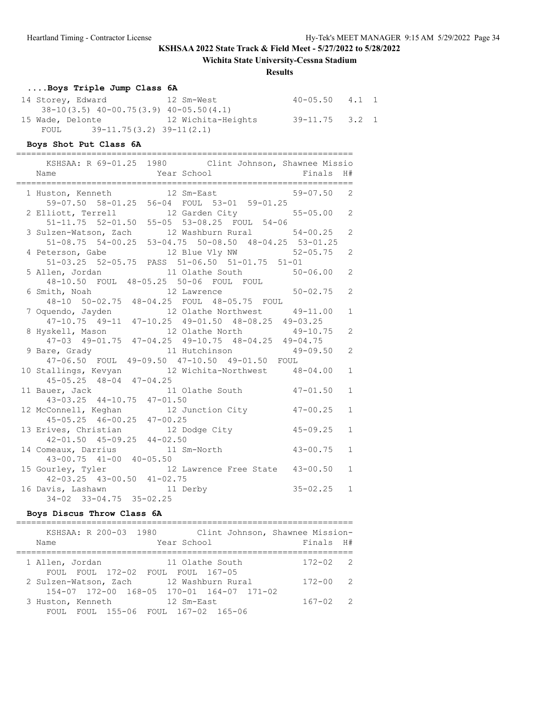## **Wichita State University-Cessna Stadium**

#### **Results**

# **....Boys Triple Jump Class 6A**

| 14 Storey, Edward |                                              | 12 Sm-West         | $40 - 05.50$ $4.1$ 1 |  |
|-------------------|----------------------------------------------|--------------------|----------------------|--|
|                   | $38-10(3.5)$ $40-00.75(3.9)$ $40-05.50(4.1)$ |                    |                      |  |
| 15 Wade, Delonte  |                                              | 12 Wichita-Heights | $39-11.75$ $3.2$ 1   |  |
| FOUL              | 39-11.75(3.2) 39-11(2.1)                     |                    |                      |  |

## **Boys Shot Put Class 6A**

| KSHSAA: R 69-01.25 1980 Clint Johnson, Shawnee Missio<br>Year School Finals<br>Name                         |                | H#             |
|-------------------------------------------------------------------------------------------------------------|----------------|----------------|
| 1 Huston, Kenneth 12 Sm-East 59-07.50 2<br>59-07.50 58-01.25 56-04 FOUL 53-01 59-01.25                      |                |                |
| 2 Elliott, Terrell 12 Garden City 55-05.00 2<br>51-11.75 52-01.50 55-05 53-08.25 FOUL 54-06                 |                |                |
| 3 Sulzen-Watson, Zach 12 Washburn Rural 54-00.25 2<br>51-08.75 54-00.25 53-04.75 50-08.50 48-04.25 53-01.25 |                |                |
| 4 Peterson, Gabe 12 Blue Vly NW 52-05.75<br>51-03.25 52-05.75 PASS 51-06.50 51-01.75 51-01                  |                | $\overline{2}$ |
| 5 Allen, Jordan 11 Olathe South 50-06.00 2<br>48-10.50 FOUL 48-05.25 50-06 FOUL FOUL                        |                |                |
| 6 Smith, Noah 12 Lawrence 50-02.75<br>48-10 50-02.75 48-04.25 FOUL 48-05.75 FOUL                            |                | $\overline{2}$ |
| 7 Oquendo, Jayden 12 Olathe Northwest 49-11.00<br>47-10.75 49-11 47-10.25 49-01.50 48-08.25 49-03.25        |                | $\mathbf{1}$   |
| 8 Hyskell, Mason 12 Olathe North 49-10.75<br>47-03 49-01.75 47-04.25 49-10.75 48-04.25 49-04.75             |                | $\overline{2}$ |
| 9 Bare, Grady 11 Hutchinson 49-09.50 2<br>47-06.50 FOUL 49-09.50 47-10.50 49-01.50 FOUL                     |                |                |
| 10 Stallings, Kevyan 12 Wichita-Northwest 48-04.00<br>$45 - 05.25$ $48 - 04$ $47 - 04.25$                   |                | $\mathbf{1}$   |
| 11 Olathe South 47-01.50<br>11 Bauer, Jack<br>$43-03.25$ $44-10.75$ $47-01.50$                              |                | $\mathbf{1}$   |
| 12 McConnell, Keghan 12 Junction City 47-00.25<br>45-05.25 46-00.25 47-00.25                                |                | $\mathbf{1}$   |
| 13 Erives, Christian 12 Dodge City 45-09.25<br>42-01.50 45-09.25 44-02.50                                   |                | $\mathbf{1}$   |
| 14 Comeaux, Darrius 11 Sm-North 43-00.75<br>43-00.75 41-00 40-05.50                                         |                | $\mathbf{1}$   |
| 15 Gourley, Tyler 12 Lawrence Free State 43-00.50<br>42-03.25 43-00.50 41-02.75                             |                | $\mathbf{1}$   |
| 16 Davis, Lashawn 11 Derby<br>34-02 33-04.75 35-02.25                                                       | $35 - 02.25$ 1 |                |

## **Boys Discus Throw Class 6A**

| KSHSAA: R 200-03 1980 Clint Johnson, Shawnee Mission-<br>Year School<br>Name         | Finals H#    |                |
|--------------------------------------------------------------------------------------|--------------|----------------|
| 1 Allen, Jordan<br>11 Olathe South<br>FOUL FOUL 172-02 FOUL FOUL 167-05              | $172 - 02$ 2 |                |
| 2 Sulzen-Watson, Zach 12 Washburn Rural<br>154-07 172-00 168-05 170-01 164-07 171-02 | $172 - 00$   | $\overline{2}$ |
| 12 Sm-East<br>3 Huston, Kenneth<br>FOUL FOUL 155-06 FOUL 167-02 165-06               | $167 - 02$ 2 |                |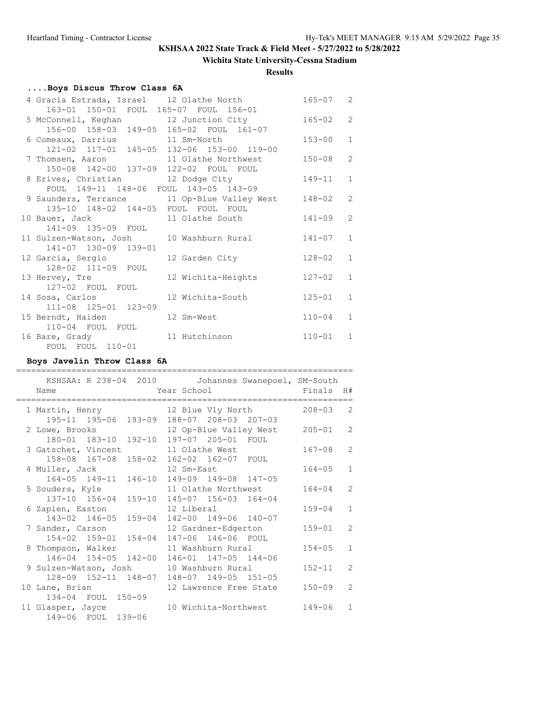## **Wichita State University-Cessna Stadium**

### **Results**

# **....Boys Discus Throw Class 6A**

| 4 Gracia Estrada, Israel 12 Olathe North  |                                             | $165 - 07$ | 2              |
|-------------------------------------------|---------------------------------------------|------------|----------------|
| 163-01 150-01 FOUL 165-07 FOUL 156-01     |                                             |            |                |
|                                           | 5 McConnell, Keghan 12 Junction City        | $165 - 02$ | 2              |
| 156-00 158-03 149-05 165-02 FOUL 161-07   |                                             |            |                |
| 6 Comeaux, Darrius 11 Sm-North            |                                             | $153 - 00$ | $\mathbf{1}$   |
| 121-02 117-01 145-05 132-06 153-00 119-00 |                                             |            |                |
| 7 Thomsen, Aaron 11 Olathe Northwest      |                                             | $150 - 08$ | $\overline{2}$ |
| 150-08 142-00 137-09 122-02 FOUL FOUL     |                                             |            |                |
| 8 Erives, Christian 12 Dodge City         |                                             | $149 - 11$ | $\mathbf{1}$   |
| FOUL 149-11 148-06 FOUL 143-05 143-09     |                                             |            |                |
|                                           | 9 Saunders, Terrance 11 Op-Blue Valley West | $148 - 02$ | $\overline{2}$ |
| 135-10 148-02 144-05 FOUL FOUL FOUL       |                                             |            |                |
| 10 Bauer, Jack 11 Olathe South            |                                             | $141 - 09$ | $\overline{2}$ |
| 141-09 135-09 FOUL                        |                                             |            |                |
| 11 Sulzen-Watson, Josh 10 Washburn Rural  |                                             | $141 - 07$ | $\mathbf{1}$   |
| 141-07 130-09 139-01                      |                                             |            |                |
| 12 Garcia, Sergio                         | 12 Garden City                              | $128 - 02$ | $\mathbf{1}$   |
| 128-02 111-09 FOUL                        |                                             |            |                |
|                                           | 12 Wichita-Heights                          | $127 - 02$ | $\mathbf{1}$   |
| 13 Hervey, Tre                            |                                             |            |                |
| 127-02 FOUL FOUL                          |                                             |            |                |
| 14 Sosa, Carlos                           | 12 Wichita-South                            | $125 - 01$ | 1              |
| 111-08 125-01 123-09                      |                                             |            |                |
| 15 Berndt, Haiden                         | 12 Sm-West                                  | $110 - 04$ | $\mathbf{1}$   |
| 110-04 FOUL FOUL                          |                                             |            |                |
| 16 Bare, Grady                            | 11 Hutchinson                               | $110 - 01$ | 1              |
| FOUL FOUL 110-01                          |                                             |            |                |

# **Boys Javelin Throw Class 6A**

|                       | KSHSAA: R 238-04 2010                     |            |                      |                   | Johannes Swanepoel, SM-South |            |                |
|-----------------------|-------------------------------------------|------------|----------------------|-------------------|------------------------------|------------|----------------|
| Name                  |                                           |            | Year School          |                   | <b>Example 19</b> Finals     |            | H#             |
| 1 Martin, Henry       |                                           |            |                      | 12 Blue Vly North | -------------------          | $208 - 03$ | 2              |
|                       | 195-11 195-06 193-09                      |            |                      |                   | 188-07 208-03 207-03         |            |                |
| 2 Lowe, Brooks        |                                           |            |                      |                   | 12 Op-Blue Valley West       | $205 - 01$ | 2              |
|                       | 180-01 183-10 192-10 197-07 205-01 FOUL   |            |                      |                   |                              |            |                |
| 3 Gatschet, Vincent   |                                           |            | 11 Olathe West       |                   |                              | $167 - 08$ | $\overline{2}$ |
|                       | 158-08 167-08 158-02 162-02 162-07 FOUL   |            |                      |                   |                              |            |                |
| 4 Muller, Jack        |                                           |            | 12 Sm-East           |                   |                              | $164 - 05$ | $\mathbf{1}$   |
|                       | 164-05 149-11 146-10 149-09 149-08 147-05 |            |                      |                   |                              |            |                |
| 5 Souders, Kyle       |                                           |            | 11 Olathe Northwest  |                   |                              | $164 - 04$ | $\overline{2}$ |
|                       | 137-10 156-04 159-10 145-07 156-03 164-04 |            |                      |                   |                              |            |                |
| 6 Zapien, Easton      |                                           |            | 12 Liberal           |                   |                              | $159 - 04$ | $\mathbf{1}$   |
|                       | 143-02 146-05 159-04 142-00 149-06 140-07 |            |                      |                   |                              |            |                |
| 7 Sander, Carson      |                                           |            | 12 Gardner-Edgerton  |                   |                              | $159 - 01$ | 2              |
|                       | 154-02 159-01 154-04 147-06 146-06 FOUL   |            |                      |                   |                              |            |                |
| 8 Thompson, Walker    |                                           |            | 11 Washburn Rural    |                   |                              | $154 - 05$ | $\mathbf{1}$   |
|                       | 146-04 154-05 142-00 146-01 147-05 144-06 |            |                      |                   |                              |            |                |
| 9 Sulzen-Watson, Josh |                                           |            | 10 Washburn Rural    |                   |                              | $152 - 11$ | $\mathcal{L}$  |
|                       | 128-09 152-11 148-07 148-07 149-05 151-05 |            |                      |                   |                              |            |                |
| 10 Lane, Brian        |                                           |            |                      |                   | 12 Lawrence Free State       | $150 - 09$ | $\mathcal{L}$  |
|                       | 134-04 FOUL 150-09                        |            |                      |                   |                              |            |                |
| 11 Glasper, Jayce     |                                           |            | 10 Wichita-Northwest |                   |                              | $149 - 06$ | $\mathbf{1}$   |
| 149-06 FOUL           |                                           | $139 - 06$ |                      |                   |                              |            |                |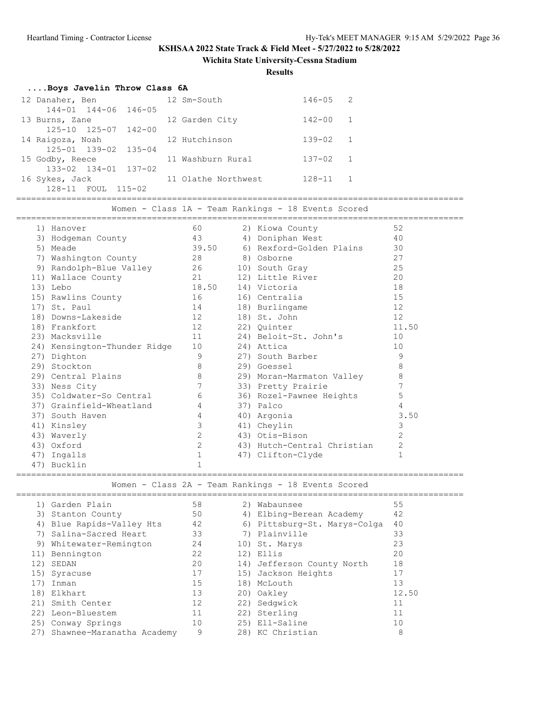**Wichita State University-Cessna Stadium**

**Results**

| Boys Javelin Throw Class 6A      |                     |              |  |
|----------------------------------|---------------------|--------------|--|
| 12 Danaher, Ben                  | 12 Sm-South         | $146 - 05$ 2 |  |
| 144-01 144-06 146-05             |                     |              |  |
| 13 Burns, Zane                   | 12 Garden City      | $142 - 00$ 1 |  |
| $125 - 10$ $125 - 07$ $142 - 00$ |                     |              |  |
| 14 Raigoza, Noah 12 Hutchinson   |                     | $139 - 02$ 1 |  |
| 125-01 139-02 135-04             |                     |              |  |
| 15 Godby, Reece                  | 11 Washburn Rural   | $137 - 02$ 1 |  |
| $133 - 02$ $134 - 01$ $137 - 02$ |                     |              |  |
| 16 Sykes, Jack                   | 11 Olathe Northwest | $128 - 11$ 1 |  |
| 128-11 FOUL 115-02               |                     |              |  |
|                                  |                     |              |  |

Women - Class 1A - Team Rankings - 18 Events Scored

|     | 1) Hanover                   | 60              | 2) Kiowa County             | 52           |
|-----|------------------------------|-----------------|-----------------------------|--------------|
|     | 3) Hodgeman County           | 43              | 4) Doniphan West            | 40           |
|     | 5) Meade                     | 39.50           | 6) Rexford-Golden Plains    | 30           |
|     | 7) Washington County         | 28 8) Osborne   |                             | 27           |
|     | 9) Randolph-Blue Valley 26   |                 | 10) South Gray              | 25           |
|     | 11) Wallace County           | 21              | 12) Little River            | 20           |
|     | 13) Lebo                     | 18.50           | 14) Victoria                | 18           |
|     | 15) Rawlins County           | 16              | 16) Centralia               | 15           |
|     | 17) St. Paul                 | 14 \,           | 18) Burlingame              | 12           |
|     | 18) Downs-Lakeside           | 12              | 18) St. John                | 12           |
|     | 18) Frankfort                |                 | 22) Ouinter                 | 11.50        |
|     | 23) Macksville               | 11              | 24) Beloit-St. John's       | 10           |
|     | 24) Kensington-Thunder Ridge | 10              | 24) Attica                  | 10           |
|     | 27) Dighton                  | 9               | 27) South Barber            | 9            |
|     | 29) Stockton                 | $\,8\,$         | 29) Goessel                 | 8            |
|     | 29) Central Plains           | 8               | 29) Moran-Marmaton Valley   | 8            |
|     | 33) Ness City                | $7\phantom{.0}$ | 33) Pretty Prairie          | 7            |
|     | 35) Coldwater-So Central     | 6               | 36) Rozel-Pawnee Heights    | 5            |
|     | 37) Grainfield-Wheatland     | $\overline{4}$  | 37) Palco                   | 4            |
|     | 37) South Haven              | $\overline{4}$  | 40) Argonia                 | 3.50         |
|     | 41) Kinsley                  | $\mathcal{E}$   | 41) Cheylin                 | 3            |
|     | 43) Waverly                  | $\mathbf{2}$    | 43) Otis-Bison              | $\mathbf{2}$ |
|     | 43) Oxford                   | $\mathbf{2}$    | 43) Hutch-Central Christian | 2            |
| 47) | Ingalls                      | $\mathbf{1}$    | 47) Clifton-Clyde           | $\mathbf{1}$ |
| 47) | Bucklin                      | 1               |                             |              |

=========================================================================================

Women - Class 2A - Team Rankings - 18 Events Scored

|     | 1) Garden Plain               | 58  | 2) Wabaunsee                 | 55    |
|-----|-------------------------------|-----|------------------------------|-------|
|     | 3) Stanton County             | 50  | 4) Elbing-Berean Academy     | 42    |
|     | Blue Rapids-Valley Hts        | 42  | 6) Pittsburg-St. Marys-Colga | 40    |
|     | Salina-Sacred Heart           | 33  | 7) Plainville                | 33    |
|     | 9) Whitewater-Remington       | 2.4 | 10) St. Marys                | 23    |
| 11) | Bennington                    | 22  | 12) Ellis                    | 20    |
| 12) | SEDAN                         | 20  | 14) Jefferson County North   | 18    |
|     | 15) Syracuse                  | 17  | 15) Jackson Heights          | 17    |
|     | Inman                         | 15  | 18) McLouth                  | 13    |
| 18) | Elkhart                       | 13  | 20) Oakley                   | 12.50 |
| 21) | Smith Center                  | 12  | 22) Sedgwick                 | 11    |
|     | 22) Leon-Bluestem             | 11  | 22) Sterling                 | 11    |
|     | 25) Conway Springs            | 10  | 25) Ell-Saline               | 10    |
|     | 27) Shawnee-Maranatha Academy | 9   | 28) KC Christian             | 8     |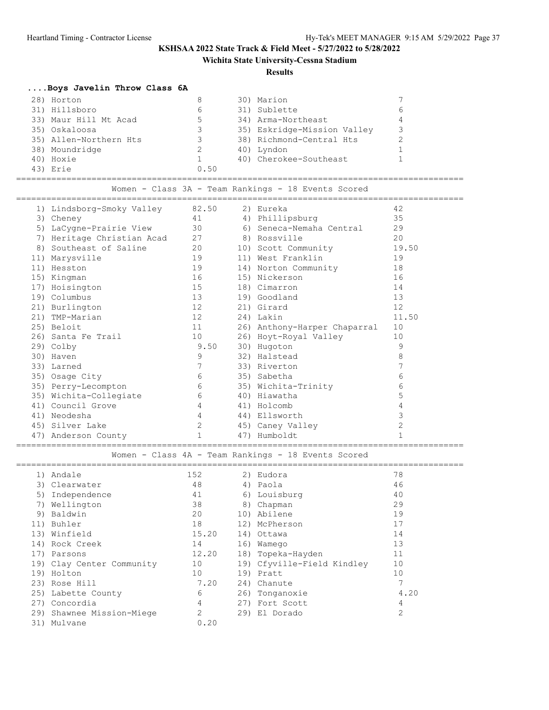## **Wichita State University-Cessna Stadium**

#### **Results**

## **....Boys Javelin Throw Class 6A**

| 28) Horton             | 8    | 30) Marion                  |  |
|------------------------|------|-----------------------------|--|
| 31) Hillsboro          | 6    | 31) Sublette                |  |
| 33) Maur Hill Mt Acad  | 5    | 34) Arma-Northeast          |  |
| 35) Oskaloosa          | っ    | 35) Eskridge-Mission Valley |  |
| 35) Allen-Northern Hts | っ    | 38) Richmond-Central Hts    |  |
| 38) Moundridge         |      | 40) Lyndon                  |  |
| 40) Hoxie              |      | 40) Cherokee-Southeast      |  |
| 43) Erie               | 0.50 |                             |  |

Women - Class 3A - Team Rankings - 18 Events Scored

=========================================================================================

=========================================================================================

|    | 1) Lindsborg-Smoky Valley | 82.50 |     | 2) Eureka                    | 42    |
|----|---------------------------|-------|-----|------------------------------|-------|
|    | 3) Cheney                 | 41    |     | 4) Phillipsburg              | 35    |
|    | 5) LaCygne-Prairie View   | 30    | 6)  | Seneca-Nemaha Central        | 29    |
| 7) | Heritage Christian Acad   | 27    |     | 8) Rossville                 | 20    |
| 8) | Southeast of Saline       | 20    |     | 10) Scott Community          | 19.50 |
|    | 11) Marysville            | 19    |     | 11) West Franklin            | 19    |
|    | 11) Hesston               | 19    |     | 14) Norton Community         | 18    |
|    | 15) Kingman               | 16    |     | 15) Nickerson                | 16    |
|    | 17) Hoisington            | 15    |     | 18) Cimarron                 | 14    |
|    | 19) Columbus              | 13    |     | 19) Goodland                 | 13    |
|    | 21) Burlington            | 12    |     | 21) Girard                   | 12    |
|    | 21) TMP-Marian            | 12    |     | 24) Lakin                    | 11.50 |
|    | 25) Beloit                | 11    |     | 26) Anthony-Harper Chaparral | 10    |
|    | 26) Santa Fe Trail        | 10    |     | 26) Hoyt-Royal Valley        | 10    |
|    | 29) Colby                 | 9.50  |     | 30) Hugoton                  | 9     |
|    | 30) Haven                 | 9     |     | 32) Halstead                 | 8     |
|    | 33) Larned                |       |     | 33) Riverton                 |       |
|    | 35) Osage City            | 6     |     | 35) Sabetha                  | 6     |
|    | 35) Perry-Lecompton       | 6     |     | 35) Wichita-Trinity          | 6     |
|    | 35) Wichita-Collegiate    | 6     |     | 40) Hiawatha                 | 5     |
|    | 41) Council Grove         | 4     |     | 41) Holcomb                  | 4     |
|    | 41) Neodesha              | 4     |     | 44) Ellsworth                | 3     |
|    | 45) Silver Lake           | 2     |     | 45) Caney Valley             | 2     |
|    | 47) Anderson County       |       | 47) | Humboldt                     |       |

=========================================================================================

Women - Class 4A - Team Rankings - 18 Events Scored

| 1)  | Andale                    | 152            | 2) Eudora                  | 78   |
|-----|---------------------------|----------------|----------------------------|------|
|     | 3) Clearwater             | 48             | 4) Paola                   | 46   |
|     | 5) Independence           | 41             | 6) Louisburg               | 40   |
| 7)  | Wellington                | 38             | 8) Chapman                 | 29   |
| 9)  | Baldwin                   | 20             | 10) Abilene                | 19   |
| 11) | Buhler                    | 18             | 12) McPherson              | 17   |
|     | 13) Winfield              | 15.20          | 14) Ottawa                 | 14   |
|     | 14) Rock Creek            | 14             | 16) Wamego                 | 13   |
| 17) | Parsons                   | 12.20          | 18) Topeka-Hayden          | 11   |
|     | 19) Clay Center Community | 10             | 19) Cfyville-Field Kindley | 10   |
|     | 19) Holton                | 10             | 19) Pratt                  | 10   |
|     | 23) Rose Hill             | 7.20           | 24) Chanute                | 7    |
|     | 25) Labette County        | 6              | 26) Tonganoxie             | 4.20 |
| 27) | Concordia                 | 4              | 27) Fort Scott             | 4    |
|     | 29) Shawnee Mission-Miege | $\mathfrak{D}$ | 29) El Dorado              | 2    |
| 31) | Mulvane                   | 0.20           |                            |      |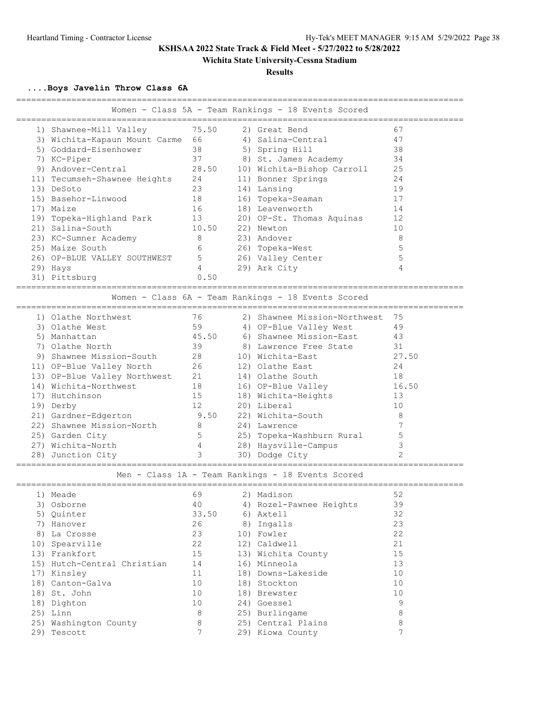## **Wichita State University-Cessna Stadium**

### **Results**

**....Boys Javelin Throw Class 6A**

|                               |                   | -------------------------------------<br>Women - Class 5A - Team Rankings - 18 Events Scored |                |
|-------------------------------|-------------------|----------------------------------------------------------------------------------------------|----------------|
| 1) Shawnee-Mill Valley        | 75.50             | 2) Great Bend                                                                                | 67             |
| 3) Wichita-Kapaun Mount Carme | 66                | 4) Salina-Central                                                                            | 47             |
| 5) Goddard-Eisenhower         | 38                | 5) Spring Hill                                                                               | 38             |
| 7) KC-Piper                   | 37                | 8) St. James Academy                                                                         | 34             |
| 9) Andover-Central            | 28.50             | 10) Wichita-Bishop Carroll                                                                   | 25             |
| 11) Tecumseh-Shawnee Heights  | 24                | 11) Bonner Springs                                                                           | 24             |
| 13) DeSoto                    | 23                | 14) Lansing                                                                                  | 19             |
| 15) Basehor-Linwood           | 18                | 16) Topeka-Seaman                                                                            | 17             |
| 17) Maize                     | 16                | 18) Leavenworth                                                                              | 14             |
| 19) Topeka-Highland Park      | 13                | 20) OP-St. Thomas Aquinas                                                                    | 12             |
| 21) Salina-South              | 10.50             | 22) Newton                                                                                   | 10             |
| 23) KC-Sumner Academy         | 8                 | 23) Andover                                                                                  | 8              |
| 25) Maize South               | 6                 | 26) Topeka-West                                                                              | 5              |
| 26) OP-BLUE VALLEY SOUTHWEST  | 5                 | 26) Valley Center                                                                            | 5              |
| 29) Hays                      | 4                 | 29) Ark City                                                                                 | 4              |
| 31) Pittsburg                 | 0.50              |                                                                                              |                |
|                               |                   |                                                                                              |                |
|                               |                   | Women - Class 6A - Team Rankings - 18 Events Scored                                          |                |
| 1) Olathe Northwest           | 76                | 2) Shawnee Mission-Northwest                                                                 | 75             |
| 3) Olathe West                | 59                | 4) OP-Blue Valley West                                                                       | 49             |
| 5) Manhattan                  | 45.50             | 6) Shawnee Mission-East                                                                      | 43             |
| 7) Olathe North               | 39                | 8) Lawrence Free State                                                                       | 31             |
| 9) Shawnee Mission-South      | 28                | 10) Wichita-East                                                                             | 27.50          |
| 11) OP-Blue Valley North      | 26                | 12) Olathe East                                                                              | 24             |
| 13) OP-Blue Valley Northwest  | 21                | 14) Olathe South                                                                             | 18             |
| 14) Wichita-Northwest         | 18                | 16) OP-Blue Valley                                                                           | 16.50          |
| 17) Hutchinson                | 15                | 18) Wichita-Heights                                                                          | 13             |
| 19) Derby                     | $12 \overline{ }$ | 20) Liberal                                                                                  | 10             |
| 21) Gardner-Edgerton          | 9.50              | 22) Wichita-South                                                                            | 8              |
| 22) Shawnee Mission-North     | 8                 | 24) Lawrence                                                                                 | 7              |
| 25) Garden City               | 5                 | 25) Topeka-Washburn Rural                                                                    | 5              |
| 27) Wichita-North             | 4                 | 28) Haysville-Campus                                                                         | 3              |
| 28) Junction City             | 3                 | 30) Dodge City                                                                               | $\overline{2}$ |
|                               |                   | Men - Class 1A - Team Rankings - 18 Events Scored                                            |                |
| 1) Meade                      | 69                | 2) Madison                                                                                   | 52             |
| 3) Osborne                    | 40                | 4) Rozel-Pawnee Heights                                                                      | 39             |
| 5) Quinter                    | 33.50             | 6) Axtell                                                                                    | 32             |
| 7) Hanover                    | 26                | 8) Ingalls                                                                                   | 23             |
| 8) La Crosse                  | 23                | 10) Fowler                                                                                   | 22             |
| 10) Spearville                | 22                | 12) Caldwell                                                                                 | 21             |
| 13) Frankfort                 | 15                | 13) Wichita County                                                                           | 15             |
| 15) Hutch-Central Christian   | 14                | 16) Minneola                                                                                 | 13             |
| 17) Kinsley                   | 11                | 18) Downs-Lakeside                                                                           | 10             |
| 18) Canton-Galva              | 10                | 18) Stockton                                                                                 | 10             |
| 18) St. John                  | 10                | 18) Brewster                                                                                 | 10             |
| 18) Dighton                   | 10                | 24) Goessel                                                                                  | 9              |
| 25) Linn                      | 8                 | 25) Burlingame                                                                               | 8              |
| 25) Washington County         | 8                 | 25) Central Plains                                                                           | 8              |

29) Tescott 7 29) Kiowa County 7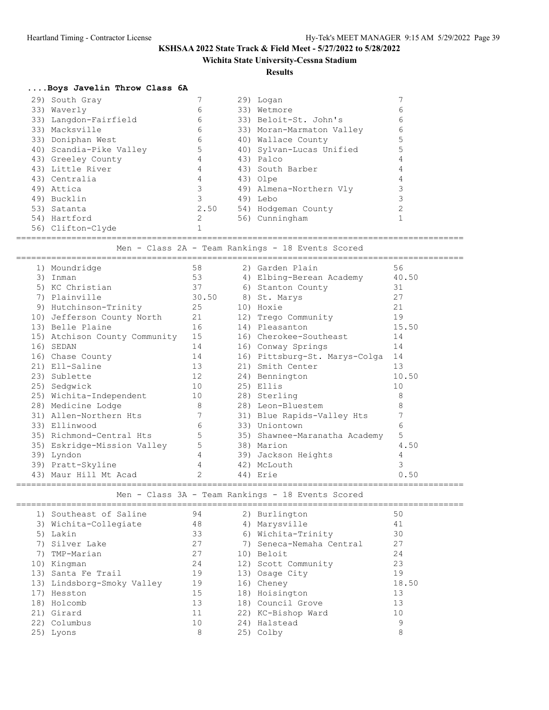## **Wichita State University-Cessna Stadium**

### **Results**

## **....Boys Javelin Throw Class 6A**

| 29) South Gray          |      | 29) Logan                 |   |
|-------------------------|------|---------------------------|---|
| 33) Waverly             | 6    | 33) Wetmore               | h |
| 33) Langdon-Fairfield   | 6    | 33) Beloit-St. John's     | 6 |
| 33) Macksville          | 6    | 33) Moran-Marmaton Valley | 6 |
| 33) Doniphan West       | 6    | 40) Wallace County        |   |
| 40) Scandia-Pike Valley | 5    | 40) Sylvan-Lucas Unified  |   |
| 43) Greeley County      | 4    | 43) Palco                 |   |
| 43) Little River        | 4    | 43) South Barber          |   |
| 43) Centralia           | 4    | 43) Olpe                  |   |
| 49) Attica              |      | 49) Almena-Northern Vly   |   |
| 49) Bucklin             |      | 49) Lebo                  |   |
| 53) Satanta             | 2.50 | 54) Hodgeman County       |   |
| 54) Hartford            |      | 56) Cunningham            |   |
| 56) Clifton-Clyde       |      |                           |   |

=========================================================================================

Men - Class 2A - Team Rankings - 18 Events Scored

|    |                                  |                 | Men - Class ZA - Team Rankings - 18 Events Scored |       |
|----|----------------------------------|-----------------|---------------------------------------------------|-------|
|    | 1) Moundridge                    | 58              | 2) Garden Plain                                   | 56    |
| 3) | Inman                            | 53              | 4) Elbing-Berean Academy                          | 40.50 |
|    | 5) KC Christian                  | 37              | 6) Stanton County                                 | 31    |
|    | 7) Plainville                    | 30.50           | 8) St. Marys                                      | 27    |
|    | 9) Hutchinson-Trinity<br>25      |                 | 10) Hoxie                                         | 21    |
|    | 10) Jefferson County North 21    |                 | 12) Trego Community                               | 19    |
|    | 13) Belle Plaine                 | 16              | 14) Pleasanton                                    | 15.50 |
|    | 15) Atchison County Community 15 |                 | 16) Cherokee-Southeast                            | 14    |
|    | 16) SEDAN                        | 14              | 16) Conway Springs                                | 14    |
|    | 16) Chase County                 | 14              | 16) Pittsburg-St. Marys-Colga                     | 14    |
|    | 21) Ell-Saline                   | 13              | 21) Smith Center                                  | 13    |
|    | 23) Sublette                     | 12              | 24) Bennington                                    | 10.50 |
|    | 25) Sedqwick                     | 10              | 25) Ellis                                         | 10    |
|    | 25) Wichita-Independent          | 10              | 28) Sterling                                      | 8     |
|    | 28) Medicine Lodge               | 8               | 28) Leon-Bluestem                                 | 8     |
|    | 31) Allen-Northern Hts           | $7\phantom{.0}$ | 31) Blue Rapids-Valley Hts                        |       |
|    | 33) Ellinwood                    | 6               | 33) Uniontown                                     | 6     |
|    | 35) Richmond-Central Hts         | 5               | 35) Shawnee-Maranatha Academy                     | 5     |
|    | 35) Eskridge-Mission Valley      | 5               | 38) Marion                                        | 4.50  |
|    | 39) Lyndon                       | $\overline{4}$  | 39) Jackson Heights                               | 4     |
|    | 39) Pratt-Skyline                | $\overline{4}$  | 42) McLouth                                       | 3     |
|    | 43) Maur Hill Mt Acad            | $\overline{2}$  | 44) Erie                                          | 0.50  |
|    |                                  |                 |                                                   |       |

Men - Class 3A - Team Rankings - 18 Events Scored

|     | 1) Southeast of Saline     | 94 | 2) Burlington            | 50    |  |
|-----|----------------------------|----|--------------------------|-------|--|
|     | 3) Wichita-Collegiate      | 48 | 4) Marysville            | 41    |  |
|     | 5) Lakin                   | 33 | 6) Wichita-Trinity       | 30    |  |
|     | 7) Silver Lake             | 27 | 7) Seneca-Nemaha Central | 27    |  |
|     | TMP-Marian                 | 27 | 10) Beloit               | 24    |  |
| 10) | Kingman                    | 24 | 12) Scott Community      | 23    |  |
|     | 13) Santa Fe Trail         | 19 | 13) Osage City           | 19    |  |
|     | 13) Lindsborg-Smoky Valley | 19 | 16) Cheney               | 18.50 |  |
|     | 17) Hesston                | 15 | 18) Hoisington           | 13    |  |
|     | 18) Holcomb                | 13 | 18) Council Grove        | 13    |  |
|     | 21) Girard                 | 11 | 22) KC-Bishop Ward       | 10    |  |
|     | 22) Columbus               | 10 | 24) Halstead             | 9     |  |
|     | 25) Lyons                  | 8  | 25) Colby                | 8     |  |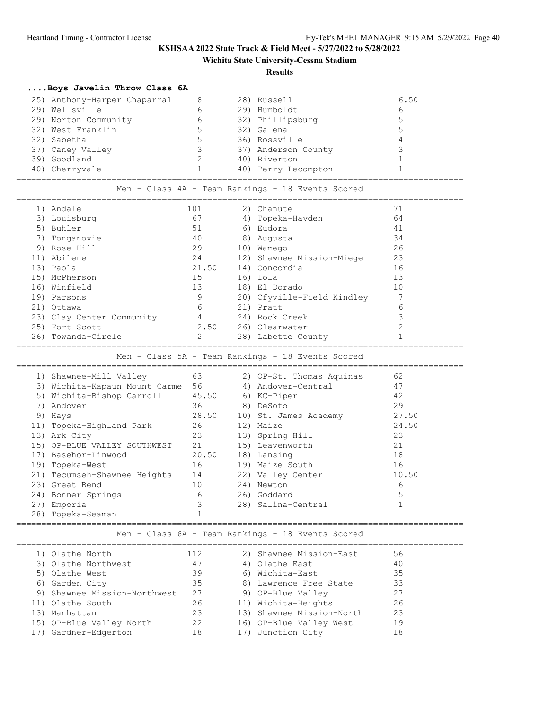**Wichita State University-Cessna Stadium**

#### **Results**

## **....Boys Javelin Throw Class 6A**

| 25) Anthony-Harper Chaparral | 8 | 28) Russell         | 6.50 |
|------------------------------|---|---------------------|------|
| 29) Wellsville               | 6 | 29) Humboldt        | 6    |
| 29) Norton Community         | 6 | 32) Phillipsburg    | 5    |
| 32) West Franklin            | 5 | 32) Galena          | 5    |
| 32) Sabetha                  | 5 | 36) Rossville       | 4    |
| 37) Caney Valley             |   | 37) Anderson County |      |
| 39) Goodland                 |   | 40) Riverton        |      |
| 40) Cherryvale               |   | 40) Perry-Lecompton |      |

=========================================================================================

Men - Class 4A - Team Rankings - 18 Events Scored

## =========================================================================================

|    | 1) Andale                 | 101   |     | 2) Chanute                 |    |
|----|---------------------------|-------|-----|----------------------------|----|
|    | 3) Louisburg              | 67    |     | 4) Topeka-Hayden           | 64 |
|    | 5) Buhler                 | 51    |     | 6) Eudora                  | 41 |
| 7) | Tonganoxie                | 40    |     | 8) Augusta                 | 34 |
|    | 9) Rose Hill              | 29    | 10) | Wamego                     | 26 |
|    | 11) Abilene               | 24    |     | 12) Shawnee Mission-Miege  | 23 |
|    | 13) Paola                 | 21.50 |     | 14) Concordia              | 16 |
|    | 15) McPherson             | 15    |     | 16) Iola                   | 13 |
|    | 16) Winfield              | 13    |     | 18) El Dorado              | 10 |
|    | 19) Parsons               | 9     |     | 20) Cfyville-Field Kindley |    |
|    | 21) Ottawa                | 6     |     | 21) Pratt                  | 6  |
|    | 23) Clay Center Community | 4     |     | 24) Rock Creek             | 3  |
|    | 25) Fort Scott            | 2.50  |     | 26) Clearwater             | 2  |
|    | 26) Towanda-Circle        | 2     |     | 28) Labette County         |    |
|    |                           |       |     |                            |    |

Men - Class 5A - Team Rankings - 18 Events Scored

|     | 1) Shawnee-Mill Valley        | 63    | 2) OP-St. Thomas Aquinas | 62    |
|-----|-------------------------------|-------|--------------------------|-------|
|     | 3) Wichita-Kapaun Mount Carme | 56    | 4) Andover-Central       | 47    |
|     | 5) Wichita-Bishop Carroll     | 45.50 | 6) KC-Piper              | 42    |
|     | Andover                       | 36    | 8) DeSoto                | 29    |
|     | 9) Hays                       | 28.50 | 10) St. James Academy    | 27.50 |
|     | 11) Topeka-Highland Park      | 26    | 12) Maize                | 24.50 |
|     | 13) Ark City                  | 23    | 13) Spring Hill          | 23    |
|     | 15) OP-BLUE VALLEY SOUTHWEST  | 21    | 15) Leavenworth          | 21    |
|     | 17) Basehor-Linwood           | 20.50 | 18) Lansing              | 18    |
|     | 19) Topeka-West               | 16    | 19) Maize South          | 16    |
|     | 21) Tecumseh-Shawnee Heights  | 14    | 22) Valley Center        | 10.50 |
|     | 23) Great Bend                | 10    | 24) Newton               | 6     |
|     | 24) Bonner Springs            | 6     | 26) Goddard              | 5     |
| 27) | Emporia                       | 3     | 28) Salina-Central       |       |
| 28) | Topeka-Seaman                 |       |                          |       |
|     |                               |       |                          |       |

### ========================================================================================= Men - Class 6A - Team Rankings - 18 Events Scored

| 1) Olathe North              | 112 | 2) Shawnee Mission-East   | 56 |  |
|------------------------------|-----|---------------------------|----|--|
| 3) Olathe Northwest          | 47  | 4) Olathe East            | 40 |  |
| 5) Olathe West               | 39  | 6) Wichita-East           | 35 |  |
| 6) Garden City               | 35  | 8) Lawrence Free State    | 33 |  |
| 9) Shawnee Mission-Northwest | 27  | 9) OP-Blue Valley         | 27 |  |
| 11) Olathe South             | 26  | 11) Wichita-Heights       | 26 |  |
| 13) Manhattan                | 23  | 13) Shawnee Mission-North | 23 |  |
| 15) OP-Blue Valley North     | 22  | 16) OP-Blue Valley West   | 19 |  |
| 17) Gardner-Edgerton         | 18  | 17) Junction City         | 18 |  |